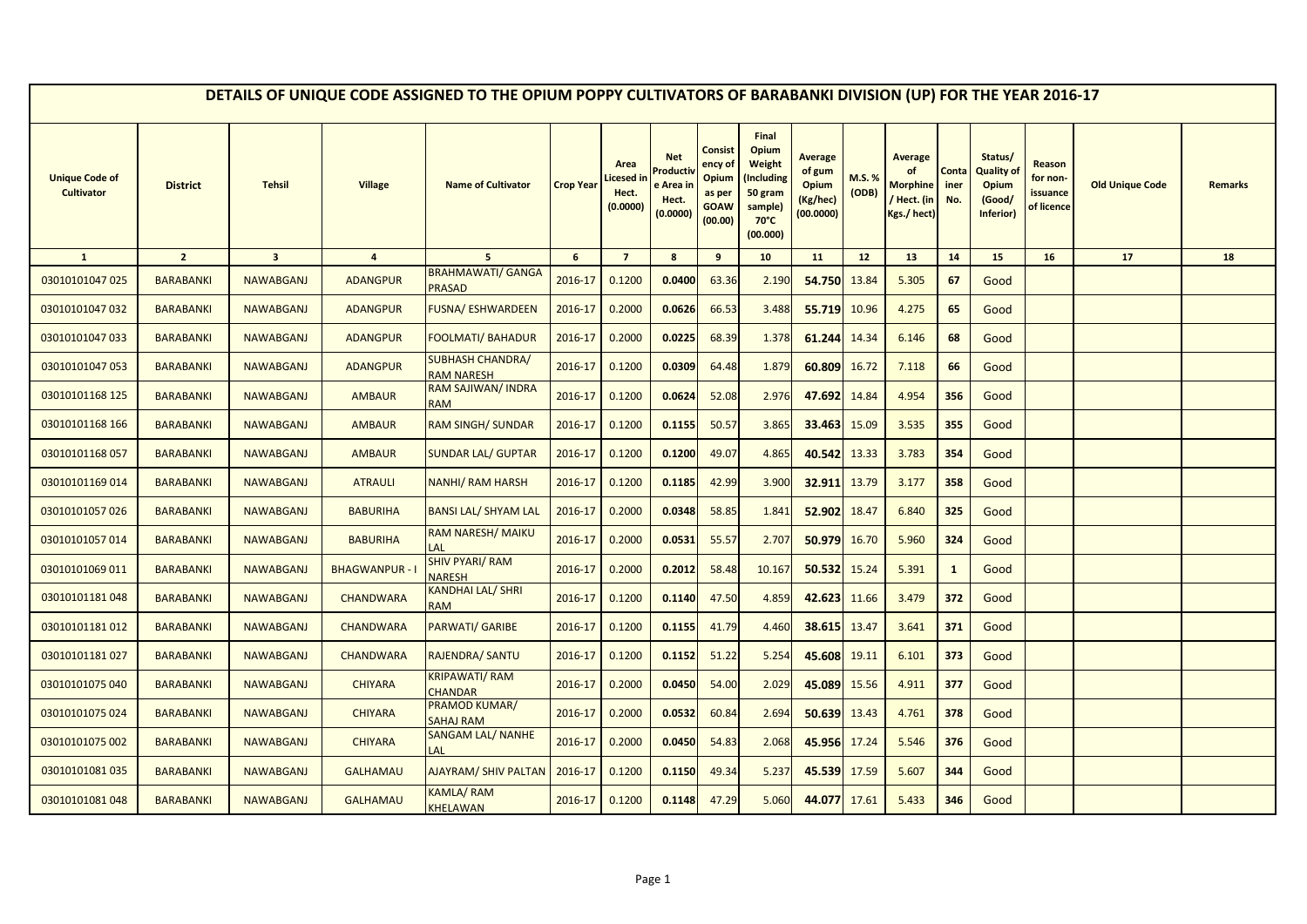|                                            |                  |                         |                       | DETAILS OF UNIQUE CODE ASSIGNED TO THE OPIUM POPPY CULTIVATORS OF BARABANKI DIVISION (UP) FOR THE YEAR 2016-17 |                  |                                        |                                                      |                                                                        |                                                                                            |                                                     |                 |                                                                     |                      |                                                                     |                                              |                        |                |
|--------------------------------------------|------------------|-------------------------|-----------------------|----------------------------------------------------------------------------------------------------------------|------------------|----------------------------------------|------------------------------------------------------|------------------------------------------------------------------------|--------------------------------------------------------------------------------------------|-----------------------------------------------------|-----------------|---------------------------------------------------------------------|----------------------|---------------------------------------------------------------------|----------------------------------------------|------------------------|----------------|
| <b>Unique Code of</b><br><b>Cultivator</b> | <b>District</b>  | <b>Tehsil</b>           | <b>Village</b>        | <b>Name of Cultivator</b>                                                                                      | <b>Crop Year</b> | Area<br>icesed in<br>Hect.<br>(0.0000) | <b>Net</b><br>Product<br>e Area<br>Hect.<br>(0.0000) | <b>Consist</b><br>ency of<br>Opium<br>as per<br><b>GOAW</b><br>(00.00) | Final<br>Opium<br>Weight<br>Including)<br>50 gram<br>sample)<br>$70^{\circ}$ C<br>(00.000) | Average<br>of gum<br>Opium<br>(Kg/hec)<br>(00.0000) | M.S. %<br>(ODB) | <b>Average</b><br>of<br><b>Morphine</b><br>Hect. (in<br>Kgs./ hect) | Conta<br>iner<br>No. | Status/<br><b>Quality of</b><br><b>Opium</b><br>(Good/<br>Inferior) | Reason<br>for non-<br>issuance<br>of licence | <b>Old Unique Code</b> | <b>Remarks</b> |
| $\mathbf{1}$                               | $\overline{2}$   | $\overline{\mathbf{3}}$ | $\overline{4}$        | 5 <sup>1</sup>                                                                                                 | 6                | $\overline{7}$                         | 8                                                    | 9                                                                      | 10                                                                                         | 11                                                  | 12              | 13                                                                  | 14                   | 15                                                                  | 16                                           | 17                     | 18             |
| 03010101047 025                            | <b>BARABANKI</b> | <b>NAWABGANJ</b>        | <b>ADANGPUR</b>       | <b>BRAHMAWATI/ GANGA</b><br><b>PRASAD</b>                                                                      | 2016-17          | 0.1200                                 | 0.0400                                               | 63.36                                                                  | 2.190                                                                                      | 54.750                                              | 13.84           | 5.305                                                               | 67                   | Good                                                                |                                              |                        |                |
| 03010101047 032                            | <b>BARABANKI</b> | <b>NAWABGANJ</b>        | <b>ADANGPUR</b>       | FUSNA/ ESHWARDEEN                                                                                              | 2016-17          | 0.2000                                 | 0.0626                                               | 66.53                                                                  | 3.488                                                                                      | 55.719                                              | 10.96           | 4.275                                                               | 65                   | Good                                                                |                                              |                        |                |
| 03010101047 033                            | <b>BARABANKI</b> | <b>NAWABGANJ</b>        | <b>ADANGPUR</b>       | <b>FOOLMATI/ BAHADUR</b>                                                                                       | 2016-17          | 0.2000                                 | 0.0225                                               | 68.39                                                                  | 1.378                                                                                      | 61.244                                              | 14.34           | 6.146                                                               | 68                   | Good                                                                |                                              |                        |                |
| 03010101047 053                            | <b>BARABANKI</b> | <b>NAWABGANJ</b>        | <b>ADANGPUR</b>       | <b>SUBHASH CHANDRA/</b><br><b>RAM NARESH</b>                                                                   | 2016-17          | 0.1200                                 | 0.0309                                               | 64.48                                                                  | 1.879                                                                                      | 60.809                                              | 16.72           | 7.118                                                               | 66                   | Good                                                                |                                              |                        |                |
| 03010101168 125                            | <b>BARABANKI</b> | <b>NAWABGANJ</b>        | <b>AMBAUR</b>         | RAM SAJIWAN/ INDRA<br><b>RAM</b>                                                                               | 2016-17          | 0.1200                                 | 0.0624                                               | 52.08                                                                  | 2.976                                                                                      | 47.692                                              | 14.84           | 4.954                                                               | 356                  | Good                                                                |                                              |                        |                |
| 03010101168 166                            | <b>BARABANKI</b> | <b>NAWABGANJ</b>        | <b>AMBAUR</b>         | <b>RAM SINGH/ SUNDAR</b>                                                                                       | 2016-17          | 0.1200                                 | 0.1155                                               | 50.57                                                                  | 3.865                                                                                      | 33.463                                              | 15.09           | 3.535                                                               | 355                  | Good                                                                |                                              |                        |                |
| 03010101168057                             | <b>BARABANKI</b> | <b>NAWABGANJ</b>        | <b>AMBAUR</b>         | <b>SUNDAR LAL/ GUPTAR</b>                                                                                      | 2016-17          | 0.1200                                 | 0.1200                                               | 49.07                                                                  | 4.865                                                                                      | 40.542                                              | 13.33           | 3.783                                                               | 354                  | Good                                                                |                                              |                        |                |
| 03010101169014                             | <b>BARABANKI</b> | <b>NAWABGANJ</b>        | <b>ATRAULI</b>        | <b>NANHI/ RAM HARSH</b>                                                                                        | 2016-17          | 0.1200                                 | 0.1185                                               | 42.99                                                                  | 3.900                                                                                      | 32.911                                              | 13.79           | 3.177                                                               | 358                  | Good                                                                |                                              |                        |                |
| 03010101057026                             | <b>BARABANKI</b> | <b>NAWABGANJ</b>        | <b>BABURIHA</b>       | <b>BANSI LAL/ SHYAM LAL</b>                                                                                    | 2016-17          | 0.2000                                 | 0.0348                                               | 58.85                                                                  | 1.841                                                                                      | 52.902                                              | 18.47           | 6.840                                                               | 325                  | Good                                                                |                                              |                        |                |
| 03010101057014                             | <b>BARABANKI</b> | <b>NAWABGANJ</b>        | <b>BABURIHA</b>       | <b>RAM NARESH/ MAIKU</b><br>LAL                                                                                | 2016-17          | 0.2000                                 | 0.0531                                               | 55.57                                                                  | 2.707                                                                                      | 50.979                                              | 16.70           | 5.960                                                               | 324                  | Good                                                                |                                              |                        |                |
| 03010101069 011                            | <b>BARABANKI</b> | <b>NAWABGANJ</b>        | <b>BHAGWANPUR - I</b> | <b>SHIV PYARI/ RAM</b><br><b>NARESH</b>                                                                        | 2016-17          | 0.2000                                 | 0.2012                                               | 58.48                                                                  | 10.167                                                                                     | 50.532                                              | 15.24           | 5.391                                                               | $\mathbf{1}$         | Good                                                                |                                              |                        |                |
| 03010101181048                             | <b>BARABANKI</b> | <b>NAWABGANJ</b>        | <b>CHANDWARA</b>      | KANDHAI LAL/ SHRI<br><b>RAM</b>                                                                                | 2016-17          | 0.1200                                 | 0.1140                                               | 47.50                                                                  | 4.859                                                                                      | 42.623                                              | 11.66           | 3.479                                                               | 372                  | Good                                                                |                                              |                        |                |
| 03010101181012                             | <b>BARABANKI</b> | <b>NAWABGANJ</b>        | <b>CHANDWARA</b>      | PARWATI/ GARIBE                                                                                                | 2016-17          | 0.1200                                 | 0.1155                                               | 41.79                                                                  | 4.460                                                                                      | 38.615                                              | 13.47           | 3.641                                                               | 371                  | Good                                                                |                                              |                        |                |
| 03010101181027                             | <b>BARABANKI</b> | <b>NAWABGANJ</b>        | <b>CHANDWARA</b>      | RAJENDRA/ SANTU                                                                                                | 2016-17          | 0.1200                                 | 0.1152                                               | 51.22                                                                  | 5.254                                                                                      | 45.608                                              | 19.11           | 6.101                                                               | 373                  | Good                                                                |                                              |                        |                |
| 03010101075 040                            | <b>BARABANKI</b> | <b>NAWABGANJ</b>        | <b>CHIYARA</b>        | <b>KRIPAWATI/RAM</b><br><b>CHANDAR</b>                                                                         | 2016-17          | 0.2000                                 | 0.0450                                               | 54.00                                                                  | 2.029                                                                                      | 45.089                                              | 15.56           | 4.911                                                               | 377                  | Good                                                                |                                              |                        |                |
| 03010101075 024                            | <b>BARABANKI</b> | <b>NAWABGANJ</b>        | <b>CHIYARA</b>        | PRAMOD KUMAR/<br><b>SAHAJ RAM</b>                                                                              | 2016-17          | 0.2000                                 | 0.0532                                               | 60.84                                                                  | 2.694                                                                                      | 50.639                                              | 13.43           | 4.761                                                               | 378                  | Good                                                                |                                              |                        |                |
| 03010101075 002                            | <b>BARABANKI</b> | <b>NAWABGANJ</b>        | <b>CHIYARA</b>        | <b>SANGAM LAL/ NANHE</b><br>LAL                                                                                | 2016-17          | 0.2000                                 | 0.0450                                               | 54.83                                                                  | 2.068                                                                                      | 45.956                                              | 17.24           | 5.546                                                               | 376                  | Good                                                                |                                              |                        |                |
| 03010101081 035                            | <b>BARABANKI</b> | <b>NAWABGANJ</b>        | <b>GALHAMAU</b>       | <b>AJAYRAM/ SHIV PALTAN</b>                                                                                    | 2016-17          | 0.1200                                 | 0.1150                                               | 49.34                                                                  | 5.237                                                                                      | 45.539                                              | 17.59           | 5.607                                                               | 344                  | Good                                                                |                                              |                        |                |
| 03010101081048                             | <b>BARABANKI</b> | <b>NAWABGANJ</b>        | <b>GALHAMAU</b>       | KAMLA/RAM<br><b>KHELAWAN</b>                                                                                   | 2016-17          | 0.1200                                 | 0.1148                                               | 47.29                                                                  | 5.060                                                                                      | 44.077                                              | 17.61           | 5.433                                                               | 346                  | Good                                                                |                                              |                        |                |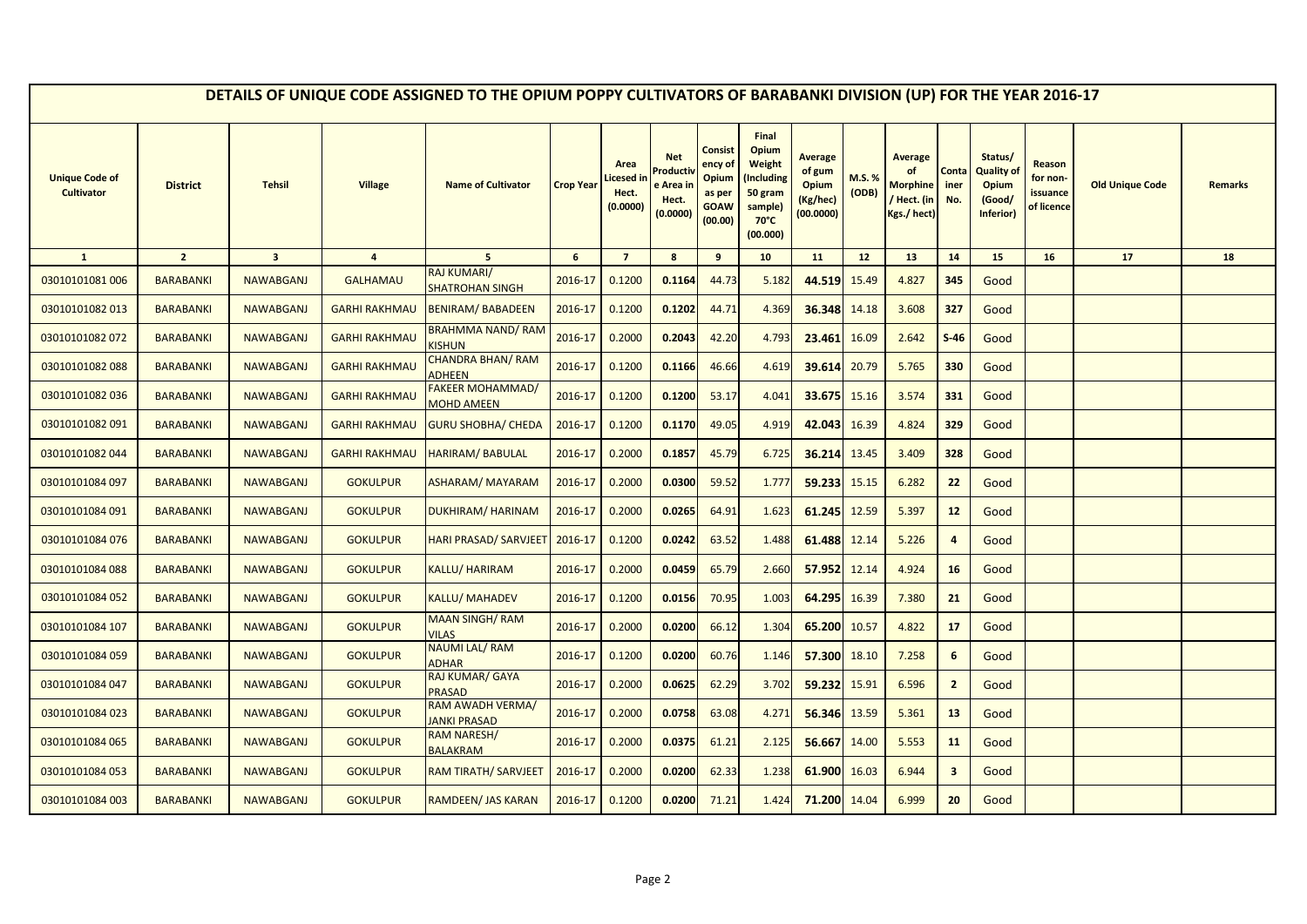|                                            |                  |                         |                      | DETAILS OF UNIQUE CODE ASSIGNED TO THE OPIUM POPPY CULTIVATORS OF BARABANKI DIVISION (UP) FOR THE YEAR 2016-17 |                  |                                        |                                                                     |                                                                 |                                                                                            |                                                            |                       |                                                                       |                         |                                                                     |                                              |                        |                |
|--------------------------------------------|------------------|-------------------------|----------------------|----------------------------------------------------------------------------------------------------------------|------------------|----------------------------------------|---------------------------------------------------------------------|-----------------------------------------------------------------|--------------------------------------------------------------------------------------------|------------------------------------------------------------|-----------------------|-----------------------------------------------------------------------|-------------------------|---------------------------------------------------------------------|----------------------------------------------|------------------------|----------------|
| <b>Unique Code of</b><br><b>Cultivator</b> | <b>District</b>  | <b>Tehsil</b>           | <b>Village</b>       | <b>Name of Cultivator</b>                                                                                      | <b>Crop Year</b> | Area<br>icesed in<br>Hect.<br>(0.0000) | <b>Net</b><br>roduct <sup>,</sup><br>e Area ir<br>Hect.<br>(0.0000) | Consist<br>ency of<br>Opium<br>as per<br><b>GOAW</b><br>(00.00) | Final<br>Opium<br>Weight<br>(Including<br>50 gram<br>sample)<br>$70^{\circ}$ C<br>(00.000) | <b>Average</b><br>of gum<br>Opium<br>(Kg/hec)<br>(00.0000) | <b>M.S.%</b><br>(ODB) | <b>Average</b><br>of<br><b>Morphine</b><br>/ Hect. (in<br>Kgs./ hect) | Conta<br>iner<br>No.    | Status/<br><b>Quality of</b><br><b>Opium</b><br>(Good/<br>Inferior) | Reason<br>for non-<br>issuance<br>of licence | <b>Old Unique Code</b> | <b>Remarks</b> |
| $\mathbf{1}$                               | $\overline{2}$   | $\overline{\mathbf{3}}$ | $\overline{4}$       | $5\overline{5}$                                                                                                | 6                | $\overline{7}$                         | 8                                                                   | 9                                                               | 10                                                                                         | 11                                                         | 12 <sup>2</sup>       | 13                                                                    | 14                      | 15                                                                  | 16                                           | 17                     | 18             |
| 03010101081 006                            | <b>BARABANKI</b> | <b>NAWABGANJ</b>        | <b>GALHAMAU</b>      | <b>RAJ KUMARI/</b><br><b>SHATROHAN SINGH</b>                                                                   | 2016-17          | 0.1200                                 | 0.1164                                                              | 44.73                                                           | 5.182                                                                                      | 44.519                                                     | 15.49                 | 4.827                                                                 | 345                     | Good                                                                |                                              |                        |                |
| 03010101082 013                            | <b>BARABANKI</b> | <b>NAWABGANJ</b>        | <b>GARHI RAKHMAU</b> | <b>BENIRAM/BABADEEN</b>                                                                                        | 2016-17          | 0.1200                                 | 0.1202                                                              | 44.71                                                           | 4.369                                                                                      | 36.348                                                     | 14.18                 | 3.608                                                                 | 327                     | Good                                                                |                                              |                        |                |
| 03010101082 072                            | <b>BARABANKI</b> | <b>NAWABGANJ</b>        | <b>GARHI RAKHMAU</b> | BRAHMMA NAND/RAM<br><b>KISHUN</b>                                                                              | 2016-17          | 0.2000                                 | 0.2043                                                              | 42.20                                                           | 4.793                                                                                      | 23.461                                                     | 16.09                 | 2.642                                                                 | $S-46$                  | Good                                                                |                                              |                        |                |
| 03010101082088                             | <b>BARABANKI</b> | <b>NAWABGANJ</b>        | <b>GARHI RAKHMAU</b> | <b>CHANDRA BHAN/RAM</b><br><b>ADHEEN</b>                                                                       | 2016-17          | 0.1200                                 | 0.1166                                                              | 46.66                                                           | 4.619                                                                                      | 39.614                                                     | 20.79                 | 5.765                                                                 | 330                     | Good                                                                |                                              |                        |                |
| 03010101082036                             | <b>BARABANKI</b> | <b>NAWABGANJ</b>        | <b>GARHI RAKHMAU</b> | <b>FAKEER MOHAMMAD/</b><br><b>MOHD AMEEN</b>                                                                   | 2016-17          | 0.1200                                 | 0.1200                                                              | 53.17                                                           | 4.041                                                                                      | 33.675                                                     | 15.16                 | 3.574                                                                 | 331                     | Good                                                                |                                              |                        |                |
| 03010101082091                             | <b>BARABANKI</b> | <b>NAWABGANJ</b>        | <b>GARHI RAKHMAU</b> | <b>GURU SHOBHA/ CHEDA</b>                                                                                      | 2016-17          | 0.1200                                 | 0.1170                                                              | 49.05                                                           | 4.919                                                                                      | 42.043                                                     | 16.39                 | 4.824                                                                 | 329                     | Good                                                                |                                              |                        |                |
| 03010101082044                             | <b>BARABANKI</b> | <b>NAWABGANJ</b>        | <b>GARHI RAKHMAU</b> | <b>HARIRAM/ BABULAL</b>                                                                                        | 2016-17          | 0.2000                                 | 0.1857                                                              | 45.79                                                           | 6.725                                                                                      | 36.214                                                     | 13.45                 | 3.409                                                                 | 328                     | Good                                                                |                                              |                        |                |
| 03010101084 097                            | <b>BARABANKI</b> | <b>NAWABGANJ</b>        | <b>GOKULPUR</b>      | <b>ASHARAM/ MAYARAM</b>                                                                                        | 2016-17          | 0.2000                                 | 0.0300                                                              | 59.52                                                           | 1.777                                                                                      | 59.233                                                     | 15.15                 | 6.282                                                                 | 22                      | Good                                                                |                                              |                        |                |
| 03010101084 091                            | <b>BARABANKI</b> | <b>NAWABGANJ</b>        | <b>GOKULPUR</b>      | <b>DUKHIRAM/ HARINAM</b>                                                                                       | 2016-17          | 0.2000                                 | 0.0265                                                              | 64.91                                                           | 1.623                                                                                      | 61.245                                                     | 12.59                 | 5.397                                                                 | 12                      | Good                                                                |                                              |                        |                |
| 03010101084 076                            | <b>BARABANKI</b> | <b>NAWABGANJ</b>        | <b>GOKULPUR</b>      | <b>HARI PRASAD/ SARVJEET</b>                                                                                   | 2016-17          | 0.1200                                 | 0.0242                                                              | 63.52                                                           | 1.488                                                                                      | 61.488                                                     | 12.14                 | 5.226                                                                 | $\overline{a}$          | Good                                                                |                                              |                        |                |
| 03010101084 088                            | <b>BARABANKI</b> | <b>NAWABGANJ</b>        | <b>GOKULPUR</b>      | <b>KALLU/ HARIRAM</b>                                                                                          | 2016-17          | 0.2000                                 | 0.0459                                                              | 65.79                                                           | 2.660                                                                                      | 57.952                                                     | 12.14                 | 4.924                                                                 | 16                      | Good                                                                |                                              |                        |                |
| 03010101084 052                            | <b>BARABANKI</b> | <b>NAWABGANJ</b>        | <b>GOKULPUR</b>      | <b>KALLU/MAHADEV</b>                                                                                           | 2016-17          | 0.1200                                 | 0.0156                                                              | 70.95                                                           | 1.003                                                                                      | 64.295                                                     | 16.39                 | 7.380                                                                 | 21                      | Good                                                                |                                              |                        |                |
| 03010101084 107                            | <b>BARABANKI</b> | <b>NAWABGANJ</b>        | <b>GOKULPUR</b>      | <b>MAAN SINGH/ RAM</b><br><b>VILAS</b>                                                                         | 2016-17          | 0.2000                                 | 0.0200                                                              | 66.12                                                           | 1.304                                                                                      | 65.200                                                     | 10.57                 | 4.822                                                                 | 17                      | Good                                                                |                                              |                        |                |
| 03010101084 059                            | <b>BARABANKI</b> | <b>NAWABGANJ</b>        | <b>GOKULPUR</b>      | <b>NAUMI LAL/RAM</b><br><b>ADHAR</b>                                                                           | 2016-17          | 0.1200                                 | 0.0200                                                              | 60.76                                                           | 1.146                                                                                      | 57.300                                                     | 18.10                 | 7.258                                                                 | $\boldsymbol{6}$        | Good                                                                |                                              |                        |                |
| 03010101084 047                            | <b>BARABANKI</b> | <b>NAWABGANJ</b>        | <b>GOKULPUR</b>      | RAJ KUMAR/ GAYA<br><b>PRASAD</b>                                                                               | 2016-17          | 0.2000                                 | 0.0625                                                              | 62.29                                                           | 3.702                                                                                      | 59.232                                                     | 15.91                 | 6.596                                                                 | $\overline{2}$          | Good                                                                |                                              |                        |                |
| 03010101084 023                            | <b>BARABANKI</b> | <b>NAWABGANJ</b>        | <b>GOKULPUR</b>      | <b>RAM AWADH VERMA/</b><br><b>JANKI PRASAD</b>                                                                 | 2016-17          | 0.2000                                 | 0.0758                                                              | 63.08                                                           | 4.271                                                                                      | 56.346                                                     | 13.59                 | 5.361                                                                 | 13                      | Good                                                                |                                              |                        |                |
| 03010101084 065                            | <b>BARABANKI</b> | <b>NAWABGANJ</b>        | <b>GOKULPUR</b>      | <b>RAM NARESH/</b><br><b>BALAKRAM</b>                                                                          | 2016-17          | 0.2000                                 | 0.0375                                                              | 61.21                                                           | 2.125                                                                                      | 56.667                                                     | 14.00                 | 5.553                                                                 | 11                      | Good                                                                |                                              |                        |                |
| 03010101084 053                            | <b>BARABANKI</b> | <b>NAWABGANJ</b>        | <b>GOKULPUR</b>      | RAM TIRATH/ SARVJEET                                                                                           | 2016-17          | 0.2000                                 | 0.0200                                                              | 62.33                                                           | 1.238                                                                                      | 61.900                                                     | 16.03                 | 6.944                                                                 | $\overline{\mathbf{3}}$ | Good                                                                |                                              |                        |                |
| 03010101084 003                            | <b>BARABANKI</b> | <b>NAWABGANJ</b>        | <b>GOKULPUR</b>      | RAMDEEN/ JAS KARAN                                                                                             | 2016-17          | 0.1200                                 | 0.0200                                                              | 71.21                                                           | 1.424                                                                                      | 71.200                                                     | 14.04                 | 6.999                                                                 | 20                      | Good                                                                |                                              |                        |                |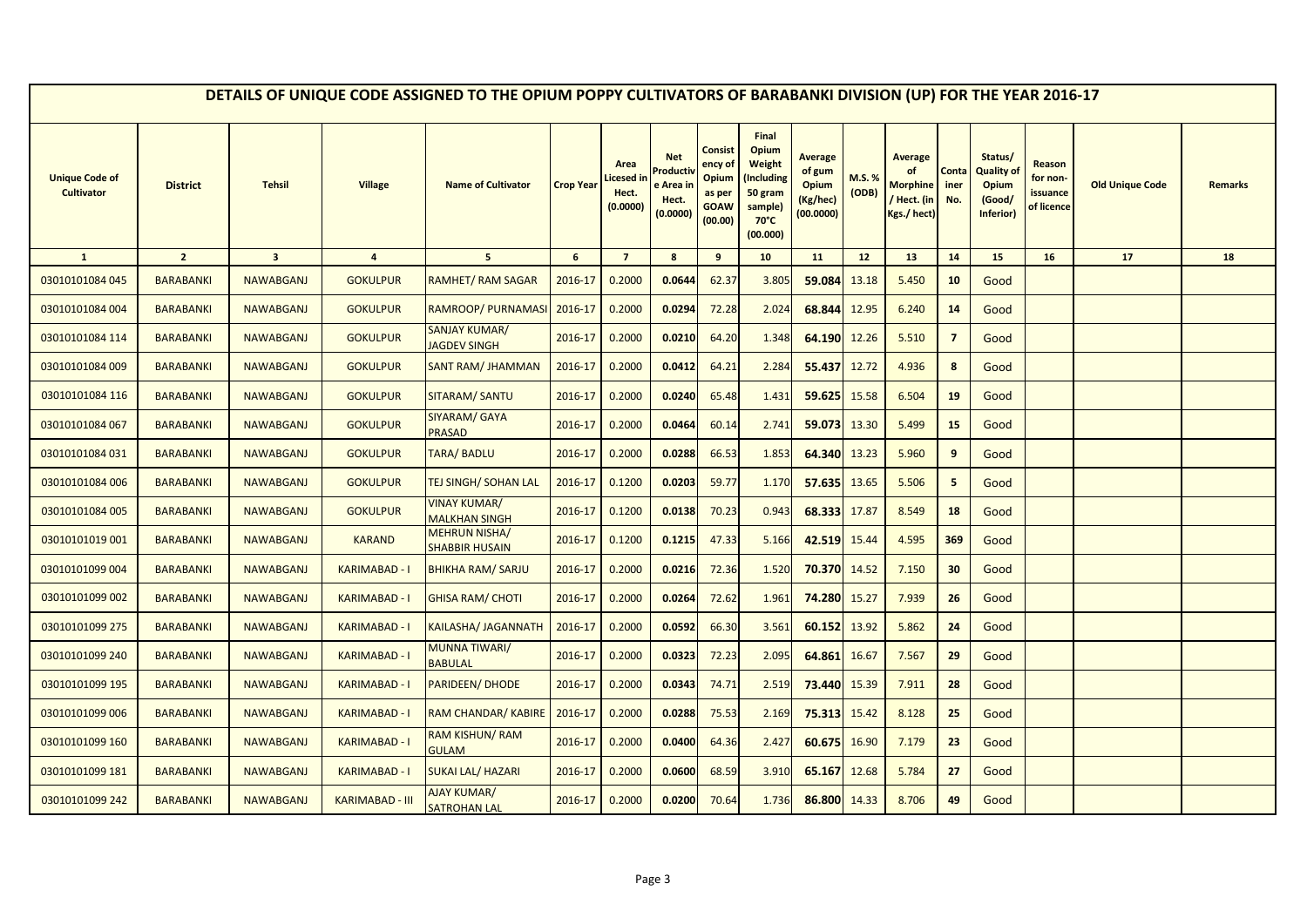|                                            |                  |                         |                        | DETAILS OF UNIQUE CODE ASSIGNED TO THE OPIUM POPPY CULTIVATORS OF BARABANKI DIVISION (UP) FOR THE YEAR 2016-17 |                  |                                        |                                                      |                                                                        |                                                                                            |                                                            |                 |                                                                     |                      |                                                              |                                              |                        |                |
|--------------------------------------------|------------------|-------------------------|------------------------|----------------------------------------------------------------------------------------------------------------|------------------|----------------------------------------|------------------------------------------------------|------------------------------------------------------------------------|--------------------------------------------------------------------------------------------|------------------------------------------------------------|-----------------|---------------------------------------------------------------------|----------------------|--------------------------------------------------------------|----------------------------------------------|------------------------|----------------|
| <b>Unique Code of</b><br><b>Cultivator</b> | <b>District</b>  | <b>Tehsil</b>           | <b>Village</b>         | <b>Name of Cultivator</b>                                                                                      | <b>Crop Year</b> | Area<br>icesed in<br>Hect.<br>(0.0000) | <b>Net</b><br>Product<br>e Area<br>Hect.<br>(0.0000) | <b>Consist</b><br>ency of<br>Opium<br>as per<br><b>GOAW</b><br>(00.00) | Final<br>Opium<br>Weight<br>Including)<br>50 gram<br>sample)<br>$70^{\circ}$ C<br>(00.000) | <b>Average</b><br>of gum<br>Opium<br>(Kg/hec)<br>(00.0000) | M.S. %<br>(ODB) | <b>Average</b><br>of<br><b>Morphine</b><br>Hect. (in<br>Kgs./ hect) | Conta<br>iner<br>No. | Status/<br>Quality of<br><b>Opium</b><br>(Good/<br>Inferior) | Reason<br>for non-<br>issuance<br>of licence | <b>Old Unique Code</b> | <b>Remarks</b> |
| $\mathbf{1}$                               | $\overline{2}$   | $\overline{\mathbf{3}}$ | $\overline{4}$         | 5 <sup>5</sup>                                                                                                 | 6                | $\overline{7}$                         | 8                                                    | 9                                                                      | 10                                                                                         | 11                                                         | 12              | 13                                                                  | 14                   | 15                                                           | 16                                           | 17                     | 18             |
| 03010101084 045                            | <b>BARABANKI</b> | <b>NAWABGANJ</b>        | <b>GOKULPUR</b>        | <b>RAMHET/ RAM SAGAR</b>                                                                                       | 2016-17          | 0.2000                                 | 0.0644                                               | 62.37                                                                  | 3.805                                                                                      | 59.084                                                     | 13.18           | 5.450                                                               | 10                   | Good                                                         |                                              |                        |                |
| 03010101084 004                            | <b>BARABANKI</b> | <b>NAWABGANJ</b>        | <b>GOKULPUR</b>        | RAMROOP/ PURNAMASI                                                                                             | 2016-17          | 0.2000                                 | 0.0294                                               | 72.28                                                                  | 2.024                                                                                      | 68.844                                                     | 12.95           | 6.240                                                               | 14                   | Good                                                         |                                              |                        |                |
| 03010101084 114                            | <b>BARABANKI</b> | <b>NAWABGANJ</b>        | <b>GOKULPUR</b>        | <b>SANJAY KUMAR/</b><br><b>JAGDEV SINGH</b>                                                                    | 2016-17          | 0.2000                                 | 0.0210                                               | 64.20                                                                  | 1.348                                                                                      | 64.190                                                     | 12.26           | 5.510                                                               | $\overline{7}$       | Good                                                         |                                              |                        |                |
| 03010101084 009                            | <b>BARABANKI</b> | <b>NAWABGANJ</b>        | <b>GOKULPUR</b>        | SANT RAM/ JHAMMAN                                                                                              | 2016-17          | 0.2000                                 | 0.0412                                               | 64.21                                                                  | 2.284                                                                                      | 55.437                                                     | 12.72           | 4.936                                                               | 8                    | Good                                                         |                                              |                        |                |
| 03010101084 116                            | <b>BARABANKI</b> | <b>NAWABGANJ</b>        | <b>GOKULPUR</b>        | <b>SITARAM/ SANTU</b>                                                                                          | 2016-17          | 0.2000                                 | 0.0240                                               | 65.48                                                                  | 1.431                                                                                      | 59.625                                                     | 15.58           | 6.504                                                               | 19                   | Good                                                         |                                              |                        |                |
| 03010101084 067                            | <b>BARABANKI</b> | <b>NAWABGANJ</b>        | <b>GOKULPUR</b>        | SIYARAM/ GAYA<br><b>PRASAD</b>                                                                                 | 2016-17          | 0.2000                                 | 0.0464                                               | 60.14                                                                  | 2.741                                                                                      | 59.073                                                     | 13.30           | 5.499                                                               | 15                   | Good                                                         |                                              |                        |                |
| 03010101084 031                            | <b>BARABANKI</b> | <b>NAWABGANJ</b>        | <b>GOKULPUR</b>        | <b>TARA/ BADLU</b>                                                                                             | 2016-17          | 0.2000                                 | 0.0288                                               | 66.53                                                                  | 1.853                                                                                      | 64.340                                                     | 13.23           | 5.960                                                               | 9                    | Good                                                         |                                              |                        |                |
| 03010101084 006                            | <b>BARABANKI</b> | <b>NAWABGANJ</b>        | <b>GOKULPUR</b>        | <b>TEJ SINGH/ SOHAN LAL</b>                                                                                    | 2016-17          | 0.1200                                 | 0.0203                                               | 59.77                                                                  | 1.170                                                                                      | 57.635                                                     | 13.65           | 5.506                                                               | 5                    | Good                                                         |                                              |                        |                |
| 03010101084 005                            | <b>BARABANKI</b> | <b>NAWABGANJ</b>        | <b>GOKULPUR</b>        | VINAY KUMAR/<br><b>MALKHAN SINGH</b>                                                                           | 2016-17          | 0.1200                                 | 0.0138                                               | 70.23                                                                  | 0.943                                                                                      | 68.333                                                     | 17.87           | 8.549                                                               | 18                   | Good                                                         |                                              |                        |                |
| 03010101019 001                            | <b>BARABANKI</b> | <b>NAWABGANJ</b>        | <b>KARAND</b>          | <b>MEHRUN NISHA/</b><br><b>SHABBIR HUSAIN</b>                                                                  | 2016-17          | 0.1200                                 | 0.1215                                               | 47.33                                                                  | 5.166                                                                                      | 42.519                                                     | 15.44           | 4.595                                                               | 369                  | Good                                                         |                                              |                        |                |
| 03010101099 004                            | <b>BARABANKI</b> | <b>NAWABGANJ</b>        | KARIMABAD - I          | <b>BHIKHA RAM/ SARJU</b>                                                                                       | 2016-17          | 0.2000                                 | 0.0216                                               | 72.36                                                                  | 1.520                                                                                      | 70.370                                                     | 14.52           | 7.150                                                               | 30                   | Good                                                         |                                              |                        |                |
| 03010101099 002                            | <b>BARABANKI</b> | <b>NAWABGANJ</b>        | <b>KARIMABAD - I</b>   | <b>GHISA RAM/ CHOTI</b>                                                                                        | 2016-17          | 0.2000                                 | 0.0264                                               | 72.62                                                                  | 1.961                                                                                      | 74.280                                                     | 15.27           | 7.939                                                               | 26                   | Good                                                         |                                              |                        |                |
| 03010101099 275                            | <b>BARABANKI</b> | <b>NAWABGANJ</b>        | <b>KARIMABAD - I</b>   | KAILASHA/ JAGANNATH                                                                                            | 2016-17          | 0.2000                                 | 0.0592                                               | 66.30                                                                  | 3.561                                                                                      | 60.152                                                     | 13.92           | 5.862                                                               | 24                   | Good                                                         |                                              |                        |                |
| 03010101099 240                            | <b>BARABANKI</b> | <b>NAWABGANJ</b>        | <b>KARIMABAD - I</b>   | <b>MUNNA TIWARI/</b><br><b>BABULAL</b>                                                                         | 2016-17          | 0.2000                                 | 0.0323                                               | 72.23                                                                  | 2.095                                                                                      | 64.861                                                     | 16.67           | 7.567                                                               | 29                   | Good                                                         |                                              |                        |                |
| 03010101099 195                            | <b>BARABANKI</b> | <b>NAWABGANJ</b>        | <b>KARIMABAD - I</b>   | PARIDEEN/ DHODE                                                                                                | 2016-17          | 0.2000                                 | 0.0343                                               | 74.71                                                                  | 2.519                                                                                      | 73.440                                                     | 15.39           | 7.911                                                               | 28                   | Good                                                         |                                              |                        |                |
| 03010101099 006                            | <b>BARABANKI</b> | <b>NAWABGANJ</b>        | <b>KARIMABAD - I</b>   | RAM CHANDAR/ KABIRE                                                                                            | 2016-17          | 0.2000                                 | 0.0288                                               | 75.53                                                                  | 2.169                                                                                      | 75.313                                                     | 15.42           | 8.128                                                               | 25                   | Good                                                         |                                              |                        |                |
| 03010101099 160                            | <b>BARABANKI</b> | <b>NAWABGANJ</b>        | KARIMABAD - I          | <b>RAM KISHUN/ RAM</b><br><b>GULAM</b>                                                                         | 2016-17          | 0.2000                                 | 0.0400                                               | 64.36                                                                  | 2.427                                                                                      | 60.675                                                     | 16.90           | 7.179                                                               | 23                   | Good                                                         |                                              |                        |                |
| 03010101099 181                            | <b>BARABANKI</b> | <b>NAWABGANJ</b>        | KARIMABAD - I          | SUKAI LAL/ HAZARI                                                                                              | 2016-17          | 0.2000                                 | 0.0600                                               | 68.59                                                                  | 3.910                                                                                      | 65.167                                                     | 12.68           | 5.784                                                               | 27                   | Good                                                         |                                              |                        |                |
| 03010101099 242                            | <b>BARABANKI</b> | <b>NAWABGANJ</b>        | <b>KARIMABAD - III</b> | <b>AJAY KUMAR/</b><br>SATROHAN LAL                                                                             | 2016-17          | 0.2000                                 | 0.0200                                               | 70.64                                                                  | 1.736                                                                                      | 86.800                                                     | 14.33           | 8.706                                                               | 49                   | Good                                                         |                                              |                        |                |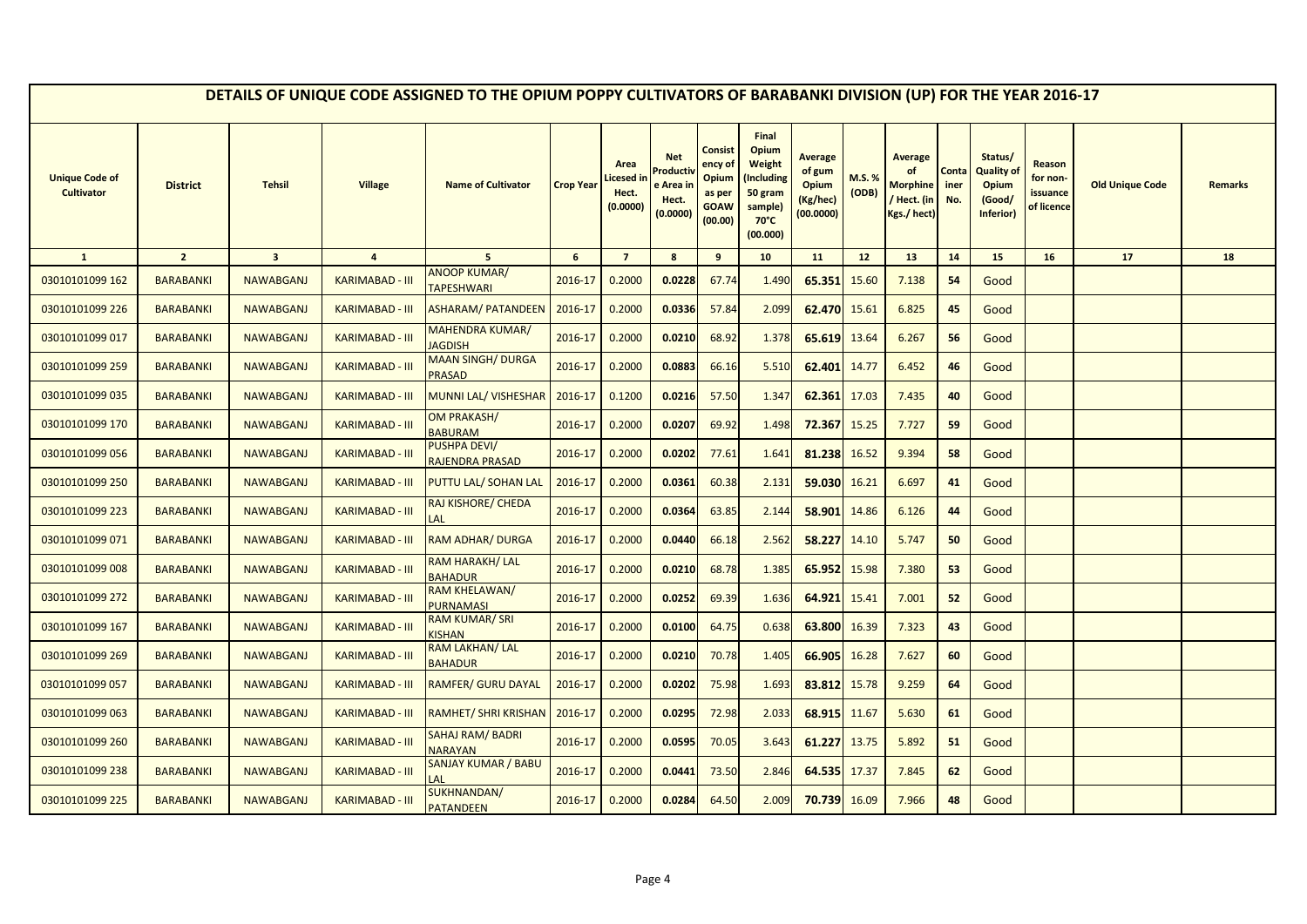|                                            |                  |                         |                        | DETAILS OF UNIQUE CODE ASSIGNED TO THE OPIUM POPPY CULTIVATORS OF BARABANKI DIVISION (UP) FOR THE YEAR 2016-17 |                  |                                        |                                                        |                                                                 |                                                                                            |                                                            |                |                                                                      |                      |                                                       |                                              |                        |                |
|--------------------------------------------|------------------|-------------------------|------------------------|----------------------------------------------------------------------------------------------------------------|------------------|----------------------------------------|--------------------------------------------------------|-----------------------------------------------------------------|--------------------------------------------------------------------------------------------|------------------------------------------------------------|----------------|----------------------------------------------------------------------|----------------------|-------------------------------------------------------|----------------------------------------------|------------------------|----------------|
| <b>Unique Code of</b><br><b>Cultivator</b> | <b>District</b>  | <b>Tehsil</b>           | <b>Village</b>         | <b>Name of Cultivator</b>                                                                                      | <b>Crop Year</b> | Area<br>icesed ir<br>Hect.<br>(0.0000) | <b>Net</b><br>Product<br>: Area i<br>Hect.<br>(0.0000) | Consist<br>ency of<br>Opium<br>as per<br><b>GOAW</b><br>(00.00) | Final<br>Opium<br>Weight<br>(Including<br>50 gram<br>sample)<br>$70^{\circ}$ C<br>(00.000) | <b>Average</b><br>of gum<br>Opium<br>(Kg/hec)<br>(00.0000) | M.S.%<br>(ODB) | <b>Average</b><br>of<br><b>Morphine</b><br>/ Hect. (in<br>Kgs./hect) | Conta<br>iner<br>No. | Status/<br>Quality of<br>Opium<br>(Good/<br>Inferior) | Reason<br>for non-<br>issuance<br>of licence | <b>Old Unique Code</b> | <b>Remarks</b> |
| $\mathbf{1}$                               | $\overline{2}$   | $\overline{\mathbf{3}}$ | $\overline{4}$         | 5 <sup>5</sup>                                                                                                 | 6                | $\overline{7}$                         | 8                                                      | 9                                                               | 10                                                                                         | 11                                                         | 12             | 13                                                                   | 14                   | 15                                                    | 16                                           | 17                     | 18             |
| 03010101099 162                            | <b>BARABANKI</b> | <b>NAWABGANJ</b>        | <b>KARIMABAD - III</b> | <b>ANOOP KUMAR/</b><br><b>TAPESHWARI</b>                                                                       | 2016-17          | 0.2000                                 | 0.0228                                                 | 67.74                                                           | 1.490                                                                                      | 65.351                                                     | 15.60          | 7.138                                                                | 54                   | Good                                                  |                                              |                        |                |
| 03010101099 226                            | <b>BARABANKI</b> | <b>NAWABGANJ</b>        | <b>KARIMABAD - III</b> | <b>ASHARAM/ PATANDEEN</b>                                                                                      | 2016-17          | 0.2000                                 | 0.0336                                                 | 57.84                                                           | 2.099                                                                                      | 62.470 15.61                                               |                | 6.825                                                                | 45                   | Good                                                  |                                              |                        |                |
| 03010101099 017                            | <b>BARABANKI</b> | <b>NAWABGANJ</b>        | <b>KARIMABAD - III</b> | <b>MAHENDRA KUMAR/</b><br><b>JAGDISH</b>                                                                       | 2016-17          | 0.2000                                 | 0.0210                                                 | 68.92                                                           | 1.378                                                                                      | 65.619                                                     | 13.64          | 6.267                                                                | 56                   | Good                                                  |                                              |                        |                |
| 03010101099 259                            | <b>BARABANKI</b> | <b>NAWABGANJ</b>        | <b>KARIMABAD - III</b> | <b>MAAN SINGH/ DURGA</b><br><b>PRASAD</b>                                                                      | 2016-17          | 0.2000                                 | 0.0883                                                 | 66.16                                                           | 5.510                                                                                      | 62.401                                                     | 14.77          | 6.452                                                                | 46                   | Good                                                  |                                              |                        |                |
| 03010101099 035                            | <b>BARABANKI</b> | <b>NAWABGANJ</b>        | KARIMABAD - III        | MUNNI LAL/ VISHESHAR                                                                                           | 2016-17          | 0.1200                                 | 0.0216                                                 | 57.50                                                           | 1.347                                                                                      | 62.361                                                     | 17.03          | 7.435                                                                | 40                   | Good                                                  |                                              |                        |                |
| 03010101099 170                            | <b>BARABANKI</b> | <b>NAWABGANJ</b>        | <b>KARIMABAD - III</b> | OM PRAKASH/<br><b>BABURAM</b>                                                                                  | 2016-17          | 0.2000                                 | 0.0207                                                 | 69.92                                                           | 1.498                                                                                      | 72.367                                                     | 15.25          | 7.727                                                                | 59                   | Good                                                  |                                              |                        |                |
| 03010101099 056                            | <b>BARABANKI</b> | <b>NAWABGANJ</b>        | <b>KARIMABAD - III</b> | <b>PUSHPA DEVI/</b><br>RAJENDRA PRASAD                                                                         | 2016-17          | 0.2000                                 | 0.0202                                                 | 77.61                                                           | 1.641                                                                                      | 81.238                                                     | 16.52          | 9.394                                                                | 58                   | Good                                                  |                                              |                        |                |
| 03010101099 250                            | <b>BARABANKI</b> | <b>NAWABGANJ</b>        | <b>KARIMABAD - III</b> | PUTTU LAL/ SOHAN LAL                                                                                           | 2016-17          | 0.2000                                 | 0.0361                                                 | 60.38                                                           | 2.131                                                                                      | 59.030 16.21                                               |                | 6.697                                                                | 41                   | Good                                                  |                                              |                        |                |
| 03010101099 223                            | <b>BARABANKI</b> | <b>NAWABGANJ</b>        | <b>KARIMABAD - III</b> | RAJ KISHORE/ CHEDA                                                                                             | 2016-17          | 0.2000                                 | 0.0364                                                 | 63.85                                                           | 2.144                                                                                      | 58.901                                                     | 14.86          | 6.126                                                                | 44                   | Good                                                  |                                              |                        |                |
| 03010101099 071                            | <b>BARABANKI</b> | <b>NAWABGANJ</b>        | <b>KARIMABAD - III</b> | RAM ADHAR/ DURGA                                                                                               | 2016-17          | 0.2000                                 | 0.0440                                                 | 66.18                                                           | 2.562                                                                                      | 58.227                                                     | 14.10          | 5.747                                                                | 50                   | Good                                                  |                                              |                        |                |
| 03010101099 008                            | <b>BARABANKI</b> | <b>NAWABGANJ</b>        | <b>KARIMABAD - III</b> | RAM HARAKH/ LAL<br><b>BAHADUR</b>                                                                              | 2016-17          | 0.2000                                 | 0.0210                                                 | 68.78                                                           | 1.385                                                                                      | 65.952                                                     | 15.98          | 7.380                                                                | 53                   | Good                                                  |                                              |                        |                |
| 03010101099 272                            | <b>BARABANKI</b> | <b>NAWABGANJ</b>        | <b>KARIMABAD - III</b> | RAM KHELAWAN/<br><b>PURNAMASI</b>                                                                              | 2016-17          | 0.2000                                 | 0.0252                                                 | 69.39                                                           | 1.636                                                                                      | 64.921                                                     | 15.41          | 7.001                                                                | 52                   | Good                                                  |                                              |                        |                |
| 03010101099 167                            | <b>BARABANKI</b> | <b>NAWABGANJ</b>        | <b>KARIMABAD - III</b> | RAM KUMAR/SRI<br>KISHAN                                                                                        | 2016-17          | 0.2000                                 | 0.0100                                                 | 64.75                                                           | 0.638                                                                                      | 63.800                                                     | 16.39          | 7.323                                                                | 43                   | Good                                                  |                                              |                        |                |
| 03010101099 269                            | <b>BARABANKI</b> | <b>NAWABGANJ</b>        | <b>KARIMABAD - III</b> | RAM LAKHAN/ LAL<br><b>BAHADUR</b>                                                                              | 2016-17          | 0.2000                                 | 0.0210                                                 | 70.78                                                           | 1.405                                                                                      | 66.905                                                     | 16.28          | 7.627                                                                | 60                   | Good                                                  |                                              |                        |                |
| 03010101099 057                            | <b>BARABANKI</b> | <b>NAWABGANJ</b>        | <b>KARIMABAD - III</b> | RAMFER/ GURU DAYAL                                                                                             | 2016-17          | 0.2000                                 | 0.0202                                                 | 75.98                                                           | 1.693                                                                                      | 83.812                                                     | 15.78          | 9.259                                                                | 64                   | Good                                                  |                                              |                        |                |
| 03010101099 063                            | <b>BARABANKI</b> | <b>NAWABGANJ</b>        | <b>KARIMABAD - III</b> | RAMHET/ SHRI KRISHAN                                                                                           | 2016-17          | 0.2000                                 | 0.0295                                                 | 72.98                                                           | 2.033                                                                                      | 68.915                                                     | 11.67          | 5.630                                                                | 61                   | Good                                                  |                                              |                        |                |
| 03010101099 260                            | <b>BARABANKI</b> | <b>NAWABGANJ</b>        | <b>KARIMABAD - III</b> | SAHAJ RAM/BADRI<br><b>NARAYAN</b>                                                                              | 2016-17          | 0.2000                                 | 0.0595                                                 | 70.05                                                           | 3.643                                                                                      | 61.227                                                     | 13.75          | 5.892                                                                | 51                   | Good                                                  |                                              |                        |                |
| 03010101099 238                            | <b>BARABANKI</b> | <b>NAWABGANJ</b>        | KARIMABAD - III        | SANJAY KUMAR / BABU<br>AL                                                                                      | 2016-17          | 0.2000                                 | 0.0441                                                 | 73.50                                                           | 2.846                                                                                      | 64.535 17.37                                               |                | 7.845                                                                | 62                   | Good                                                  |                                              |                        |                |
| 03010101099 225                            | <b>BARABANKI</b> | <b>NAWABGANJ</b>        | <b>KARIMABAD - III</b> | SUKHNANDAN/<br><b>PATANDEEN</b>                                                                                | 2016-17          | 0.2000                                 | 0.0284                                                 | 64.50                                                           | 2.009                                                                                      | 70.739                                                     | 16.09          | 7.966                                                                | 48                   | Good                                                  |                                              |                        |                |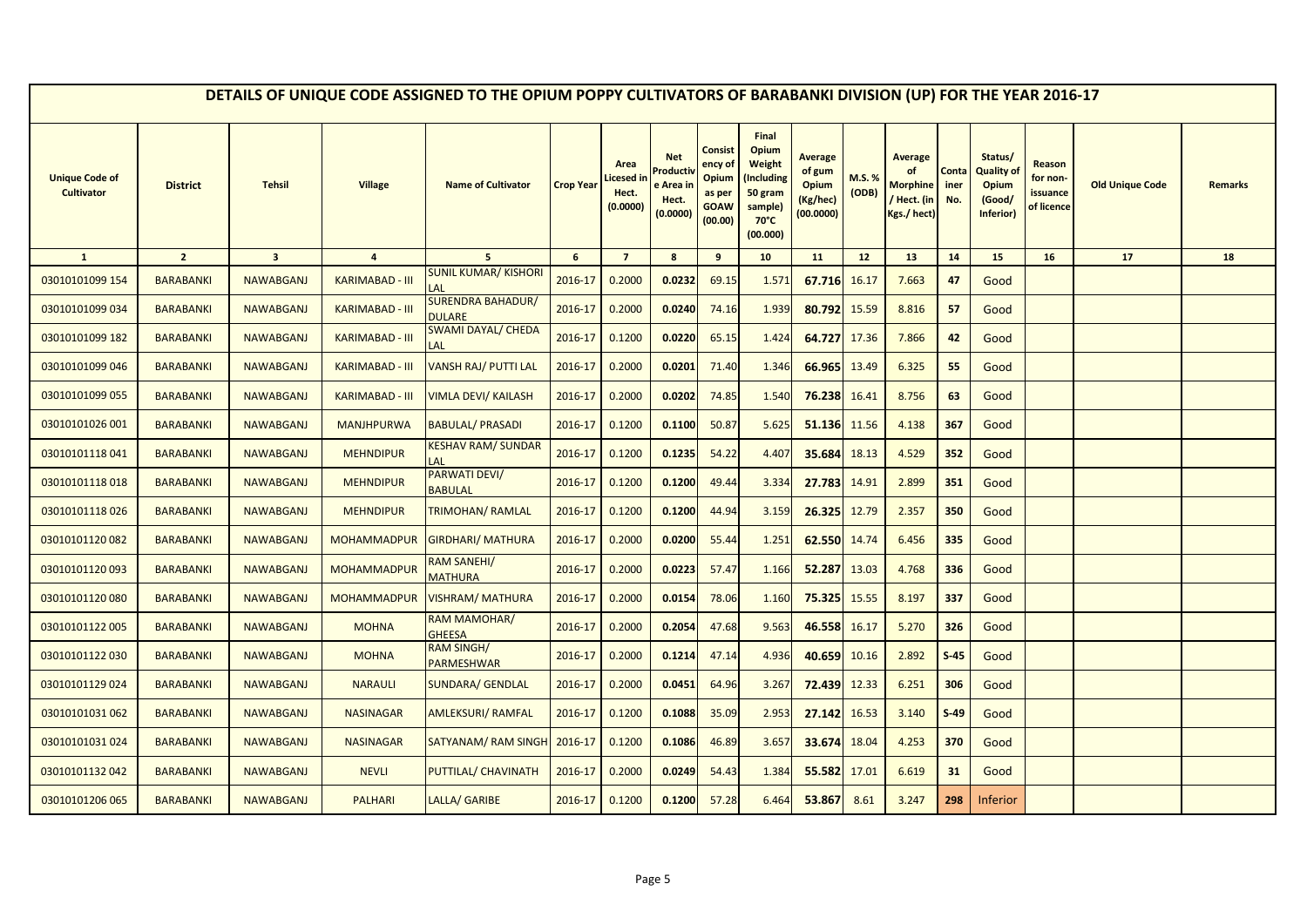|                                            |                  |                         |                        | DETAILS OF UNIQUE CODE ASSIGNED TO THE OPIUM POPPY CULTIVATORS OF BARABANKI DIVISION (UP) FOR THE YEAR 2016-17 |                  |                                        |                                                      |                                                                        |                                                                                            |                                                            |                 |                                                                     |                      |                                                                     |                                              |                        |         |
|--------------------------------------------|------------------|-------------------------|------------------------|----------------------------------------------------------------------------------------------------------------|------------------|----------------------------------------|------------------------------------------------------|------------------------------------------------------------------------|--------------------------------------------------------------------------------------------|------------------------------------------------------------|-----------------|---------------------------------------------------------------------|----------------------|---------------------------------------------------------------------|----------------------------------------------|------------------------|---------|
| <b>Unique Code of</b><br><b>Cultivator</b> | <b>District</b>  | <b>Tehsil</b>           | <b>Village</b>         | <b>Name of Cultivator</b>                                                                                      | <b>Crop Year</b> | Area<br>icesed in<br>Hect.<br>(0.0000) | <b>Net</b><br>Product<br>e Area<br>Hect.<br>(0.0000) | <b>Consist</b><br>ency of<br>Opium<br>as per<br><b>GOAW</b><br>(00.00) | Final<br>Opium<br>Weight<br>Including)<br>50 gram<br>sample)<br>$70^{\circ}$ C<br>(00.000) | Average<br>of gum<br><b>Opium</b><br>(Kg/hec)<br>(00.0000) | M.S. %<br>(ODB) | <b>Average</b><br>of<br><b>Morphine</b><br>Hect. (in<br>Kgs./ hect) | Conta<br>iner<br>No. | Status/<br><b>Quality of</b><br><b>Opium</b><br>(Good/<br>Inferior) | Reason<br>for non-<br>issuance<br>of licence | <b>Old Unique Code</b> | Remarks |
| $\mathbf{1}$                               | $\overline{2}$   | $\overline{\mathbf{3}}$ | $\overline{4}$         | 5 <sup>1</sup>                                                                                                 | 6                | $\overline{7}$                         | 8                                                    | 9                                                                      | 10                                                                                         | 11                                                         | 12              | 13                                                                  | 14                   | 15                                                                  | 16                                           | 17                     | 18      |
| 03010101099 154                            | <b>BARABANKI</b> | <b>NAWABGANJ</b>        | <b>KARIMABAD - III</b> | <b>SUNIL KUMAR/ KISHORI</b><br>LAL                                                                             | 2016-17          | 0.2000                                 | 0.0232                                               | 69.15                                                                  | 1.571                                                                                      | 67.716                                                     | 16.17           | 7.663                                                               | 47                   | Good                                                                |                                              |                        |         |
| 03010101099 034                            | <b>BARABANKI</b> | <b>NAWABGANJ</b>        | <b>KARIMABAD - III</b> | <b>SURENDRA BAHADUR/</b><br><b>DULARE</b>                                                                      | 2016-17          | 0.2000                                 | 0.0240                                               | 74.16                                                                  | 1.939                                                                                      | 80.792                                                     | 15.59           | 8.816                                                               | 57                   | Good                                                                |                                              |                        |         |
| 03010101099 182                            | <b>BARABANKI</b> | <b>NAWABGANJ</b>        | <b>KARIMABAD - III</b> | <b>SWAMI DAYAL/ CHEDA</b><br>LAL                                                                               | 2016-17          | 0.1200                                 | 0.0220                                               | 65.15                                                                  | 1.424                                                                                      | 64.727                                                     | 17.36           | 7.866                                                               | 42                   | Good                                                                |                                              |                        |         |
| 03010101099 046                            | <b>BARABANKI</b> | <b>NAWABGANJ</b>        | <b>KARIMABAD - III</b> | VANSH RAJ/ PUTTI LAL                                                                                           | 2016-17          | 0.2000                                 | 0.0201                                               | 71.40                                                                  | 1.346                                                                                      | 66.965                                                     | 13.49           | 6.325                                                               | 55                   | Good                                                                |                                              |                        |         |
| 03010101099 055                            | <b>BARABANKI</b> | <b>NAWABGANJ</b>        | <b>KARIMABAD - III</b> | VIMLA DEVI/ KAILASH                                                                                            | 2016-17          | 0.2000                                 | 0.0202                                               | 74.85                                                                  | 1.540                                                                                      | 76.238                                                     | 16.41           | 8.756                                                               | 63                   | Good                                                                |                                              |                        |         |
| 03010101026 001                            | <b>BARABANKI</b> | <b>NAWABGANJ</b>        | <b>MANJHPURWA</b>      | <b>BABULAL/ PRASADI</b>                                                                                        | 2016-17          | 0.1200                                 | 0.1100                                               | 50.87                                                                  | 5.625                                                                                      | 51.136 11.56                                               |                 | 4.138                                                               | 367                  | Good                                                                |                                              |                        |         |
| 03010101118041                             | <b>BARABANKI</b> | <b>NAWABGANJ</b>        | <b>MEHNDIPUR</b>       | <b>KESHAV RAM/ SUNDAR</b><br>LAL                                                                               | 2016-17          | 0.1200                                 | 0.1235                                               | 54.22                                                                  | 4.407                                                                                      | 35.684                                                     | 18.13           | 4.529                                                               | 352                  | Good                                                                |                                              |                        |         |
| 03010101118018                             | <b>BARABANKI</b> | <b>NAWABGANJ</b>        | <b>MEHNDIPUR</b>       | PARWATI DEVI/<br><b>BABULAL</b>                                                                                | 2016-17          | 0.1200                                 | 0.1200                                               | 49.44                                                                  | 3.334                                                                                      | 27.783 14.91                                               |                 | 2.899                                                               | 351                  | Good                                                                |                                              |                        |         |
| 03010101118026                             | <b>BARABANKI</b> | <b>NAWABGANJ</b>        | <b>MEHNDIPUR</b>       | TRIMOHAN/RAMLAL                                                                                                | 2016-17          | 0.1200                                 | 0.1200                                               | 44.94                                                                  | 3.159                                                                                      | 26.325                                                     | 12.79           | 2.357                                                               | 350                  | Good                                                                |                                              |                        |         |
| 03010101120082                             | <b>BARABANKI</b> | <b>NAWABGANJ</b>        | <b>MOHAMMADPUR</b>     | <b>GIRDHARI/ MATHURA</b>                                                                                       | 2016-17          | 0.2000                                 | 0.0200                                               | 55.44                                                                  | 1.251                                                                                      | 62.550                                                     | 14.74           | 6.456                                                               | 335                  | Good                                                                |                                              |                        |         |
| 03010101120093                             | <b>BARABANKI</b> | <b>NAWABGANJ</b>        | <b>MOHAMMADPUR</b>     | <b>RAM SANEHI/</b><br><b>MATHURA</b>                                                                           | 2016-17          | 0.2000                                 | 0.0223                                               | 57.47                                                                  | 1.166                                                                                      | 52.287                                                     | 13.03           | 4.768                                                               | 336                  | Good                                                                |                                              |                        |         |
| 03010101120080                             | <b>BARABANKI</b> | <b>NAWABGANJ</b>        | <b>MOHAMMADPUR</b>     | <b>VISHRAM/ MATHURA</b>                                                                                        | 2016-17          | 0.2000                                 | 0.0154                                               | 78.06                                                                  | 1.160                                                                                      | 75.325                                                     | 15.55           | 8.197                                                               | 337                  | Good                                                                |                                              |                        |         |
| 03010101122 005                            | <b>BARABANKI</b> | <b>NAWABGANJ</b>        | <b>MOHNA</b>           | <b>RAM MAMOHAR/</b><br><b>GHEESA</b>                                                                           | 2016-17          | 0.2000                                 | 0.2054                                               | 47.68                                                                  | 9.563                                                                                      | 46.558                                                     | 16.17           | 5.270                                                               | 326                  | Good                                                                |                                              |                        |         |
| 03010101122 030                            | <b>BARABANKI</b> | <b>NAWABGANJ</b>        | <b>MOHNA</b>           | <b>RAM SINGH/</b><br><b>PARMESHWAR</b>                                                                         | 2016-17          | 0.2000                                 | 0.1214                                               | 47.14                                                                  | 4.936                                                                                      | 40.659                                                     | 10.16           | 2.892                                                               | $S-45$               | Good                                                                |                                              |                        |         |
| 03010101129 024                            | <b>BARABANKI</b> | <b>NAWABGANJ</b>        | <b>NARAULI</b>         | <b>SUNDARA/ GENDLAL</b>                                                                                        | 2016-17          | 0.2000                                 | 0.0451                                               | 64.96                                                                  | 3.267                                                                                      | 72.439                                                     | 12.33           | 6.251                                                               | 306                  | Good                                                                |                                              |                        |         |
| 03010101031 062                            | <b>BARABANKI</b> | <b>NAWABGANJ</b>        | <b>NASINAGAR</b>       | <b>AMLEKSURI/ RAMFAL</b>                                                                                       | 2016-17          | 0.1200                                 | 0.1088                                               | 35.09                                                                  | 2.953                                                                                      | 27.142                                                     | 16.53           | 3.140                                                               | $S-49$               | Good                                                                |                                              |                        |         |
| 03010101031 024                            | <b>BARABANKI</b> | <b>NAWABGANJ</b>        | <b>NASINAGAR</b>       | SATYANAM/RAM SINGH                                                                                             | 2016-17          | 0.1200                                 | 0.1086                                               | 46.89                                                                  | 3.657                                                                                      | 33.674                                                     | 18.04           | 4.253                                                               | 370                  | Good                                                                |                                              |                        |         |
| 03010101132042                             | <b>BARABANKI</b> | <b>NAWABGANJ</b>        | <b>NEVLI</b>           | PUTTILAL/ CHAVINATH                                                                                            | 2016-17          | 0.2000                                 | 0.0249                                               | 54.43                                                                  | 1.384                                                                                      | 55.582                                                     | 17.01           | 6.619                                                               | 31                   | Good                                                                |                                              |                        |         |
| 03010101206 065                            | <b>BARABANKI</b> | <b>NAWABGANJ</b>        | <b>PALHARI</b>         | LALLA/ GARIBE                                                                                                  | 2016-17          | 0.1200                                 | 0.1200                                               | 57.28                                                                  | 6.464                                                                                      | 53.867                                                     | 8.61            | 3.247                                                               | 298                  | Inferior                                                            |                                              |                        |         |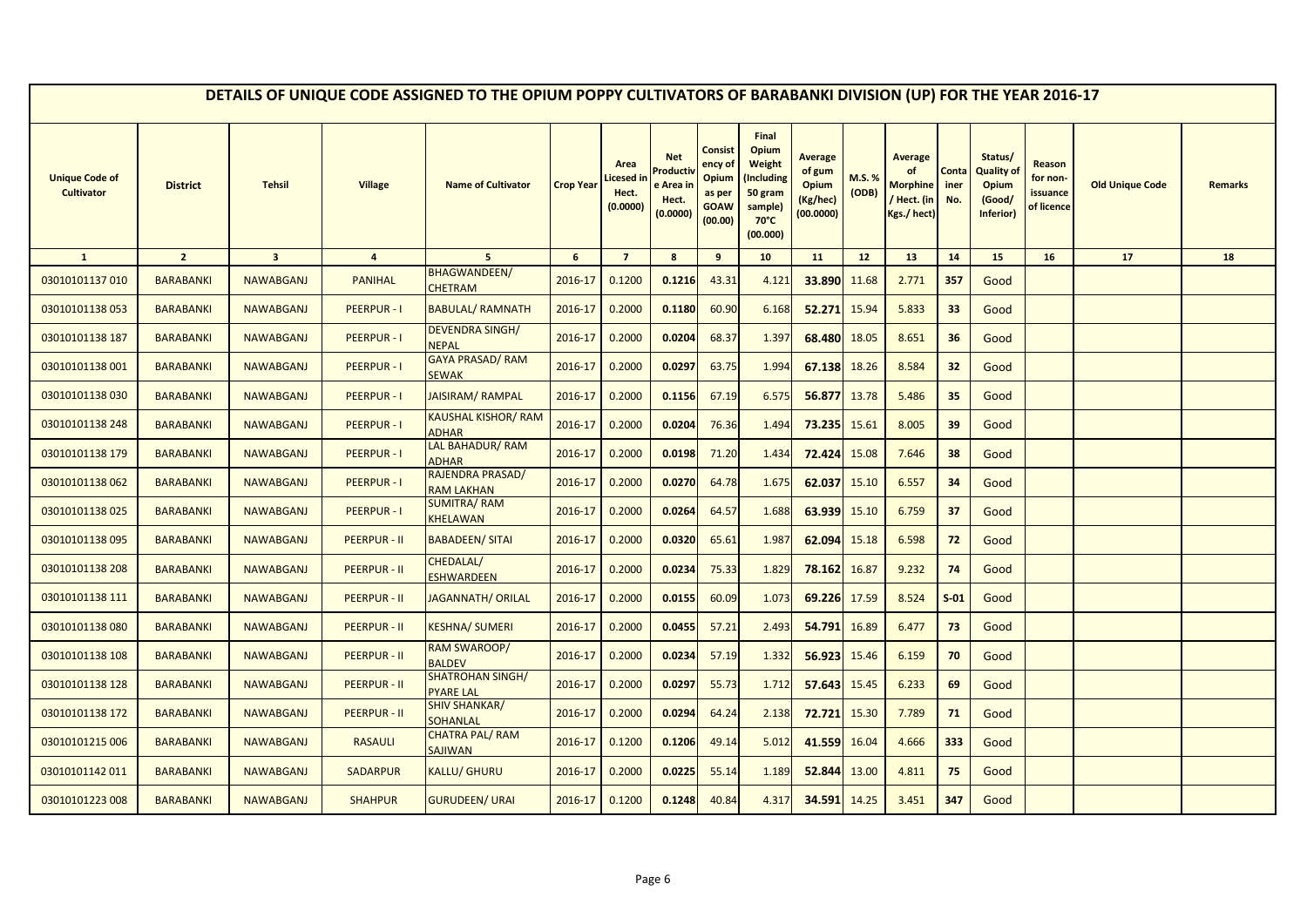|                                            |                  |                         |                     | DETAILS OF UNIQUE CODE ASSIGNED TO THE OPIUM POPPY CULTIVATORS OF BARABANKI DIVISION (UP) FOR THE YEAR 2016-17 |                  |                                               |                                                         |                                                                        |                                                                                            |                                                     |                 |                                                                     |                      |                                                                     |                                              |                        |                |
|--------------------------------------------|------------------|-------------------------|---------------------|----------------------------------------------------------------------------------------------------------------|------------------|-----------------------------------------------|---------------------------------------------------------|------------------------------------------------------------------------|--------------------------------------------------------------------------------------------|-----------------------------------------------------|-----------------|---------------------------------------------------------------------|----------------------|---------------------------------------------------------------------|----------------------------------------------|------------------------|----------------|
| <b>Unique Code of</b><br><b>Cultivator</b> | <b>District</b>  | <b>Tehsil</b>           | <b>Village</b>      | <b>Name of Cultivator</b>                                                                                      | <b>Crop Year</b> | Area<br><b>icesed in</b><br>Hect.<br>(0.0000) | <b>Net</b><br>Product<br>e Area in<br>Hect.<br>(0.0000) | <b>Consist</b><br>ency of<br>Opium<br>as per<br><b>GOAW</b><br>(00.00) | Final<br>Opium<br>Weight<br>Including)<br>50 gram<br>sample)<br>$70^{\circ}$ C<br>(00.000) | Average<br>of gum<br>Opium<br>(Kg/hec)<br>(00.0000) | M.S. %<br>(ODB) | <b>Average</b><br>of<br><b>Morphine</b><br>Hect. (in<br>Kgs./ hect) | Conta<br>iner<br>No. | Status/<br><b>Quality of</b><br><b>Opium</b><br>(Good/<br>Inferior) | Reason<br>for non-<br>issuance<br>of licence | <b>Old Unique Code</b> | <b>Remarks</b> |
| $\mathbf{1}$                               | $\overline{2}$   | $\overline{\mathbf{3}}$ | $\overline{a}$      | 5 <sup>1</sup>                                                                                                 | $6\phantom{1}$   | $\overline{7}$                                | $\boldsymbol{8}$                                        | 9                                                                      | 10                                                                                         | 11                                                  | 12              | 13                                                                  | 14                   | 15                                                                  | 16                                           | 17                     | 18             |
| 03010101137010                             | <b>BARABANKI</b> | <b>NAWABGANJ</b>        | <b>PANIHAL</b>      | <b>BHAGWANDEEN/</b><br><b>CHETRAM</b>                                                                          | 2016-17          | 0.1200                                        | 0.1216                                                  | 43.31                                                                  | 4.121                                                                                      | 33.890                                              | 11.68           | 2.771                                                               | 357                  | Good                                                                |                                              |                        |                |
| 03010101138053                             | <b>BARABANKI</b> | <b>NAWABGANJ</b>        | <b>PEERPUR-I</b>    | <b>BABULAL/ RAMNATH</b>                                                                                        | 2016-17          | 0.2000                                        | 0.1180                                                  | 60.90                                                                  | 6.168                                                                                      | 52.271                                              | 15.94           | 5.833                                                               | 33                   | Good                                                                |                                              |                        |                |
| 03010101138 187                            | <b>BARABANKI</b> | <b>NAWABGANJ</b>        | <b>PEERPUR-I</b>    | <b>DEVENDRA SINGH/</b><br><b>NEPAL</b>                                                                         | 2016-17          | 0.2000                                        | 0.0204                                                  | 68.37                                                                  | 1.397                                                                                      | 68.480                                              | 18.05           | 8.651                                                               | 36                   | Good                                                                |                                              |                        |                |
| 03010101138 001                            | <b>BARABANKI</b> | <b>NAWABGANJ</b>        | <b>PEERPUR-I</b>    | GAYA PRASAD/RAM<br><b>SEWAK</b>                                                                                | 2016-17          | 0.2000                                        | 0.0297                                                  | 63.75                                                                  | 1.994                                                                                      | 67.138                                              | 18.26           | 8.584                                                               | 32                   | Good                                                                |                                              |                        |                |
| 03010101138030                             | <b>BARABANKI</b> | <b>NAWABGANJ</b>        | <b>PEERPUR-I</b>    | JAISIRAM/RAMPAL                                                                                                | 2016-17          | 0.2000                                        | 0.1156                                                  | 67.19                                                                  | 6.575                                                                                      | 56.877                                              | 13.78           | 5.486                                                               | 35                   | Good                                                                |                                              |                        |                |
| 03010101138 248                            | <b>BARABANKI</b> | <b>NAWABGANJ</b>        | <b>PEERPUR-I</b>    | <b>KAUSHAL KISHOR/ RAM</b><br><b>ADHAR</b>                                                                     | 2016-17          | 0.2000                                        | 0.0204                                                  | 76.36                                                                  | 1.494                                                                                      | 73.235                                              | 15.61           | 8.005                                                               | 39                   | Good                                                                |                                              |                        |                |
| 03010101138 179                            | <b>BARABANKI</b> | <b>NAWABGANJ</b>        | <b>PEERPUR-I</b>    | LAL BAHADUR/RAM<br><b>ADHAR</b>                                                                                | 2016-17          | 0.2000                                        | 0.0198                                                  | 71.20                                                                  | 1.434                                                                                      | 72.424                                              | 15.08           | 7.646                                                               | 38                   | Good                                                                |                                              |                        |                |
| 03010101138062                             | <b>BARABANKI</b> | <b>NAWABGANJ</b>        | <b>PEERPUR-I</b>    | RAJENDRA PRASAD/<br><b>RAM LAKHAN</b>                                                                          | 2016-17          | 0.2000                                        | 0.0270                                                  | 64.78                                                                  | 1.675                                                                                      | 62.037                                              | 15.10           | 6.557                                                               | 34                   | Good                                                                |                                              |                        |                |
| 03010101138025                             | <b>BARABANKI</b> | <b>NAWABGANJ</b>        | <b>PEERPUR-I</b>    | <b>SUMITRA/RAM</b><br>KHELAWAN                                                                                 | 2016-17          | 0.2000                                        | 0.0264                                                  | 64.57                                                                  | 1.688                                                                                      | 63.939                                              | 15.10           | 6.759                                                               | 37                   | Good                                                                |                                              |                        |                |
| 03010101138095                             | <b>BARABANKI</b> | <b>NAWABGANJ</b>        | <b>PEERPUR - II</b> | <b>BABADEEN/ SITAI</b>                                                                                         | 2016-17          | 0.2000                                        | 0.0320                                                  | 65.61                                                                  | 1.987                                                                                      | 62.094                                              | 15.18           | 6.598                                                               | 72                   | Good                                                                |                                              |                        |                |
| 03010101138 208                            | <b>BARABANKI</b> | <b>NAWABGANJ</b>        | <b>PEERPUR - II</b> | CHEDALAL/<br><b>ESHWARDEEN</b>                                                                                 | 2016-17          | 0.2000                                        | 0.0234                                                  | 75.33                                                                  | 1.829                                                                                      | 78.162                                              | 16.87           | 9.232                                                               | 74                   | Good                                                                |                                              |                        |                |
| 03010101138 111                            | <b>BARABANKI</b> | <b>NAWABGANJ</b>        | <b>PEERPUR - II</b> | <b>JAGANNATH/ ORILAL</b>                                                                                       | 2016-17          | 0.2000                                        | 0.0155                                                  | 60.09                                                                  | 1.073                                                                                      | 69.226                                              | 17.59           | 8.524                                                               | $S-01$               | Good                                                                |                                              |                        |                |
| 03010101138080                             | <b>BARABANKI</b> | <b>NAWABGANJ</b>        | <b>PEERPUR - II</b> | <b>KESHNA/ SUMERI</b>                                                                                          | 2016-17          | 0.2000                                        | 0.0455                                                  | 57.21                                                                  | 2.493                                                                                      | 54.791                                              | 16.89           | 6.477                                                               | 73                   | Good                                                                |                                              |                        |                |
| 03010101138 108                            | <b>BARABANKI</b> | <b>NAWABGANJ</b>        | <b>PEERPUR - II</b> | <b>RAM SWAROOP/</b><br><b>BALDEV</b>                                                                           | 2016-17          | 0.2000                                        | 0.0234                                                  | 57.19                                                                  | 1.332                                                                                      | 56.923                                              | 15.46           | 6.159                                                               | 70                   | Good                                                                |                                              |                        |                |
| 03010101138 128                            | <b>BARABANKI</b> | <b>NAWABGANJ</b>        | <b>PEERPUR - II</b> | <b>SHATROHAN SINGH/</b><br><b>PYARE LAL</b>                                                                    | 2016-17          | 0.2000                                        | 0.0297                                                  | 55.73                                                                  | 1.712                                                                                      | 57.643                                              | 15.45           | 6.233                                                               | 69                   | Good                                                                |                                              |                        |                |
| 03010101138 172                            | <b>BARABANKI</b> | <b>NAWABGANJ</b>        | <b>PEERPUR - II</b> | <b>SHIV SHANKAR/</b><br><b>SOHANLAL</b>                                                                        | 2016-17          | 0.2000                                        | 0.0294                                                  | 64.24                                                                  | 2.138                                                                                      | 72.721                                              | 15.30           | 7.789                                                               | 71                   | Good                                                                |                                              |                        |                |
| 03010101215 006                            | <b>BARABANKI</b> | <b>NAWABGANJ</b>        | <b>RASAULI</b>      | <b>CHATRA PAL/RAM</b><br><b>SAJIWAN</b>                                                                        | 2016-17          | 0.1200                                        | 0.1206                                                  | 49.14                                                                  | 5.012                                                                                      | 41.559                                              | 16.04           | 4.666                                                               | 333                  | Good                                                                |                                              |                        |                |
| 03010101142011                             | <b>BARABANKI</b> | <b>NAWABGANJ</b>        | <b>SADARPUR</b>     | KALLU/ GHURU                                                                                                   | 2016-17          | 0.2000                                        | 0.0225                                                  | 55.14                                                                  | 1.189                                                                                      | 52.844                                              | 13.00           | 4.811                                                               | 75                   | Good                                                                |                                              |                        |                |
| 03010101223 008                            | <b>BARABANKI</b> | <b>NAWABGANJ</b>        | <b>SHAHPUR</b>      | <b>GURUDEEN/ URAI</b>                                                                                          | 2016-17          | 0.1200                                        | 0.1248                                                  | 40.84                                                                  | 4.317                                                                                      | 34.591                                              | 14.25           | 3.451                                                               | 347                  | Good                                                                |                                              |                        |                |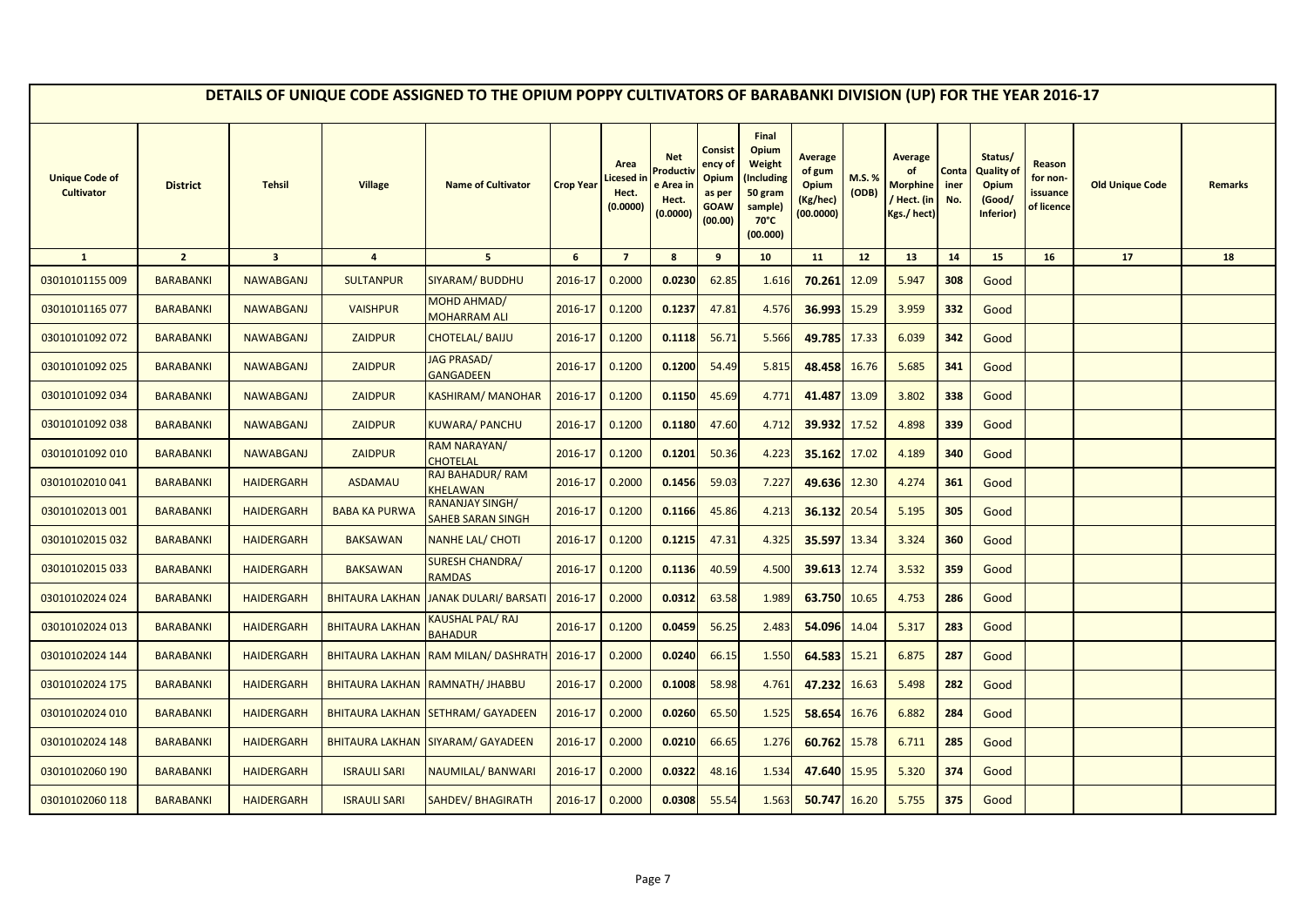|                                            |                  |                         |                        | DETAILS OF UNIQUE CODE ASSIGNED TO THE OPIUM POPPY CULTIVATORS OF BARABANKI DIVISION (UP) FOR THE YEAR 2016-17 |                  |                                        |                                                      |                                                                        |                                                                                            |                                                     |                 |                                                                     |                      |                                                              |                                              |                        |                |
|--------------------------------------------|------------------|-------------------------|------------------------|----------------------------------------------------------------------------------------------------------------|------------------|----------------------------------------|------------------------------------------------------|------------------------------------------------------------------------|--------------------------------------------------------------------------------------------|-----------------------------------------------------|-----------------|---------------------------------------------------------------------|----------------------|--------------------------------------------------------------|----------------------------------------------|------------------------|----------------|
| <b>Unique Code of</b><br><b>Cultivator</b> | <b>District</b>  | <b>Tehsil</b>           | <b>Village</b>         | <b>Name of Cultivator</b>                                                                                      | <b>Crop Year</b> | Area<br>icesed in<br>Hect.<br>(0.0000) | <b>Net</b><br>Product<br>e Area<br>Hect.<br>(0.0000) | <b>Consist</b><br>ency of<br>Opium<br>as per<br><b>GOAW</b><br>(00.00) | Final<br>Opium<br>Weight<br>Including)<br>50 gram<br>sample)<br>$70^{\circ}$ C<br>(00.000) | Average<br>of gum<br>Opium<br>(Kg/hec)<br>(00.0000) | M.S. %<br>(ODB) | <b>Average</b><br>of<br><b>Morphine</b><br>Hect. (in<br>Kgs./ hect) | Conta<br>iner<br>No. | Status/<br><b>Quality of</b><br>Opium<br>(Good/<br>Inferior) | Reason<br>for non-<br>issuance<br>of licence | <b>Old Unique Code</b> | <b>Remarks</b> |
| $\mathbf{1}$                               | $\overline{2}$   | $\overline{\mathbf{3}}$ | $\overline{4}$         | 5 <sup>1</sup>                                                                                                 | 6                | $\overline{7}$                         | 8                                                    | 9                                                                      | 10                                                                                         | 11                                                  | 12              | 13                                                                  | 14                   | 15                                                           | 16                                           | 17                     | 18             |
| 03010101155 009                            | <b>BARABANKI</b> | <b>NAWABGANJ</b>        | <b>SULTANPUR</b>       | <b>SIYARAM/ BUDDHU</b>                                                                                         | 2016-17          | 0.2000                                 | 0.0230                                               | 62.85                                                                  | 1.616                                                                                      | 70.261                                              | 12.09           | 5.947                                                               | 308                  | Good                                                         |                                              |                        |                |
| 03010101165 077                            | <b>BARABANKI</b> | <b>NAWABGANJ</b>        | <b>VAISHPUR</b>        | MOHD AHMAD/<br><b>MOHARRAM ALI</b>                                                                             | 2016-17          | 0.1200                                 | 0.1237                                               | 47.81                                                                  | 4.576                                                                                      | 36.993                                              | 15.29           | 3.959                                                               | 332                  | Good                                                         |                                              |                        |                |
| 03010101092 072                            | <b>BARABANKI</b> | <b>NAWABGANJ</b>        | <b>ZAIDPUR</b>         | CHOTELAL/BAIJU                                                                                                 | 2016-17          | 0.1200                                 | 0.1118                                               | 56.71                                                                  | 5.566                                                                                      | 49.785                                              | 17.33           | 6.039                                                               | 342                  | Good                                                         |                                              |                        |                |
| 03010101092 025                            | <b>BARABANKI</b> | <b>NAWABGANJ</b>        | <b>ZAIDPUR</b>         | <b>JAG PRASAD/</b><br><b>GANGADEEN</b>                                                                         | 2016-17          | 0.1200                                 | 0.1200                                               | 54.49                                                                  | 5.815                                                                                      | 48.458                                              | 16.76           | 5.685                                                               | 341                  | Good                                                         |                                              |                        |                |
| 03010101092 034                            | <b>BARABANKI</b> | <b>NAWABGANJ</b>        | <b>ZAIDPUR</b>         | KASHIRAM/ MANOHAR                                                                                              | 2016-17          | 0.1200                                 | 0.1150                                               | 45.69                                                                  | 4.771                                                                                      | 41.487                                              | 13.09           | 3.802                                                               | 338                  | Good                                                         |                                              |                        |                |
| 03010101092 038                            | <b>BARABANKI</b> | <b>NAWABGANJ</b>        | <b>ZAIDPUR</b>         | KUWARA/ PANCHU                                                                                                 | 2016-17          | 0.1200                                 | 0.1180                                               | 47.60                                                                  | 4.712                                                                                      | 39.932                                              | 17.52           | 4.898                                                               | 339                  | Good                                                         |                                              |                        |                |
| 03010101092 010                            | <b>BARABANKI</b> | <b>NAWABGANJ</b>        | <b>ZAIDPUR</b>         | <b>RAM NARAYAN/</b><br><b>CHOTELAL</b>                                                                         | 2016-17          | 0.1200                                 | 0.1201                                               | 50.36                                                                  | 4.223                                                                                      | 35.162                                              | 17.02           | 4.189                                                               | 340                  | Good                                                         |                                              |                        |                |
| 03010102010041                             | <b>BARABANKI</b> | <b>HAIDERGARH</b>       | ASDAMAU                | RAJ BAHADUR/RAM<br>KHELAWAN                                                                                    | 2016-17          | 0.2000                                 | 0.1456                                               | 59.03                                                                  | 7.227                                                                                      | 49.636 12.30                                        |                 | 4.274                                                               | 361                  | Good                                                         |                                              |                        |                |
| 03010102013 001                            | <b>BARABANKI</b> | <b>HAIDERGARH</b>       | <b>BABA KA PURWA</b>   | <b>RANANJAY SINGH/</b><br>SAHEB SARAN SINGH                                                                    | 2016-17          | 0.1200                                 | 0.1166                                               | 45.86                                                                  | 4.213                                                                                      | 36.132                                              | 20.54           | 5.195                                                               | 305                  | Good                                                         |                                              |                        |                |
| 03010102015 032                            | <b>BARABANKI</b> | <b>HAIDERGARH</b>       | <b>BAKSAWAN</b>        | <b>NANHE LAL/ CHOTI</b>                                                                                        | 2016-17          | 0.1200                                 | 0.1215                                               | 47.31                                                                  | 4.325                                                                                      | 35.597                                              | 13.34           | 3.324                                                               | 360                  | Good                                                         |                                              |                        |                |
| 03010102015 033                            | <b>BARABANKI</b> | <b>HAIDERGARH</b>       | <b>BAKSAWAN</b>        | <b>SURESH CHANDRA/</b><br><b>RAMDAS</b>                                                                        | 2016-17          | 0.1200                                 | 0.1136                                               | 40.59                                                                  | 4.500                                                                                      | 39.613                                              | 12.74           | 3.532                                                               | 359                  | Good                                                         |                                              |                        |                |
| 03010102024 024                            | <b>BARABANKI</b> | <b>HAIDERGARH</b>       | <b>BHITAURA LAKHAN</b> | <b>JANAK DULARI/ BARSATI</b>                                                                                   | 2016-17          | 0.2000                                 | 0.0312                                               | 63.58                                                                  | 1.989                                                                                      | 63.750                                              | 10.65           | 4.753                                                               | 286                  | Good                                                         |                                              |                        |                |
| 03010102024 013                            | <b>BARABANKI</b> | <b>HAIDERGARH</b>       | <b>BHITAURA LAKHAN</b> | KAUSHAL PAL/ RAJ<br><b>BAHADUR</b>                                                                             | 2016-17          | 0.1200                                 | 0.0459                                               | 56.25                                                                  | 2.483                                                                                      | 54.096                                              | 14.04           | 5.317                                                               | 283                  | Good                                                         |                                              |                        |                |
| 03010102024 144                            | <b>BARABANKI</b> | <b>HAIDERGARH</b>       | <b>BHITAURA LAKHAN</b> | <b>RAM MILAN/ DASHRATH</b>                                                                                     | 2016-17          | 0.2000                                 | 0.0240                                               | 66.15                                                                  | 1.550                                                                                      | 64.583                                              | 15.21           | 6.875                                                               | 287                  | Good                                                         |                                              |                        |                |
| 03010102024 175                            | <b>BARABANKI</b> | <b>HAIDERGARH</b>       |                        | BHITAURA LAKHAN RAMNATH/ JHABBU                                                                                | 2016-17          | 0.2000                                 | 0.1008                                               | 58.98                                                                  | 4.761                                                                                      | 47.232                                              | 16.63           | 5.498                                                               | 282                  | Good                                                         |                                              |                        |                |
| 03010102024 010                            | <b>BARABANKI</b> | <b>HAIDERGARH</b>       |                        | BHITAURA LAKHAN SETHRAM/ GAYADEEN                                                                              | 2016-17          | 0.2000                                 | 0.0260                                               | 65.50                                                                  | 1.525                                                                                      | 58.654                                              | 16.76           | 6.882                                                               | 284                  | Good                                                         |                                              |                        |                |
| 03010102024 148                            | <b>BARABANKI</b> | <b>HAIDERGARH</b>       |                        | BHITAURA LAKHAN SIYARAM/ GAYADEEN                                                                              | 2016-17          | 0.2000                                 | 0.0210                                               | 66.65                                                                  | 1.276                                                                                      | 60.762                                              | 15.78           | 6.711                                                               | 285                  | Good                                                         |                                              |                        |                |
| 03010102060 190                            | <b>BARABANKI</b> | <b>HAIDERGARH</b>       | <b>ISRAULI SARI</b>    | <b>NAUMILAL/ BANWARI</b>                                                                                       | 2016-17          | 0.2000                                 | 0.0322                                               | 48.16                                                                  | 1.534                                                                                      | 47.640                                              | 15.95           | 5.320                                                               | 374                  | Good                                                         |                                              |                        |                |
| 03010102060 118                            | <b>BARABANKI</b> | <b>HAIDERGARH</b>       | <b>ISRAULI SARI</b>    | SAHDEV/BHAGIRATH                                                                                               | 2016-17          | 0.2000                                 | 0.0308                                               | 55.54                                                                  | 1.563                                                                                      | 50.747                                              | 16.20           | 5.755                                                               | 375                  | Good                                                         |                                              |                        |                |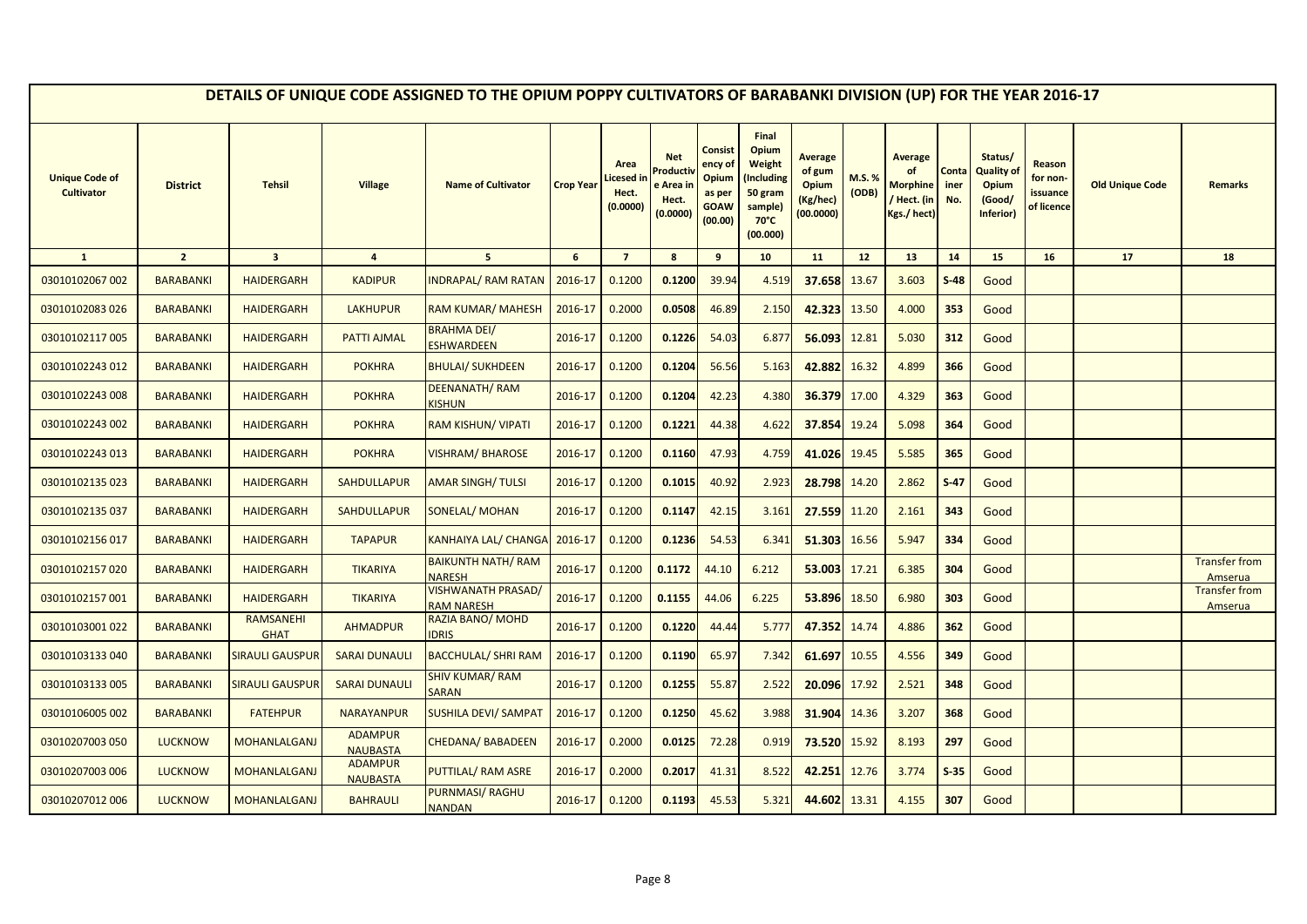|                                            |                  |                                 |                                   | DETAILS OF UNIQUE CODE ASSIGNED TO THE OPIUM POPPY CULTIVATORS OF BARABANKI DIVISION (UP) FOR THE YEAR 2016-17 |                  |                                        |                                                      |                                                                        |                                                                                            |                                                                   |                 |                                                                     |                      |                                                                     |                                              |                        |                                 |
|--------------------------------------------|------------------|---------------------------------|-----------------------------------|----------------------------------------------------------------------------------------------------------------|------------------|----------------------------------------|------------------------------------------------------|------------------------------------------------------------------------|--------------------------------------------------------------------------------------------|-------------------------------------------------------------------|-----------------|---------------------------------------------------------------------|----------------------|---------------------------------------------------------------------|----------------------------------------------|------------------------|---------------------------------|
| <b>Unique Code of</b><br><b>Cultivator</b> | <b>District</b>  | <b>Tehsil</b>                   | <b>Village</b>                    | <b>Name of Cultivator</b>                                                                                      | <b>Crop Year</b> | Area<br>icesed in<br>Hect.<br>(0.0000) | <b>Net</b><br>Product<br>e Area<br>Hect.<br>(0.0000) | <b>Consist</b><br>ency of<br>Opium<br>as per<br><b>GOAW</b><br>(00.00) | Final<br>Opium<br>Weight<br>Including)<br>50 gram<br>sample)<br>$70^{\circ}$ C<br>(00.000) | <b>Average</b><br>of gum<br><b>Opium</b><br>(Kg/hec)<br>(00.0000) | M.S. %<br>(ODB) | <b>Average</b><br>of<br><b>Morphine</b><br>Hect. (in<br>Kgs./ hect) | Conta<br>iner<br>No. | Status/<br><b>Quality of</b><br><b>Opium</b><br>(Good/<br>Inferior) | Reason<br>for non-<br>issuance<br>of licence | <b>Old Unique Code</b> | <b>Remarks</b>                  |
| $\mathbf{1}$                               | $\overline{2}$   | $\overline{\mathbf{3}}$         | $\overline{4}$                    | 5 <sup>5</sup>                                                                                                 | 6                | $\overline{7}$                         | $\boldsymbol{8}$                                     | 9                                                                      | 10                                                                                         | 11                                                                | 12              | 13                                                                  | 14                   | 15                                                                  | 16                                           | 17                     | 18                              |
| 03010102067 002                            | <b>BARABANKI</b> | <b>HAIDERGARH</b>               | <b>KADIPUR</b>                    | <b>INDRAPAL/ RAM RATAN</b>                                                                                     | 2016-17          | 0.1200                                 | 0.1200                                               | 39.94                                                                  | 4.519                                                                                      | 37.658                                                            | 13.67           | 3.603                                                               | $S-48$               | Good                                                                |                                              |                        |                                 |
| 03010102083 026                            | <b>BARABANKI</b> | <b>HAIDERGARH</b>               | <b>LAKHUPUR</b>                   | RAM KUMAR/ MAHESH                                                                                              | 2016-17          | 0.2000                                 | 0.0508                                               | 46.89                                                                  | 2.150                                                                                      | 42.323                                                            | 13.50           | 4.000                                                               | 353                  | Good                                                                |                                              |                        |                                 |
| 03010102117005                             | <b>BARABANKI</b> | <b>HAIDERGARH</b>               | PATTI AJMAL                       | <b>BRAHMA DEI/</b><br><b>ESHWARDEEN</b>                                                                        | 2016-17          | 0.1200                                 | 0.1226                                               | 54.03                                                                  | 6.877                                                                                      | 56.093                                                            | 12.81           | 5.030                                                               | 312                  | Good                                                                |                                              |                        |                                 |
| 03010102243 012                            | <b>BARABANKI</b> | <b>HAIDERGARH</b>               | <b>POKHRA</b>                     | <b>BHULAI/ SUKHDEEN</b>                                                                                        | 2016-17          | 0.1200                                 | 0.1204                                               | 56.56                                                                  | 5.163                                                                                      | 42.882                                                            | 16.32           | 4.899                                                               | 366                  | Good                                                                |                                              |                        |                                 |
| 03010102243 008                            | <b>BARABANKI</b> | <b>HAIDERGARH</b>               | <b>POKHRA</b>                     | <b>DEENANATH/RAM</b><br><b>KISHUN</b>                                                                          | 2016-17          | 0.1200                                 | 0.1204                                               | 42.23                                                                  | 4.380                                                                                      | 36.379                                                            | 17.00           | 4.329                                                               | 363                  | Good                                                                |                                              |                        |                                 |
| 03010102243 002                            | <b>BARABANKI</b> | <b>HAIDERGARH</b>               | <b>POKHRA</b>                     | <b>RAM KISHUN/ VIPATI</b>                                                                                      | 2016-17          | 0.1200                                 | 0.1221                                               | 44.38                                                                  | 4.622                                                                                      | 37.854                                                            | 19.24           | 5.098                                                               | 364                  | Good                                                                |                                              |                        |                                 |
| 03010102243 013                            | <b>BARABANKI</b> | <b>HAIDERGARH</b>               | <b>POKHRA</b>                     | VISHRAM/BHAROSE                                                                                                | 2016-17          | 0.1200                                 | 0.1160                                               | 47.93                                                                  | 4.759                                                                                      | 41.026                                                            | 19.45           | 5.585                                                               | 365                  | Good                                                                |                                              |                        |                                 |
| 03010102135 023                            | <b>BARABANKI</b> | <b>HAIDERGARH</b>               | <b>SAHDULLAPUR</b>                | <b>AMAR SINGH/TULSI</b>                                                                                        | 2016-17          | 0.1200                                 | 0.1015                                               | 40.92                                                                  | 2.923                                                                                      | 28.798                                                            | 14.20           | 2.862                                                               | $S-47$               | Good                                                                |                                              |                        |                                 |
| 03010102135 037                            | <b>BARABANKI</b> | <b>HAIDERGARH</b>               | <b>SAHDULLAPUR</b>                | SONELAL/ MOHAN                                                                                                 | 2016-17          | 0.1200                                 | 0.1147                                               | 42.15                                                                  | 3.161                                                                                      | 27.559                                                            | 11.20           | 2.161                                                               | 343                  | Good                                                                |                                              |                        |                                 |
| 03010102156017                             | <b>BARABANKI</b> | <b>HAIDERGARH</b>               | <b>TAPAPUR</b>                    | <b>KANHAIYA LAL/ CHANGA</b>                                                                                    | 2016-17          | 0.1200                                 | 0.1236                                               | 54.53                                                                  | 6.341                                                                                      | 51.303                                                            | 16.56           | 5.947                                                               | 334                  | Good                                                                |                                              |                        |                                 |
| 03010102157020                             | <b>BARABANKI</b> | <b>HAIDERGARH</b>               | <b>TIKARIYA</b>                   | <b>BAIKUNTH NATH/ RAM</b><br><b>NARESH</b>                                                                     | 2016-17          | 0.1200                                 | 0.1172                                               | 44.10                                                                  | 6.212                                                                                      | 53.003                                                            | 17.21           | 6.385                                                               | 304                  | Good                                                                |                                              |                        | <b>Transfer from</b><br>Amserua |
| 03010102157 001                            | <b>BARABANKI</b> | <b>HAIDERGARH</b>               | <b>TIKARIYA</b>                   | VISHWANATH PRASAD/<br><b>RAM NARESH</b>                                                                        | 2016-17          | 0.1200                                 | 0.1155                                               | 44.06                                                                  | 6.225                                                                                      | 53.896                                                            | 18.50           | 6.980                                                               | 303                  | Good                                                                |                                              |                        | <b>Transfer from</b><br>Amserua |
| 03010103001 022                            | <b>BARABANKI</b> | <b>RAMSANEHI</b><br><b>GHAT</b> | <b>AHMADPUR</b>                   | RAZIA BANO/ MOHD<br><b>IDRIS</b>                                                                               | 2016-17          | 0.1200                                 | 0.1220                                               | 44.44                                                                  | 5.777                                                                                      | 47.352                                                            | 14.74           | 4.886                                                               | 362                  | Good                                                                |                                              |                        |                                 |
| 03010103133040                             | <b>BARABANKI</b> | <b>SIRAULI GAUSPUR</b>          | <b>SARAI DUNAULI</b>              | <b>BACCHULAL/ SHRI RAM</b>                                                                                     | 2016-17          | 0.1200                                 | 0.1190                                               | 65.97                                                                  | 7.342                                                                                      | 61.697                                                            | 10.55           | 4.556                                                               | 349                  | Good                                                                |                                              |                        |                                 |
| 03010103133005                             | <b>BARABANKI</b> | <b>SIRAULI GAUSPUR</b>          | <b>SARAI DUNAULI</b>              | <b>SHIV KUMAR/ RAM</b><br><b>SARAN</b>                                                                         | 2016-17          | 0.1200                                 | 0.1255                                               | 55.87                                                                  | 2.522                                                                                      | 20.096                                                            | 17.92           | 2.521                                                               | 348                  | Good                                                                |                                              |                        |                                 |
| 03010106005 002                            | <b>BARABANKI</b> | <b>FATEHPUR</b>                 | <b>NARAYANPUR</b>                 | <b>SUSHILA DEVI/ SAMPAT</b>                                                                                    | 2016-17          | 0.1200                                 | 0.1250                                               | 45.62                                                                  | 3.988                                                                                      | 31.904                                                            | 14.36           | 3.207                                                               | 368                  | Good                                                                |                                              |                        |                                 |
| 03010207003 050                            | <b>LUCKNOW</b>   | <b>MOHANLALGANJ</b>             | <b>ADAMPUR</b><br><b>NAUBASTA</b> | CHEDANA/BABADEEN                                                                                               | 2016-17          | 0.2000                                 | 0.0125                                               | 72.28                                                                  | 0.919                                                                                      | 73.520                                                            | 15.92           | 8.193                                                               | 297                  | Good                                                                |                                              |                        |                                 |
| 03010207003 006                            | <b>LUCKNOW</b>   | MOHANLALGANJ                    | <b>ADAMPUR</b><br><b>NAUBASTA</b> | PUTTILAL/ RAM ASRE                                                                                             | 2016-17          | 0.2000                                 | 0.2017                                               | 41.31                                                                  | 8.522                                                                                      | 42.251                                                            | 12.76           | 3.774                                                               | $S-35$               | Good                                                                |                                              |                        |                                 |
| 03010207012 006                            | <b>LUCKNOW</b>   | <b>MOHANLALGANJ</b>             | <b>BAHRAULI</b>                   | <b>PURNMASI/ RAGHU</b><br><b>NANDAN</b>                                                                        | 2016-17          | 0.1200                                 | 0.1193                                               | 45.53                                                                  | 5.321                                                                                      | 44.602                                                            | 13.31           | 4.155                                                               | 307                  | Good                                                                |                                              |                        |                                 |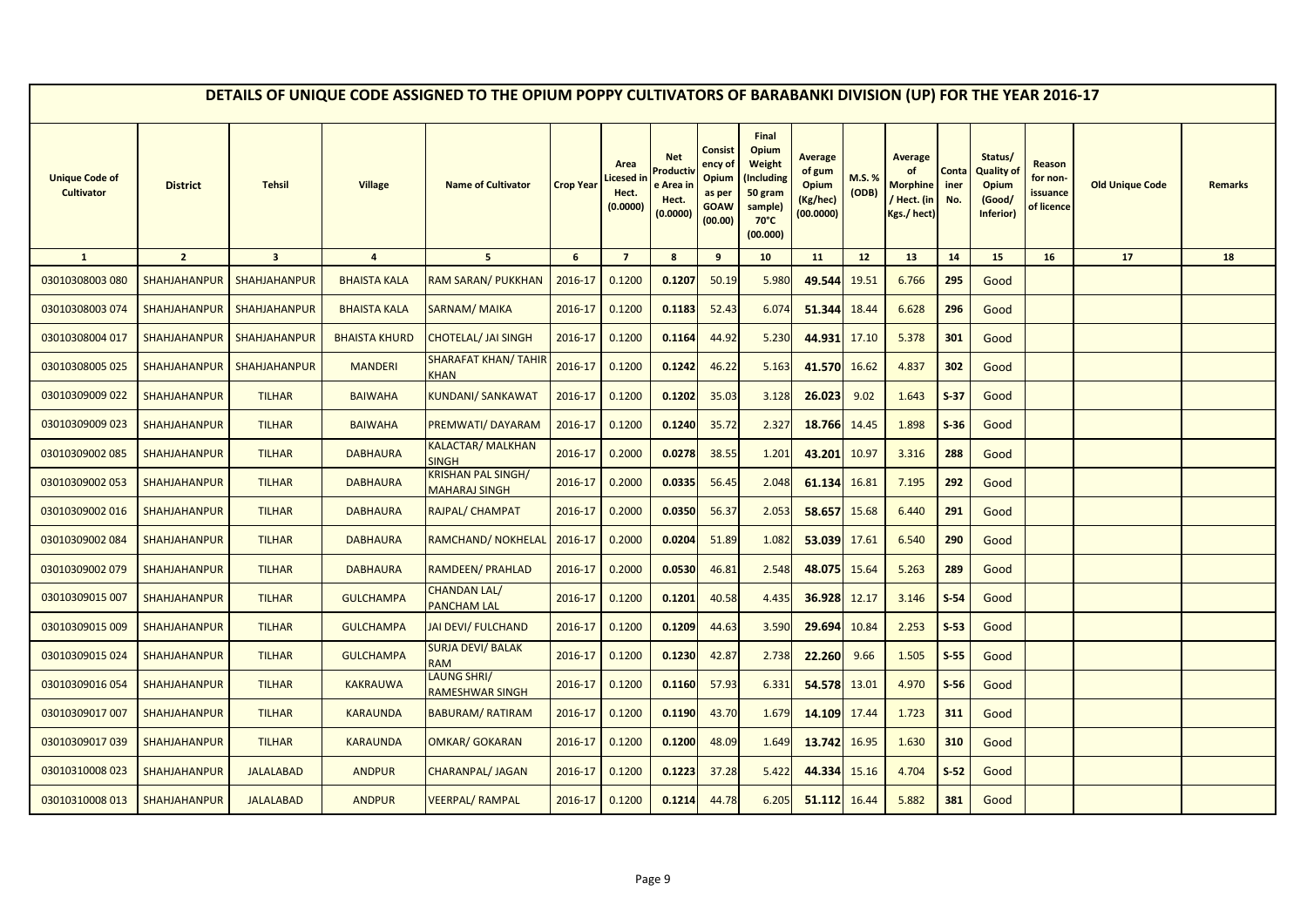|                                            |                     |                         |                      | DETAILS OF UNIQUE CODE ASSIGNED TO THE OPIUM POPPY CULTIVATORS OF BARABANKI DIVISION (UP) FOR THE YEAR 2016-17 |                  |                                        |                                                         |                                                                        |                                                                                            |                                                                   |                |                                                               |                      |                                                       |                                              |                        |                |
|--------------------------------------------|---------------------|-------------------------|----------------------|----------------------------------------------------------------------------------------------------------------|------------------|----------------------------------------|---------------------------------------------------------|------------------------------------------------------------------------|--------------------------------------------------------------------------------------------|-------------------------------------------------------------------|----------------|---------------------------------------------------------------|----------------------|-------------------------------------------------------|----------------------------------------------|------------------------|----------------|
| <b>Unique Code of</b><br><b>Cultivator</b> | <b>District</b>     | <b>Tehsil</b>           | <b>Village</b>       | <b>Name of Cultivator</b>                                                                                      | <b>Crop Year</b> | Area<br>icesed ir<br>Hect.<br>(0.0000) | <b>Net</b><br>Product<br>e Area in<br>Hect.<br>(0.0000) | <b>Consist</b><br>ency of<br>Opium<br>as per<br><b>GOAW</b><br>(00.00) | Final<br>Opium<br>Weight<br>(Including<br>50 gram<br>sample)<br>$70^{\circ}$ C<br>(00.000) | <b>Average</b><br>of gum<br><b>Opium</b><br>(Kg/hec)<br>(00.0000) | M.S.%<br>(ODB) | <b>Average</b><br>of<br>Morphine<br>/ Hect. (in<br>Kgs./hect) | Conta<br>iner<br>No. | Status/<br>Quality of<br>Opium<br>(Good/<br>Inferior) | Reason<br>for non-<br>issuance<br>of licence | <b>Old Unique Code</b> | <b>Remarks</b> |
| $\mathbf{1}$                               | $\overline{2}$      | $\overline{\mathbf{3}}$ | $\overline{4}$       | 5 <sup>5</sup>                                                                                                 | 6                | $\overline{7}$                         | 8                                                       | 9                                                                      | 10                                                                                         | 11                                                                | 12             | 13                                                            | 14                   | 15                                                    | 16                                           | 17                     | 18             |
| 03010308003 080                            | <b>SHAHJAHANPUR</b> | <b>SHAHJAHANPUR</b>     | <b>BHAISTA KALA</b>  | RAM SARAN/ PUKKHAN                                                                                             | 2016-17          | 0.1200                                 | 0.1207                                                  | 50.19                                                                  | 5.980                                                                                      | 49.544                                                            | 19.51          | 6.766                                                         | 295                  | Good                                                  |                                              |                        |                |
| 03010308003 074                            | <b>SHAHJAHANPUR</b> | <b>SHAHJAHANPUR</b>     | <b>BHAISTA KALA</b>  | SARNAM/MAIKA                                                                                                   | 2016-17          | 0.1200                                 | 0.1183                                                  | 52.43                                                                  | 6.074                                                                                      | 51.344 18.44                                                      |                | 6.628                                                         | 296                  | Good                                                  |                                              |                        |                |
| 03010308004 017                            | <b>SHAHJAHANPUR</b> | SHAHJAHANPUR            | <b>BHAISTA KHURD</b> | CHOTELAL/ JAI SINGH                                                                                            | 2016-17          | 0.1200                                 | 0.1164                                                  | 44.92                                                                  | 5.230                                                                                      | 44.931                                                            | 17.10          | 5.378                                                         | 301                  | Good                                                  |                                              |                        |                |
| 03010308005 025                            | <b>SHAHJAHANPUR</b> | <b>SHAHJAHANPUR</b>     | <b>MANDERI</b>       | <mark>SHARAFAT KHAN/ TAHIR</mark><br><b>CHAN</b>                                                               | 2016-17          | 0.1200                                 | 0.1242                                                  | 46.22                                                                  | 5.163                                                                                      | 41.570                                                            | 16.62          | 4.837                                                         | 302                  | Good                                                  |                                              |                        |                |
| 03010309009 022                            | <b>SHAHJAHANPUR</b> | <b>TILHAR</b>           | <b>BAIWAHA</b>       | <b>KUNDANI/ SANKAWAT</b>                                                                                       | 2016-17          | 0.1200                                 | 0.1202                                                  | 35.03                                                                  | 3.128                                                                                      | 26.023                                                            | 9.02           | 1.643                                                         | $S-37$               | Good                                                  |                                              |                        |                |
| 03010309009 023                            | <b>SHAHJAHANPUR</b> | <b>TILHAR</b>           | <b>BAIWAHA</b>       | PREMWATI/ DAYARAM                                                                                              | 2016-17          | 0.1200                                 | 0.1240                                                  | 35.72                                                                  | 2.327                                                                                      | 18.766                                                            | 14.45          | 1.898                                                         | $S-36$               | Good                                                  |                                              |                        |                |
| 03010309002 085                            | <b>SHAHJAHANPUR</b> | <b>TILHAR</b>           | <b>DABHAURA</b>      | KALACTAR/MALKHAN<br><b>SINGH</b>                                                                               | 2016-17          | 0.2000                                 | 0.0278                                                  | 38.55                                                                  | 1.201                                                                                      | 43.201                                                            | 10.97          | 3.316                                                         | 288                  | Good                                                  |                                              |                        |                |
| 03010309002 053                            | <b>SHAHJAHANPUR</b> | <b>TILHAR</b>           | <b>DABHAURA</b>      | <b>KRISHAN PAL SINGH/</b><br><b>MAHARAJ SINGH</b>                                                              | 2016-17          | 0.2000                                 | 0.0335                                                  | 56.45                                                                  | 2.048                                                                                      | 61.134                                                            | 16.81          | 7.195                                                         | 292                  | Good                                                  |                                              |                        |                |
| 03010309002 016                            | <b>SHAHJAHANPUR</b> | <b>TILHAR</b>           | <b>DABHAURA</b>      | RAJPAL/ CHAMPAT                                                                                                | 2016-17          | 0.2000                                 | 0.0350                                                  | 56.37                                                                  | 2.053                                                                                      | 58.657                                                            | 15.68          | 6.440                                                         | 291                  | Good                                                  |                                              |                        |                |
| 03010309002 084                            | <b>SHAHJAHANPUR</b> | <b>TILHAR</b>           | <b>DABHAURA</b>      | RAMCHAND/NOKHELAL                                                                                              | 2016-17          | 0.2000                                 | 0.0204                                                  | 51.89                                                                  | 1.082                                                                                      | 53.039                                                            | 17.61          | 6.540                                                         | 290                  | Good                                                  |                                              |                        |                |
| 03010309002 079                            | <b>SHAHJAHANPUR</b> | <b>TILHAR</b>           | <b>DABHAURA</b>      | RAMDEEN/ PRAHLAD                                                                                               | 2016-17          | 0.2000                                 | 0.0530                                                  | 46.81                                                                  | 2.548                                                                                      | 48.075                                                            | 15.64          | 5.263                                                         | 289                  | Good                                                  |                                              |                        |                |
| 03010309015 007                            | <b>SHAHJAHANPUR</b> | <b>TILHAR</b>           | <b>GULCHAMPA</b>     | <b>CHANDAN LAL/</b><br><b>PANCHAM LAL</b>                                                                      | 2016-17          | 0.1200                                 | 0.1201                                                  | 40.58                                                                  | 4.435                                                                                      | 36.928                                                            | 12.17          | 3.146                                                         | $S-54$               | Good                                                  |                                              |                        |                |
| 03010309015 009                            | <b>SHAHJAHANPUR</b> | <b>TILHAR</b>           | <b>GULCHAMPA</b>     | JAI DEVI/ FULCHAND                                                                                             | 2016-17          | 0.1200                                 | 0.1209                                                  | 44.63                                                                  | 3.590                                                                                      | 29.694                                                            | 10.84          | 2.253                                                         | $S-53$               | Good                                                  |                                              |                        |                |
| 03010309015 024                            | SHAHJAHANPUR        | <b>TILHAR</b>           | <b>GULCHAMPA</b>     | <b>SURJA DEVI/ BALAK</b><br><b>RAM</b>                                                                         | 2016-17          | 0.1200                                 | 0.1230                                                  | 42.87                                                                  | 2.738                                                                                      | 22.260                                                            | 9.66           | 1.505                                                         | $S-55$               | Good                                                  |                                              |                        |                |
| 03010309016054                             | <b>SHAHJAHANPUR</b> | <b>TILHAR</b>           | <b>KAKRAUWA</b>      | LAUNG SHRI/<br>RAMESHWAR SINGH                                                                                 | 2016-17          | 0.1200                                 | 0.1160                                                  | 57.93                                                                  | 6.331                                                                                      | 54.578 13.01                                                      |                | 4.970                                                         | $S-56$               | Good                                                  |                                              |                        |                |
| 03010309017 007                            | <b>SHAHJAHANPUR</b> | <b>TILHAR</b>           | <b>KARAUNDA</b>      | BABURAM/ RATIRAM                                                                                               | 2016-17          | 0.1200                                 | 0.1190                                                  | 43.70                                                                  | 1.679                                                                                      | 14.109 17.44                                                      |                | 1.723                                                         | 311                  | Good                                                  |                                              |                        |                |
| 03010309017039                             | <b>SHAHJAHANPUR</b> | <b>TILHAR</b>           | <b>KARAUNDA</b>      | OMKAR/ GOKARAN                                                                                                 | 2016-17          | 0.1200                                 | 0.1200                                                  | 48.09                                                                  | 1.649                                                                                      | 13.742                                                            | 16.95          | 1.630                                                         | 310                  | Good                                                  |                                              |                        |                |
| 03010310008 023                            | <b>SHAHJAHANPUR</b> | <b>JALALABAD</b>        | <b>ANDPUR</b>        | CHARANPAL/ JAGAN                                                                                               | 2016-17          | 0.1200                                 | 0.1223                                                  | 37.28                                                                  | 5.422                                                                                      | 44.334                                                            | 15.16          | 4.704                                                         | $S-52$               | Good                                                  |                                              |                        |                |
| 03010310008 013                            | <b>SHAHJAHANPUR</b> | <b>JALALABAD</b>        | <b>ANDPUR</b>        | <b>VEERPAL/ RAMPAL</b>                                                                                         | 2016-17          | 0.1200                                 | 0.1214                                                  | 44.78                                                                  | 6.205                                                                                      | 51.112                                                            | 16.44          | 5.882                                                         | 381                  | Good                                                  |                                              |                        |                |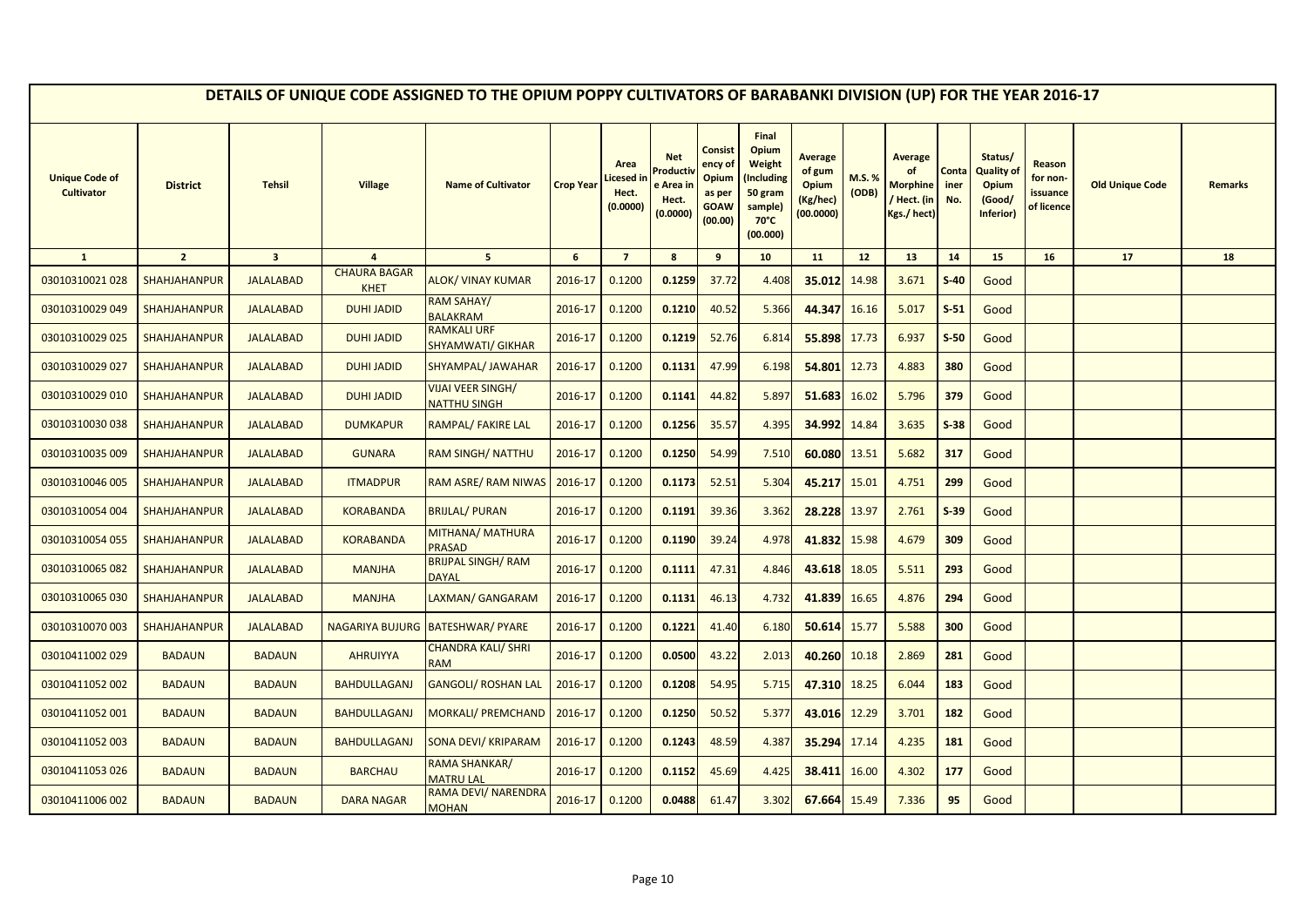|                                            |                     |                         |                                    | DETAILS OF UNIQUE CODE ASSIGNED TO THE OPIUM POPPY CULTIVATORS OF BARABANKI DIVISION (UP) FOR THE YEAR 2016-17 |                  |                                        |                                                      |                                                                        |                                                                                            |                                                            |                 |                                                                     |                      |                                                                     |                                              |                        |                |
|--------------------------------------------|---------------------|-------------------------|------------------------------------|----------------------------------------------------------------------------------------------------------------|------------------|----------------------------------------|------------------------------------------------------|------------------------------------------------------------------------|--------------------------------------------------------------------------------------------|------------------------------------------------------------|-----------------|---------------------------------------------------------------------|----------------------|---------------------------------------------------------------------|----------------------------------------------|------------------------|----------------|
| <b>Unique Code of</b><br><b>Cultivator</b> | <b>District</b>     | <b>Tehsil</b>           | <b>Village</b>                     | <b>Name of Cultivator</b>                                                                                      | <b>Crop Year</b> | Area<br>icesed in<br>Hect.<br>(0.0000) | <b>Net</b><br>Product<br>e Area<br>Hect.<br>(0.0000) | <b>Consist</b><br>ency of<br>Opium<br>as per<br><b>GOAW</b><br>(00.00) | Final<br>Opium<br>Weight<br>Including)<br>50 gram<br>sample)<br>$70^{\circ}$ C<br>(00.000) | <b>Average</b><br>of gum<br>Opium<br>(Kg/hec)<br>(00.0000) | M.S. %<br>(ODB) | <b>Average</b><br>of<br><b>Morphine</b><br>Hect. (in<br>Kgs./ hect) | Conta<br>iner<br>No. | Status/<br><b>Quality of</b><br><b>Opium</b><br>(Good/<br>Inferior) | Reason<br>for non-<br>issuance<br>of licence | <b>Old Unique Code</b> | <b>Remarks</b> |
| $\mathbf{1}$                               | $\overline{2}$      | $\overline{\mathbf{3}}$ | $\overline{a}$                     | 5 <sup>5</sup>                                                                                                 | $6\phantom{1}$   | $\overline{7}$                         | $\boldsymbol{8}$                                     | 9                                                                      | 10                                                                                         | 11                                                         | 12              | 13                                                                  | 14                   | 15                                                                  | 16                                           | 17                     | 18             |
| 03010310021 028                            | <b>SHAHJAHANPUR</b> | <b>JALALABAD</b>        | <b>CHAURA BAGAR</b><br><b>KHET</b> | <b>ALOK/ VINAY KUMAR</b>                                                                                       | 2016-17          | 0.1200                                 | 0.1259                                               | 37.72                                                                  | 4.408                                                                                      | 35.012                                                     | 14.98           | 3.671                                                               | $S-40$               | Good                                                                |                                              |                        |                |
| 03010310029 049                            | SHAHJAHANPUR        | <b>JALALABAD</b>        | <b>DUHI JADID</b>                  | <b>RAM SAHAY/</b><br><b>BALAKRAM</b>                                                                           | 2016-17          | 0.1200                                 | 0.1210                                               | 40.52                                                                  | 5.366                                                                                      | 44.347                                                     | 16.16           | 5.017                                                               | $S-51$               | Good                                                                |                                              |                        |                |
| 03010310029 025                            | <b>SHAHJAHANPUR</b> | <b>JALALABAD</b>        | <b>DUHI JADID</b>                  | <b>RAMKALI URF</b><br><b>SHYAMWATI/ GIKHAR</b>                                                                 | 2016-17          | 0.1200                                 | 0.1219                                               | 52.76                                                                  | 6.814                                                                                      | 55.898                                                     | 17.73           | 6.937                                                               | $S-50$               | Good                                                                |                                              |                        |                |
| 03010310029 027                            | <b>SHAHJAHANPUR</b> | <b>JALALABAD</b>        | <b>DUHI JADID</b>                  | SHYAMPAL/ JAWAHAR                                                                                              | 2016-17          | 0.1200                                 | 0.1131                                               | 47.99                                                                  | 6.198                                                                                      | 54.801                                                     | 12.73           | 4.883                                                               | 380                  | Good                                                                |                                              |                        |                |
| 03010310029 010                            | <b>SHAHJAHANPUR</b> | <b>JALALABAD</b>        | <b>DUHI JADID</b>                  | <b>VIJAI VEER SINGH/</b><br>NATTHU SINGH                                                                       | 2016-17          | 0.1200                                 | 0.1141                                               | 44.82                                                                  | 5.897                                                                                      | 51.683                                                     | 16.02           | 5.796                                                               | 379                  | Good                                                                |                                              |                        |                |
| 03010310030038                             | <b>SHAHJAHANPUR</b> | <b>JALALABAD</b>        | <b>DUMKAPUR</b>                    | RAMPAL/ FAKIRE LAL                                                                                             | 2016-17          | 0.1200                                 | 0.1256                                               | 35.57                                                                  | 4.395                                                                                      | 34.992                                                     | 14.84           | 3.635                                                               | $S-38$               | Good                                                                |                                              |                        |                |
| 03010310035 009                            | <b>SHAHJAHANPUR</b> | <b>JALALABAD</b>        | <b>GUNARA</b>                      | <b>RAM SINGH/ NATTHU</b>                                                                                       | 2016-17          | 0.1200                                 | 0.1250                                               | 54.99                                                                  | 7.510                                                                                      | 60.080 13.51                                               |                 | 5.682                                                               | 317                  | Good                                                                |                                              |                        |                |
| 03010310046 005                            | <b>SHAHJAHANPUR</b> | <b>JALALABAD</b>        | <b>ITMADPUR</b>                    | RAM ASRE/ RAM NIWAS                                                                                            | 2016-17          | 0.1200                                 | 0.1173                                               | 52.51                                                                  | 5.304                                                                                      | 45.217                                                     | 15.01           | 4.751                                                               | 299                  | Good                                                                |                                              |                        |                |
| 03010310054 004                            | <b>SHAHJAHANPUR</b> | <b>JALALABAD</b>        | <b>KORABANDA</b>                   | <b>BRIJLAL/ PURAN</b>                                                                                          | 2016-17          | 0.1200                                 | 0.1191                                               | 39.36                                                                  | 3.362                                                                                      | 28.228                                                     | 13.97           | 2.761                                                               | $S-39$               | Good                                                                |                                              |                        |                |
| 03010310054 055                            | <b>SHAHJAHANPUR</b> | <b>JALALABAD</b>        | <b>KORABANDA</b>                   | MITHANA/ MATHURA<br><b>PRASAD</b>                                                                              | 2016-17          | 0.1200                                 | 0.1190                                               | 39.24                                                                  | 4.978                                                                                      | 41.832                                                     | 15.98           | 4.679                                                               | 309                  | Good                                                                |                                              |                        |                |
| 03010310065 082                            | <b>SHAHJAHANPUR</b> | <b>JALALABAD</b>        | <b>MANJHA</b>                      | <b>BRIJPAL SINGH/ RAM</b><br><b>DAYAL</b>                                                                      | 2016-17          | 0.1200                                 | 0.1111                                               | 47.31                                                                  | 4.846                                                                                      | 43.618                                                     | 18.05           | 5.511                                                               | 293                  | Good                                                                |                                              |                        |                |
| 03010310065 030                            | <b>SHAHJAHANPUR</b> | <b>JALALABAD</b>        | <b>MANJHA</b>                      | LAXMAN/ GANGARAM                                                                                               | 2016-17          | 0.1200                                 | 0.1131                                               | 46.13                                                                  | 4.732                                                                                      | 41.839                                                     | 16.65           | 4.876                                                               | 294                  | Good                                                                |                                              |                        |                |
| 03010310070 003                            | <b>SHAHJAHANPUR</b> | <b>JALALABAD</b>        | <b>NAGARIYA BUJURG</b>             | <b>BATESHWAR/ PYARE</b>                                                                                        | 2016-17          | 0.1200                                 | 0.1221                                               | 41.40                                                                  | 6.180                                                                                      | 50.614                                                     | 15.77           | 5.588                                                               | 300                  | Good                                                                |                                              |                        |                |
| 03010411002 029                            | <b>BADAUN</b>       | <b>BADAUN</b>           | <b>AHRUIYYA</b>                    | <b>CHANDRA KALI/ SHRI</b><br><b>RAM</b>                                                                        | 2016-17          | 0.1200                                 | 0.0500                                               | 43.22                                                                  | 2.013                                                                                      | 40.260                                                     | 10.18           | 2.869                                                               | 281                  | Good                                                                |                                              |                        |                |
| 03010411052 002                            | <b>BADAUN</b>       | <b>BADAUN</b>           | <b>BAHDULLAGANJ</b>                | <b>GANGOLI/ ROSHAN LAL</b>                                                                                     | 2016-17          | 0.1200                                 | 0.1208                                               | 54.95                                                                  | 5.715                                                                                      | 47.310                                                     | 18.25           | 6.044                                                               | 183                  | Good                                                                |                                              |                        |                |
| 03010411052 001                            | <b>BADAUN</b>       | <b>BADAUN</b>           | <b>BAHDULLAGANJ</b>                | <b>MORKALI/ PREMCHAND</b>                                                                                      | 2016-17          | 0.1200                                 | 0.1250                                               | 50.52                                                                  | 5.377                                                                                      | 43.016                                                     | 12.29           | 3.701                                                               | 182                  | Good                                                                |                                              |                        |                |
| 03010411052 003                            | <b>BADAUN</b>       | <b>BADAUN</b>           | <b>BAHDULLAGANJ</b>                | <b>SONA DEVI/ KRIPARAM</b>                                                                                     | 2016-17          | 0.1200                                 | 0.1243                                               | 48.59                                                                  | 4.387                                                                                      | 35.294                                                     | 17.14           | 4.235                                                               | 181                  | Good                                                                |                                              |                        |                |
| 03010411053 026                            | <b>BADAUN</b>       | <b>BADAUN</b>           | <b>BARCHAU</b>                     | RAMA SHANKAR/<br><b>MATRU LAL</b>                                                                              | 2016-17          | 0.1200                                 | 0.1152                                               | 45.69                                                                  | 4.425                                                                                      | 38.411                                                     | 16.00           | 4.302                                                               | 177                  | Good                                                                |                                              |                        |                |
| 03010411006 002                            | <b>BADAUN</b>       | <b>BADAUN</b>           | <b>DARA NAGAR</b>                  | RAMA DEVI/ NARENDRA<br><b>MOHAN</b>                                                                            | 2016-17          | 0.1200                                 | 0.0488                                               | 61.47                                                                  | 3.302                                                                                      | 67.664                                                     | 15.49           | 7.336                                                               | 95                   | Good                                                                |                                              |                        |                |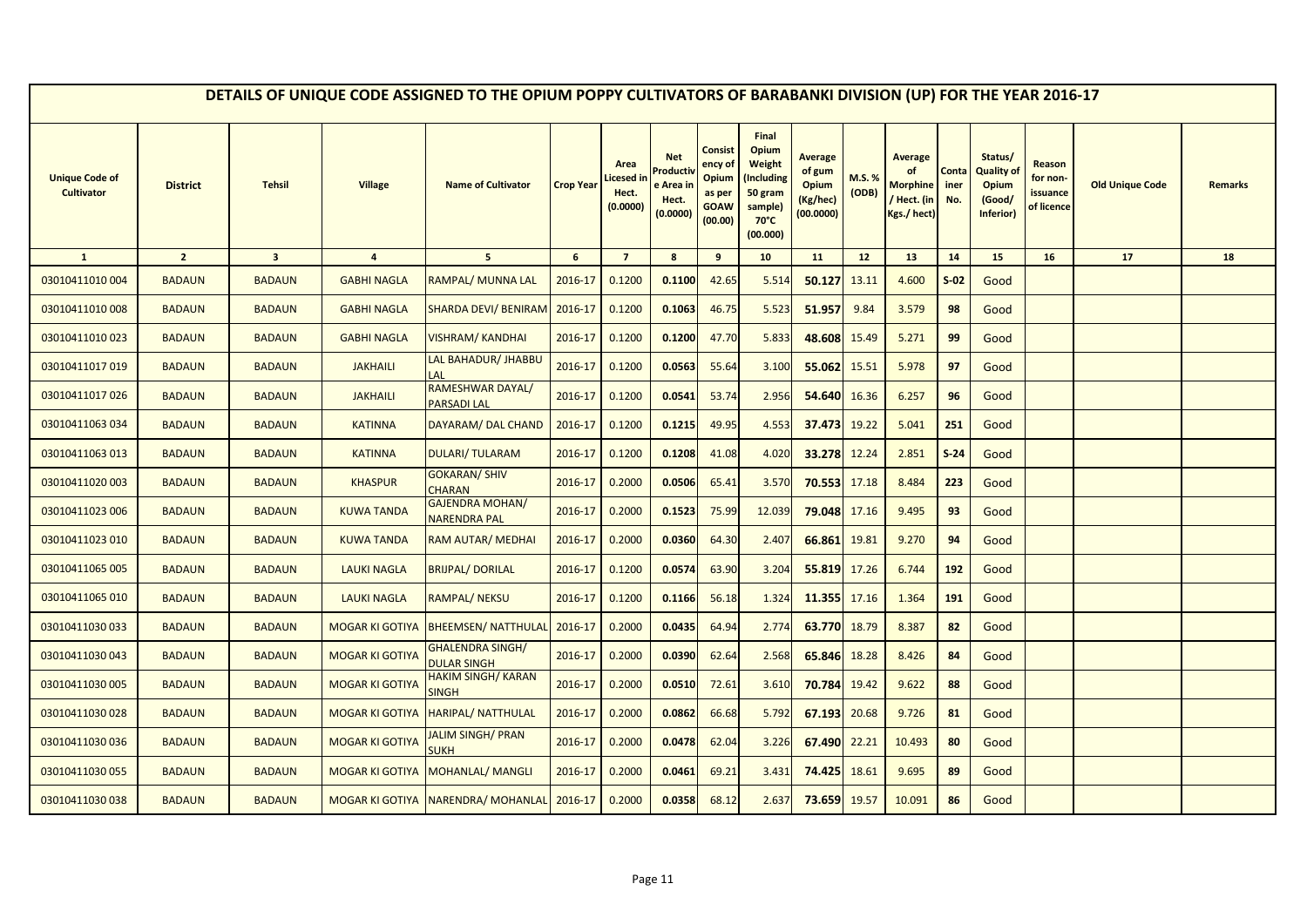|                                            |                 |                         |                        | DETAILS OF UNIQUE CODE ASSIGNED TO THE OPIUM POPPY CULTIVATORS OF BARABANKI DIVISION (UP) FOR THE YEAR 2016-17 |                  |                                        |                                                        |                                                                 |                                                                                            |                                                                   |                |                                                                |                      |                                                              |                                              |                        |         |
|--------------------------------------------|-----------------|-------------------------|------------------------|----------------------------------------------------------------------------------------------------------------|------------------|----------------------------------------|--------------------------------------------------------|-----------------------------------------------------------------|--------------------------------------------------------------------------------------------|-------------------------------------------------------------------|----------------|----------------------------------------------------------------|----------------------|--------------------------------------------------------------|----------------------------------------------|------------------------|---------|
| <b>Unique Code of</b><br><b>Cultivator</b> | <b>District</b> | <b>Tehsil</b>           | <b>Village</b>         | <b>Name of Cultivator</b>                                                                                      | <b>Crop Year</b> | Area<br>icesed in<br>Hect.<br>(0.0000) | <b>Net</b><br>roduc!<br>e Area ir<br>Hect.<br>(0.0000) | Consist<br>ency of<br>Opium<br>as per<br><b>GOAW</b><br>(00.00) | Final<br>Opium<br>Weight<br>Including)<br>50 gram<br>sample)<br>$70^{\circ}$ C<br>(00.000) | <b>Average</b><br>of gum<br><b>Opium</b><br>(Kg/hec)<br>(00.0000) | M.S.%<br>(ODB) | <b>Average</b><br><b>Morphine</b><br>/ Hect. (in<br>Kgs./hect) | Conta<br>iner<br>No. | Status/<br><b>Quality of</b><br>Opium<br>(Good/<br>Inferior) | Reason<br>for non-<br>issuance<br>of licence | <b>Old Unique Code</b> | Remarks |
| $\mathbf{1}$                               | $\overline{2}$  | $\overline{\mathbf{3}}$ | $\overline{4}$         | 5 <sub>5</sub>                                                                                                 | 6                | $\overline{7}$                         | 8                                                      | 9                                                               | 10                                                                                         | 11                                                                | 12             | 13                                                             | 14                   | 15                                                           | 16                                           | 17                     | 18      |
| 03010411010 004                            | <b>BADAUN</b>   | <b>BADAUN</b>           | <b>GABHI NAGLA</b>     | RAMPAL/ MUNNA LAL                                                                                              | 2016-17          | 0.1200                                 | 0.1100                                                 | 42.65                                                           | 5.514                                                                                      | 50.127                                                            | 13.11          | 4.600                                                          | $S-02$               | Good                                                         |                                              |                        |         |
| 03010411010 008                            | <b>BADAUN</b>   | <b>BADAUN</b>           | <b>GABHI NAGLA</b>     | <b>SHARDA DEVI/ BENIRAM</b>                                                                                    | 2016-17          | 0.1200                                 | 0.1063                                                 | 46.75                                                           | 5.523                                                                                      | 51.957                                                            | 9.84           | 3.579                                                          | 98                   | Good                                                         |                                              |                        |         |
| 03010411010023                             | <b>BADAUN</b>   | <b>BADAUN</b>           | <b>GABHI NAGLA</b>     | <b>VISHRAM/ KANDHAI</b>                                                                                        | 2016-17          | 0.1200                                 | 0.1200                                                 | 47.70                                                           | 5.833                                                                                      | 48.608                                                            | 15.49          | 5.271                                                          | 99                   | Good                                                         |                                              |                        |         |
| 03010411017019                             | <b>BADAUN</b>   | <b>BADAUN</b>           | <b>JAKHAILI</b>        | LAL BAHADUR/ JHABBU                                                                                            | 2016-17          | 0.1200                                 | 0.0563                                                 | 55.64                                                           | 3.100                                                                                      | 55.062                                                            | 15.51          | 5.978                                                          | 97                   | Good                                                         |                                              |                        |         |
| 03010411017026                             | <b>BADAUN</b>   | <b>BADAUN</b>           | <b>JAKHAILI</b>        | RAMESHWAR DAYAL/<br><b>PARSADI LAL</b>                                                                         | 2016-17          | 0.1200                                 | 0.0541                                                 | 53.74                                                           | 2.956                                                                                      | 54.640                                                            | 16.36          | 6.257                                                          | 96                   | Good                                                         |                                              |                        |         |
| 03010411063 034                            | <b>BADAUN</b>   | <b>BADAUN</b>           | <b>KATINNA</b>         | DAYARAM/ DAL CHAND                                                                                             | 2016-17          | 0.1200                                 | 0.1215                                                 | 49.95                                                           | 4.553                                                                                      | 37.473                                                            | 19.22          | 5.041                                                          | 251                  | Good                                                         |                                              |                        |         |
| 03010411063 013                            | <b>BADAUN</b>   | <b>BADAUN</b>           | <b>KATINNA</b>         | <b>DULARI/TULARAM</b>                                                                                          | 2016-17          | 0.1200                                 | 0.1208                                                 | 41.08                                                           | 4.020                                                                                      | 33.278 12.24                                                      |                | 2.851                                                          | $S-24$               | Good                                                         |                                              |                        |         |
| 03010411020 003                            | <b>BADAUN</b>   | <b>BADAUN</b>           | <b>KHASPUR</b>         | <b>GOKARAN/ SHIV</b><br>CHARAN                                                                                 | 2016-17          | 0.2000                                 | 0.0506                                                 | 65.41                                                           | 3.570                                                                                      | 70.553                                                            | 17.18          | 8.484                                                          | 223                  | Good                                                         |                                              |                        |         |
| 03010411023 006                            | <b>BADAUN</b>   | <b>BADAUN</b>           | <b>KUWA TANDA</b>      | <b>GAJENDRA MOHAN/</b><br><b>NARENDRA PAL</b>                                                                  | 2016-17          | 0.2000                                 | 0.1523                                                 | 75.99                                                           | 12.039                                                                                     | 79.048                                                            | 17.16          | 9.495                                                          | 93                   | Good                                                         |                                              |                        |         |
| 03010411023 010                            | <b>BADAUN</b>   | <b>BADAUN</b>           | <b>KUWA TANDA</b>      | <b>RAM AUTAR/ MEDHAI</b>                                                                                       | 2016-17          | 0.2000                                 | 0.0360                                                 | 64.30                                                           | 2.407                                                                                      | 66.861                                                            | 19.81          | 9.270                                                          | 94                   | Good                                                         |                                              |                        |         |
| 03010411065 005                            | <b>BADAUN</b>   | <b>BADAUN</b>           | <b>LAUKI NAGLA</b>     | <b>BRIJPAL/DORILAL</b>                                                                                         | 2016-17          | 0.1200                                 | 0.0574                                                 | 63.90                                                           | 3.204                                                                                      | 55.819                                                            | 17.26          | 6.744                                                          | 192                  | Good                                                         |                                              |                        |         |
| 03010411065 010                            | <b>BADAUN</b>   | <b>BADAUN</b>           | <b>LAUKI NAGLA</b>     | <b>RAMPAL/ NEKSU</b>                                                                                           | 2016-17          | 0.1200                                 | 0.1166                                                 | 56.18                                                           | 1.324                                                                                      | 11.355                                                            | 17.16          | 1.364                                                          | 191                  | Good                                                         |                                              |                        |         |
| 03010411030 033                            | <b>BADAUN</b>   | <b>BADAUN</b>           | <b>MOGAR KI GOTIYA</b> | <b>BHEEMSEN/ NATTHULAL</b>                                                                                     | 2016-17          | 0.2000                                 | 0.0435                                                 | 64.94                                                           | 2.774                                                                                      | 63.770                                                            | 18.79          | 8.387                                                          | 82                   | Good                                                         |                                              |                        |         |
| 03010411030043                             | <b>BADAUN</b>   | <b>BADAUN</b>           | <b>MOGAR KI GOTIYA</b> | <b>GHALENDRA SINGH/</b><br><b>DULAR SINGH</b>                                                                  | 2016-17          | 0.2000                                 | 0.0390                                                 | 62.64                                                           | 2.568                                                                                      | 65.846                                                            | 18.28          | 8.426                                                          | 84                   | Good                                                         |                                              |                        |         |
| 03010411030 005                            | <b>BADAUN</b>   | <b>BADAUN</b>           | <b>MOGAR KI GOTIYA</b> | <b>HAKIM SINGH/ KARAN</b><br><b>SINGH</b>                                                                      | 2016-17          | 0.2000                                 | 0.0510                                                 | 72.61                                                           | 3.610                                                                                      | 70.784                                                            | 19.42          | 9.622                                                          | 88                   | Good                                                         |                                              |                        |         |
| 03010411030028                             | <b>BADAUN</b>   | <b>BADAUN</b>           | <b>MOGAR KI GOTIYA</b> | <b>HARIPAL/ NATTHULAL</b>                                                                                      | 2016-17          | 0.2000                                 | 0.0862                                                 | 66.68                                                           | 5.792                                                                                      | 67.193                                                            | 20.68          | 9.726                                                          | 81                   | Good                                                         |                                              |                        |         |
| 03010411030036                             | <b>BADAUN</b>   | <b>BADAUN</b>           | <b>MOGAR KI GOTIYA</b> | JALIM SINGH/ PRAN<br>SUKH                                                                                      | 2016-17          | 0.2000                                 | 0.0478                                                 | 62.04                                                           | 3.226                                                                                      | 67.490                                                            | 22.21          | 10.493                                                         | 80                   | Good                                                         |                                              |                        |         |
| 03010411030 055                            | <b>BADAUN</b>   | <b>BADAUN</b>           | <b>MOGAR KI GOTIYA</b> | <b>MOHANLAL/ MANGLI</b>                                                                                        | 2016-17          | 0.2000                                 | 0.0461                                                 | 69.21                                                           | 3.431                                                                                      | 74.425                                                            | 18.61          | 9.695                                                          | 89                   | Good                                                         |                                              |                        |         |
| 03010411030038                             | <b>BADAUN</b>   | <b>BADAUN</b>           | <b>MOGAR KI GOTIYA</b> | NARENDRA/ MOHANLAL                                                                                             | 2016-17          | 0.2000                                 | 0.0358                                                 | 68.12                                                           | 2.637                                                                                      | 73.659                                                            | 19.57          | 10.091                                                         | 86                   | Good                                                         |                                              |                        |         |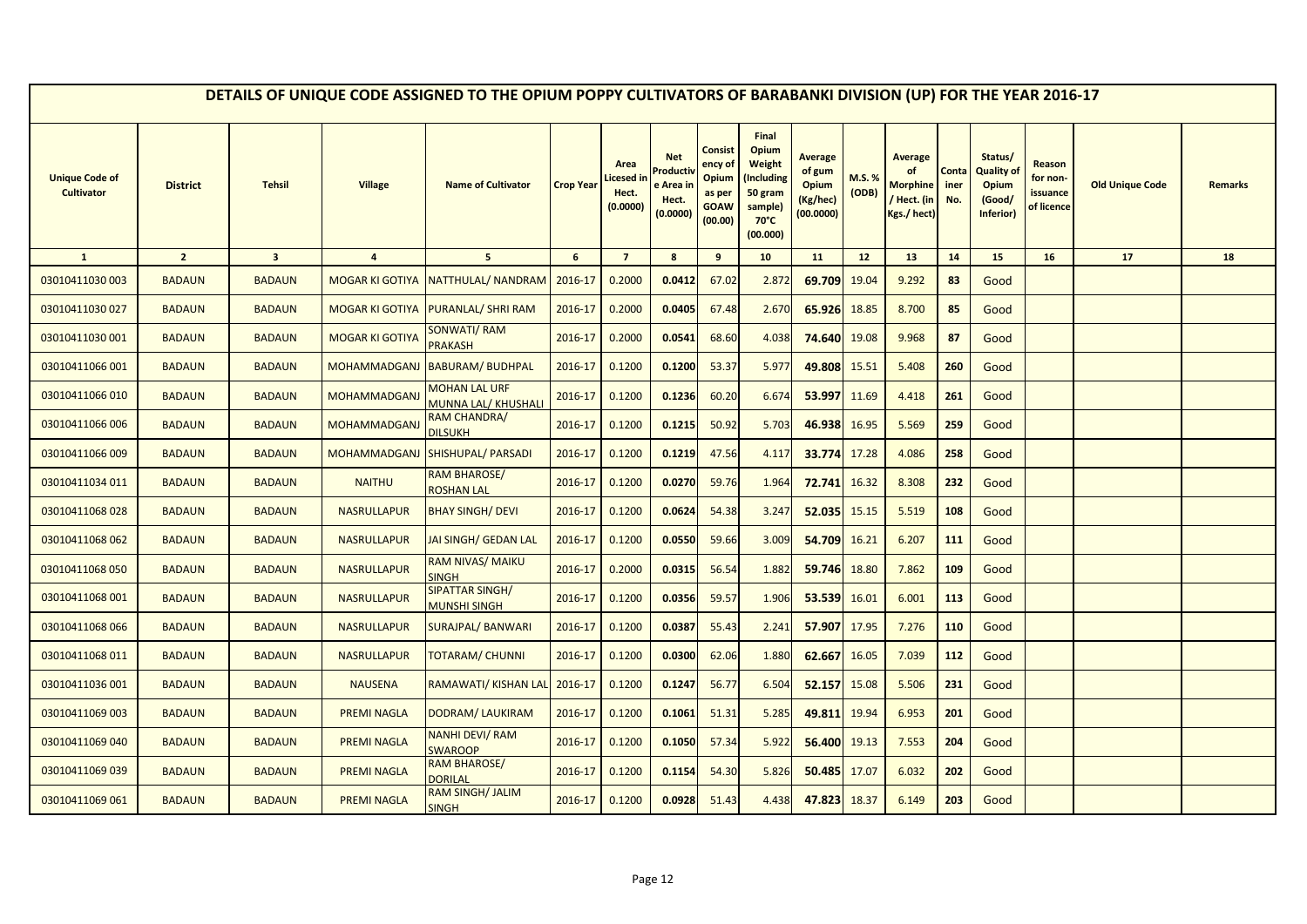|                                            |                 |                         |                        | DETAILS OF UNIQUE CODE ASSIGNED TO THE OPIUM POPPY CULTIVATORS OF BARABANKI DIVISION (UP) FOR THE YEAR 2016-17 |                  |                                        |                                                         |                                                                 |                                                                                                   |                                                                   |                |                                                                |                      |                                                                     |                                              |                        |         |
|--------------------------------------------|-----------------|-------------------------|------------------------|----------------------------------------------------------------------------------------------------------------|------------------|----------------------------------------|---------------------------------------------------------|-----------------------------------------------------------------|---------------------------------------------------------------------------------------------------|-------------------------------------------------------------------|----------------|----------------------------------------------------------------|----------------------|---------------------------------------------------------------------|----------------------------------------------|------------------------|---------|
| <b>Unique Code of</b><br><b>Cultivator</b> | <b>District</b> | <b>Tehsil</b>           | <b>Village</b>         | <b>Name of Cultivator</b>                                                                                      | <b>Crop Year</b> | Area<br>icesed in<br>Hect.<br>(0.0000) | <b>Net</b><br>Product<br>e Area ir<br>Hect.<br>(0.0000) | Consist<br>ency of<br>Opium<br>as per<br><b>GOAW</b><br>(00.00) | Final<br>Opium<br><b>Weight</b><br>Including)<br>50 gram<br>sample)<br>$70^{\circ}$ C<br>(00.000) | <b>Average</b><br>of gum<br><b>Opium</b><br>(Kg/hec)<br>(00.0000) | M.S.%<br>(ODB) | <b>Average</b><br><b>Morphine</b><br>/ Hect. (in<br>Kgs./hect) | Conta<br>iner<br>No. | Status/<br><b>Quality of</b><br><b>Opium</b><br>(Good/<br>Inferior) | Reason<br>for non-<br>issuance<br>of licence | <b>Old Unique Code</b> | Remarks |
| $\mathbf{1}$                               | $\overline{2}$  | $\overline{\mathbf{3}}$ | $\overline{4}$         | 5 <sup>5</sup>                                                                                                 | 6                | $\overline{7}$                         | 8                                                       | 9                                                               | 10                                                                                                | 11                                                                | 12             | 13                                                             | 14                   | 15                                                                  | 16                                           | 17                     | 18      |
| 03010411030 003                            | <b>BADAUN</b>   | <b>BADAUN</b>           | <b>MOGAR KI GOTIYA</b> | NATTHULAL/ NANDRAM                                                                                             | 2016-17          | 0.2000                                 | 0.0412                                                  | 67.02                                                           | 2.872                                                                                             | 69.709                                                            | 19.04          | 9.292                                                          | 83                   | Good                                                                |                                              |                        |         |
| 03010411030 027                            | <b>BADAUN</b>   | <b>BADAUN</b>           | <b>MOGAR KI GOTIYA</b> | <b>PURANLAL/ SHRI RAM</b>                                                                                      | 2016-17          | 0.2000                                 | 0.0405                                                  | 67.48                                                           | 2.670                                                                                             | 65.926                                                            | 18.85          | 8.700                                                          | 85                   | Good                                                                |                                              |                        |         |
| 03010411030 001                            | <b>BADAUN</b>   | <b>BADAUN</b>           | <b>MOGAR KI GOTIYA</b> | <b>SONWATI/RAM</b><br><b>PRAKASH</b>                                                                           | 2016-17          | 0.2000                                 | 0.0541                                                  | 68.60                                                           | 4.038                                                                                             | 74.640                                                            | 19.08          | 9.968                                                          | 87                   | Good                                                                |                                              |                        |         |
| 03010411066 001                            | <b>BADAUN</b>   | <b>BADAUN</b>           | MOHAMMADGANJ           | <b>BABURAM/ BUDHPAL</b>                                                                                        | 2016-17          | 0.1200                                 | 0.1200                                                  | 53.37                                                           | 5.977                                                                                             | 49.808                                                            | 15.51          | 5.408                                                          | 260                  | Good                                                                |                                              |                        |         |
| 03010411066 010                            | <b>BADAUN</b>   | <b>BADAUN</b>           | <u>MOHAMMADGANJ</u>    | <b>MOHAN LAL URF</b><br><b>MUNNA LAL/ KHUSHALI</b>                                                             | 2016-17          | 0.1200                                 | 0.1236                                                  | 60.20                                                           | 6.674                                                                                             | 53.997                                                            | 11.69          | 4.418                                                          | 261                  | Good                                                                |                                              |                        |         |
| 03010411066 006                            | <b>BADAUN</b>   | <b>BADAUN</b>           | <b>MOHAMMADGANJ</b>    | RAM CHANDRA/<br><b>DILSUKH</b>                                                                                 | 2016-17          | 0.1200                                 | 0.1215                                                  | 50.92                                                           | 5.703                                                                                             | 46.938                                                            | 16.95          | 5.569                                                          | 259                  | Good                                                                |                                              |                        |         |
| 03010411066 009                            | <b>BADAUN</b>   | <b>BADAUN</b>           | <b>MOHAMMADGANJ</b>    | <b>SHISHUPAL/ PARSADI</b>                                                                                      | 2016-17          | 0.1200                                 | 0.1219                                                  | 47.56                                                           | 4.117                                                                                             | 33.774                                                            | 17.28          | 4.086                                                          | 258                  | Good                                                                |                                              |                        |         |
| 03010411034 011                            | <b>BADAUN</b>   | <b>BADAUN</b>           | <b>NAITHU</b>          | <b>RAM BHAROSE/</b><br><b>ROSHAN LAL</b>                                                                       | 2016-17          | 0.1200                                 | 0.0270                                                  | 59.76                                                           | 1.964                                                                                             | 72.741                                                            | 16.32          | 8.308                                                          | 232                  | Good                                                                |                                              |                        |         |
| 03010411068028                             | <b>BADAUN</b>   | <b>BADAUN</b>           | <b>NASRULLAPUR</b>     | <b>BHAY SINGH/ DEVI</b>                                                                                        | 2016-17          | 0.1200                                 | 0.0624                                                  | 54.38                                                           | 3.247                                                                                             | 52.035                                                            | 15.15          | 5.519                                                          | 108                  | Good                                                                |                                              |                        |         |
| 03010411068 062                            | <b>BADAUN</b>   | <b>BADAUN</b>           | <b>NASRULLAPUR</b>     | <b>JAI SINGH/ GEDAN LAL</b>                                                                                    | 2016-17          | 0.1200                                 | 0.0550                                                  | 59.66                                                           | 3.009                                                                                             | 54.709                                                            | 16.21          | 6.207                                                          | 111                  | Good                                                                |                                              |                        |         |
| 03010411068 050                            | <b>BADAUN</b>   | <b>BADAUN</b>           | <b>NASRULLAPUR</b>     | <b>RAM NIVAS/ MAIKU</b><br><b>SINGH</b>                                                                        | 2016-17          | 0.2000                                 | 0.0315                                                  | 56.54                                                           | 1.882                                                                                             | 59.746                                                            | 18.80          | 7.862                                                          | 109                  | Good                                                                |                                              |                        |         |
| 03010411068 001                            | <b>BADAUN</b>   | <b>BADAUN</b>           | <b>NASRULLAPUR</b>     | SIPATTAR SINGH/<br><b>MUNSHI SINGH</b>                                                                         | 2016-17          | 0.1200                                 | 0.0356                                                  | 59.57                                                           | 1.906                                                                                             | 53.539                                                            | 16.01          | 6.001                                                          | 113                  | Good                                                                |                                              |                        |         |
| 03010411068066                             | <b>BADAUN</b>   | <b>BADAUN</b>           | <b>NASRULLAPUR</b>     | <b>SURAJPAL/ BANWARI</b>                                                                                       | 2016-17          | 0.1200                                 | 0.0387                                                  | 55.43                                                           | 2.241                                                                                             | 57.907                                                            | 17.95          | 7.276                                                          | 110                  | Good                                                                |                                              |                        |         |
| 03010411068 011                            | <b>BADAUN</b>   | <b>BADAUN</b>           | <b>NASRULLAPUR</b>     | <b>TOTARAM/ CHUNNI</b>                                                                                         | 2016-17          | 0.1200                                 | 0.0300                                                  | 62.06                                                           | 1.880                                                                                             | 62.667                                                            | 16.05          | 7.039                                                          | 112                  | Good                                                                |                                              |                        |         |
| 03010411036 001                            | <b>BADAUN</b>   | <b>BADAUN</b>           | <b>NAUSENA</b>         | RAMAWATI/ KISHAN LAL                                                                                           | 2016-17          | 0.1200                                 | 0.1247                                                  | 56.77                                                           | 6.504                                                                                             | 52.157                                                            | 15.08          | 5.506                                                          | 231                  | Good                                                                |                                              |                        |         |
| 03010411069 003                            | <b>BADAUN</b>   | <b>BADAUN</b>           | <b>PREMI NAGLA</b>     | DODRAM/ LAUKIRAM                                                                                               | 2016-17          | 0.1200                                 | 0.1061                                                  | 51.31                                                           | 5.285                                                                                             | 49.811                                                            | 19.94          | 6.953                                                          | 201                  | Good                                                                |                                              |                        |         |
| 03010411069 040                            | <b>BADAUN</b>   | <b>BADAUN</b>           | <b>PREMI NAGLA</b>     | <b>NANHI DEVI/RAM</b><br><b>SWAROOP</b>                                                                        | 2016-17          | 0.1200                                 | 0.1050                                                  | 57.34                                                           | 5.922                                                                                             | 56.400                                                            | 19.13          | 7.553                                                          | 204                  | Good                                                                |                                              |                        |         |
| 03010411069 039                            | <b>BADAUN</b>   | <b>BADAUN</b>           | <b>PREMI NAGLA</b>     | RAM BHAROSE/<br><b>DORILAL</b>                                                                                 | 2016-17          | 0.1200                                 | 0.1154                                                  | 54.30                                                           | 5.826                                                                                             | 50.485                                                            | 17.07          | 6.032                                                          | 202                  | Good                                                                |                                              |                        |         |
| 03010411069 061                            | <b>BADAUN</b>   | <b>BADAUN</b>           | <b>PREMI NAGLA</b>     | <b>RAM SINGH/ JALIM</b><br><b>SINGH</b>                                                                        | 2016-17          | 0.1200                                 | 0.0928                                                  | 51.43                                                           | 4.438                                                                                             | 47.823                                                            | 18.37          | 6.149                                                          | 203                  | Good                                                                |                                              |                        |         |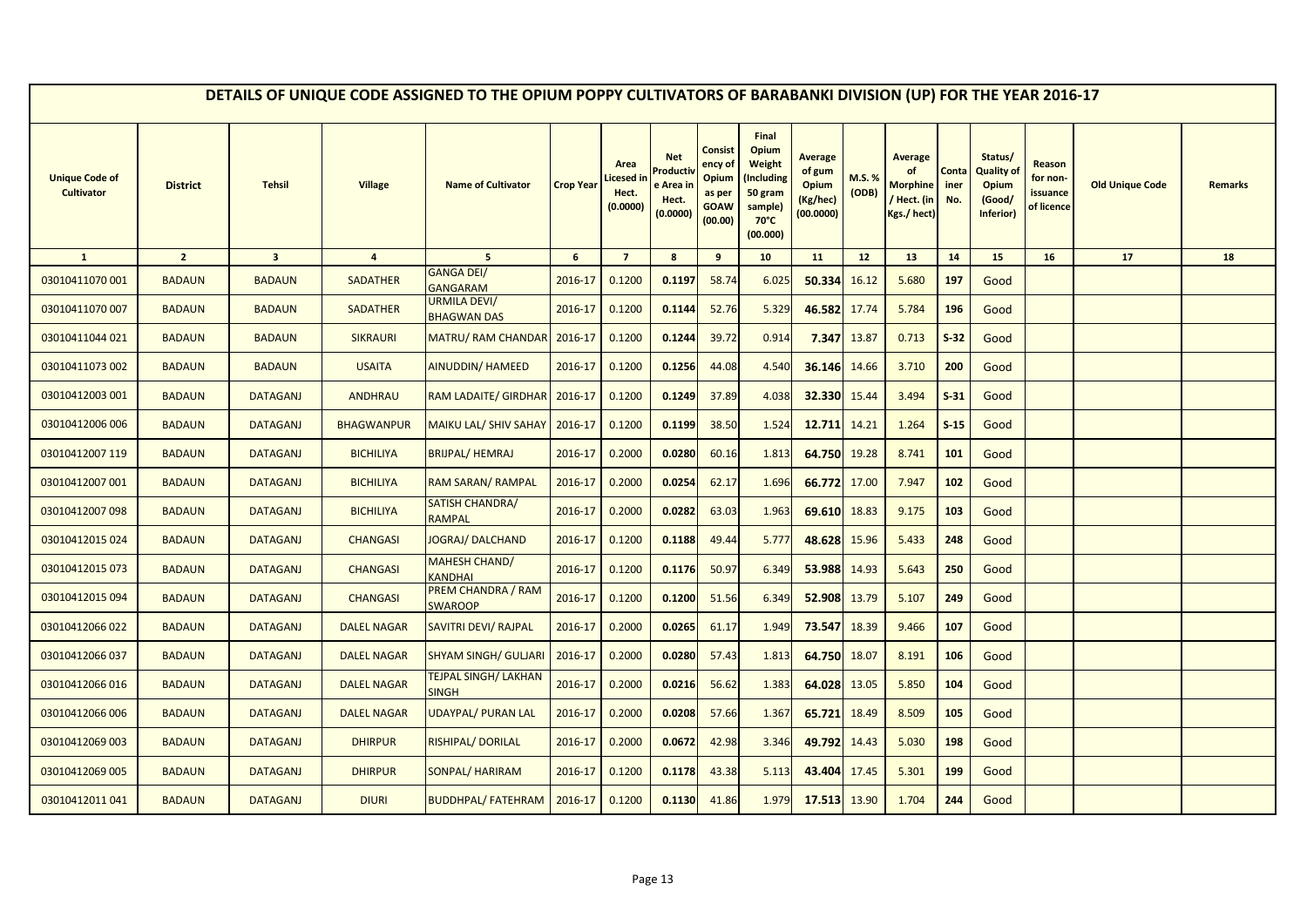|                                            |                 |                         |                    | DETAILS OF UNIQUE CODE ASSIGNED TO THE OPIUM POPPY CULTIVATORS OF BARABANKI DIVISION (UP) FOR THE YEAR 2016-17 |                  |                                        |                                                         |                                                                 |                                                                                                   |                                                                   |                 |                                                                |                      |                                                                     |                                              |                        |                |
|--------------------------------------------|-----------------|-------------------------|--------------------|----------------------------------------------------------------------------------------------------------------|------------------|----------------------------------------|---------------------------------------------------------|-----------------------------------------------------------------|---------------------------------------------------------------------------------------------------|-------------------------------------------------------------------|-----------------|----------------------------------------------------------------|----------------------|---------------------------------------------------------------------|----------------------------------------------|------------------------|----------------|
| <b>Unique Code of</b><br><b>Cultivator</b> | <b>District</b> | <b>Tehsil</b>           | <b>Village</b>     | <b>Name of Cultivator</b>                                                                                      | <b>Crop Year</b> | Area<br>icesed in<br>Hect.<br>(0.0000) | <b>Net</b><br>Product<br>e Area ir<br>Hect.<br>(0.0000) | Consist<br>ency of<br>Opium<br>as per<br><b>GOAW</b><br>(00.00) | Final<br>Opium<br><b>Weight</b><br>Including)<br>50 gram<br>sample)<br>$70^{\circ}$ C<br>(00.000) | <b>Average</b><br>of gum<br><b>Opium</b><br>(Kg/hec)<br>(00.0000) | M.S. %<br>(ODB) | <b>Average</b><br><b>Morphine</b><br>/ Hect. (in<br>Kgs./hect) | Conta<br>iner<br>No. | Status/<br><b>Quality of</b><br><b>Opium</b><br>(Good/<br>Inferior) | Reason<br>for non-<br>issuance<br>of licence | <b>Old Unique Code</b> | <b>Remarks</b> |
| $\mathbf{1}$                               | $\overline{2}$  | $\overline{\mathbf{3}}$ | $\overline{4}$     | $5\overline{5}$                                                                                                | $6\phantom{1}$   | $\overline{7}$                         | 8                                                       | 9                                                               | 10                                                                                                | 11                                                                | 12 <sup>2</sup> | 13                                                             | 14                   | 15                                                                  | 16                                           | 17                     | 18             |
| 03010411070 001                            | <b>BADAUN</b>   | <b>BADAUN</b>           | <b>SADATHER</b>    | <b>GANGA DEI/</b><br><b>GANGARAM</b>                                                                           | 2016-17          | 0.1200                                 | 0.1197                                                  | 58.74                                                           | 6.025                                                                                             | 50.334                                                            | 16.12           | 5.680                                                          | 197                  | Good                                                                |                                              |                        |                |
| 03010411070 007                            | <b>BADAUN</b>   | <b>BADAUN</b>           | <b>SADATHER</b>    | <b>URMILA DEVI/</b><br><b>BHAGWAN DAS</b>                                                                      | 2016-17          | 0.1200                                 | 0.1144                                                  | 52.76                                                           | 5.329                                                                                             | 46.582                                                            | 17.74           | 5.784                                                          | 196                  | Good                                                                |                                              |                        |                |
| 03010411044 021                            | <b>BADAUN</b>   | <b>BADAUN</b>           | <b>SIKRAURI</b>    | <b>MATRU/ RAM CHANDAR</b>                                                                                      | 2016-17          | 0.1200                                 | 0.1244                                                  | 39.72                                                           | 0.914                                                                                             | 7.347                                                             | 13.87           | 0.713                                                          | $S-32$               | Good                                                                |                                              |                        |                |
| 03010411073 002                            | <b>BADAUN</b>   | <b>BADAUN</b>           | <b>USAITA</b>      | <b>AINUDDIN/ HAMEED</b>                                                                                        | 2016-17          | 0.1200                                 | 0.1256                                                  | 44.08                                                           | 4.540                                                                                             | 36.146                                                            | 14.66           | 3.710                                                          | 200                  | Good                                                                |                                              |                        |                |
| 03010412003 001                            | <b>BADAUN</b>   | <b>DATAGANJ</b>         | <b>ANDHRAU</b>     | RAM LADAITE/ GIRDHAR                                                                                           | 2016-17          | 0.1200                                 | 0.1249                                                  | 37.89                                                           | 4.038                                                                                             | 32.330                                                            | 15.44           | 3.494                                                          | $S-31$               | Good                                                                |                                              |                        |                |
| 03010412006 006                            | <b>BADAUN</b>   | <b>DATAGANJ</b>         | <b>BHAGWANPUR</b>  | <b>MAIKU LAL/ SHIV SAHAY</b>                                                                                   | 2016-17          | 0.1200                                 | 0.1199                                                  | 38.50                                                           | 1.524                                                                                             | 12.711 14.21                                                      |                 | 1.264                                                          | $S-15$               | Good                                                                |                                              |                        |                |
| 03010412007 119                            | <b>BADAUN</b>   | <b>DATAGANJ</b>         | <b>BICHILIYA</b>   | <b>BRIJPAL/ HEMRAJ</b>                                                                                         | 2016-17          | 0.2000                                 | 0.0280                                                  | 60.16                                                           | 1.813                                                                                             | 64.750 19.28                                                      |                 | 8.741                                                          | 101                  | Good                                                                |                                              |                        |                |
| 03010412007 001                            | <b>BADAUN</b>   | <b>DATAGANJ</b>         | <b>BICHILIYA</b>   | RAM SARAN/ RAMPAL                                                                                              | 2016-17          | 0.2000                                 | 0.0254                                                  | 62.17                                                           | 1.696                                                                                             | 66.772                                                            | 17.00           | 7.947                                                          | 102                  | Good                                                                |                                              |                        |                |
| 03010412007 098                            | <b>BADAUN</b>   | <b>DATAGANJ</b>         | <b>BICHILIYA</b>   | SATISH CHANDRA/<br>RAMPAL                                                                                      | 2016-17          | 0.2000                                 | 0.0282                                                  | 63.03                                                           | 1.963                                                                                             | 69.610                                                            | 18.83           | 9.175                                                          | 103                  | Good                                                                |                                              |                        |                |
| 03010412015 024                            | <b>BADAUN</b>   | <b>DATAGANJ</b>         | <b>CHANGASI</b>    | <b>JOGRAJ/ DALCHAND</b>                                                                                        | 2016-17          | 0.1200                                 | 0.1188                                                  | 49.44                                                           | 5.777                                                                                             | 48.628                                                            | 15.96           | 5.433                                                          | 248                  | Good                                                                |                                              |                        |                |
| 03010412015 073                            | <b>BADAUN</b>   | <b>DATAGANJ</b>         | <b>CHANGASI</b>    | <b>MAHESH CHAND/</b><br><b>KANDHAI</b>                                                                         | 2016-17          | 0.1200                                 | 0.1176                                                  | 50.97                                                           | 6.349                                                                                             | 53.988                                                            | 14.93           | 5.643                                                          | 250                  | Good                                                                |                                              |                        |                |
| 03010412015 094                            | <b>BADAUN</b>   | <b>DATAGANJ</b>         | <b>CHANGASI</b>    | PREM CHANDRA / RAM<br><b>SWAROOP</b>                                                                           | 2016-17          | 0.1200                                 | 0.1200                                                  | 51.56                                                           | 6.349                                                                                             | 52.908 13.79                                                      |                 | 5.107                                                          | 249                  | Good                                                                |                                              |                        |                |
| 03010412066 022                            | <b>BADAUN</b>   | <b>DATAGANJ</b>         | <b>DALEL NAGAR</b> | <b>SAVITRI DEVI/ RAJPAL</b>                                                                                    | 2016-17          | 0.2000                                 | 0.0265                                                  | 61.17                                                           | 1.949                                                                                             | 73.547                                                            | 18.39           | 9.466                                                          | 107                  | Good                                                                |                                              |                        |                |
| 03010412066 037                            | <b>BADAUN</b>   | <b>DATAGANJ</b>         | <b>DALEL NAGAR</b> | <b>SHYAM SINGH/ GULJARI</b>                                                                                    | 2016-17          | 0.2000                                 | 0.0280                                                  | 57.43                                                           | 1.813                                                                                             | 64.750                                                            | 18.07           | 8.191                                                          | 106                  | Good                                                                |                                              |                        |                |
| 03010412066016                             | <b>BADAUN</b>   | <b>DATAGANJ</b>         | <b>DALEL NAGAR</b> | <b>TEJPAL SINGH/ LAKHAN</b><br>SINGH                                                                           | 2016-17          | 0.2000                                 | 0.0216                                                  | 56.62                                                           | 1.383                                                                                             | 64.028                                                            | 13.05           | 5.850                                                          | 104                  | Good                                                                |                                              |                        |                |
| 03010412066 006                            | <b>BADAUN</b>   | <b>DATAGANJ</b>         | <b>DALEL NAGAR</b> | UDAYPAL/ PURAN LAL                                                                                             | 2016-17          | 0.2000                                 | 0.0208                                                  | 57.66                                                           | 1.367                                                                                             | 65.721                                                            | 18.49           | 8.509                                                          | 105                  | Good                                                                |                                              |                        |                |
| 03010412069 003                            | <b>BADAUN</b>   | <b>DATAGANJ</b>         | <b>DHIRPUR</b>     | RISHIPAL/DORILAL                                                                                               | 2016-17          | 0.2000                                 | 0.0672                                                  | 42.98                                                           | 3.346                                                                                             | 49.792 14.43                                                      |                 | 5.030                                                          | 198                  | Good                                                                |                                              |                        |                |
| 03010412069 005                            | <b>BADAUN</b>   | <b>DATAGANJ</b>         | <b>DHIRPUR</b>     | SONPAL/HARIRAM                                                                                                 | 2016-17          | 0.1200                                 | 0.1178                                                  | 43.38                                                           | 5.113                                                                                             | 43.404                                                            | 17.45           | 5.301                                                          | 199                  | Good                                                                |                                              |                        |                |
| 03010412011041                             | <b>BADAUN</b>   | <b>DATAGANJ</b>         | <b>DIURI</b>       | <b>BUDDHPAL/FATEHRAM</b>                                                                                       | 2016-17          | 0.1200                                 | 0.1130                                                  | 41.86                                                           | 1.979                                                                                             | 17.513 13.90                                                      |                 | 1.704                                                          | 244                  | Good                                                                |                                              |                        |                |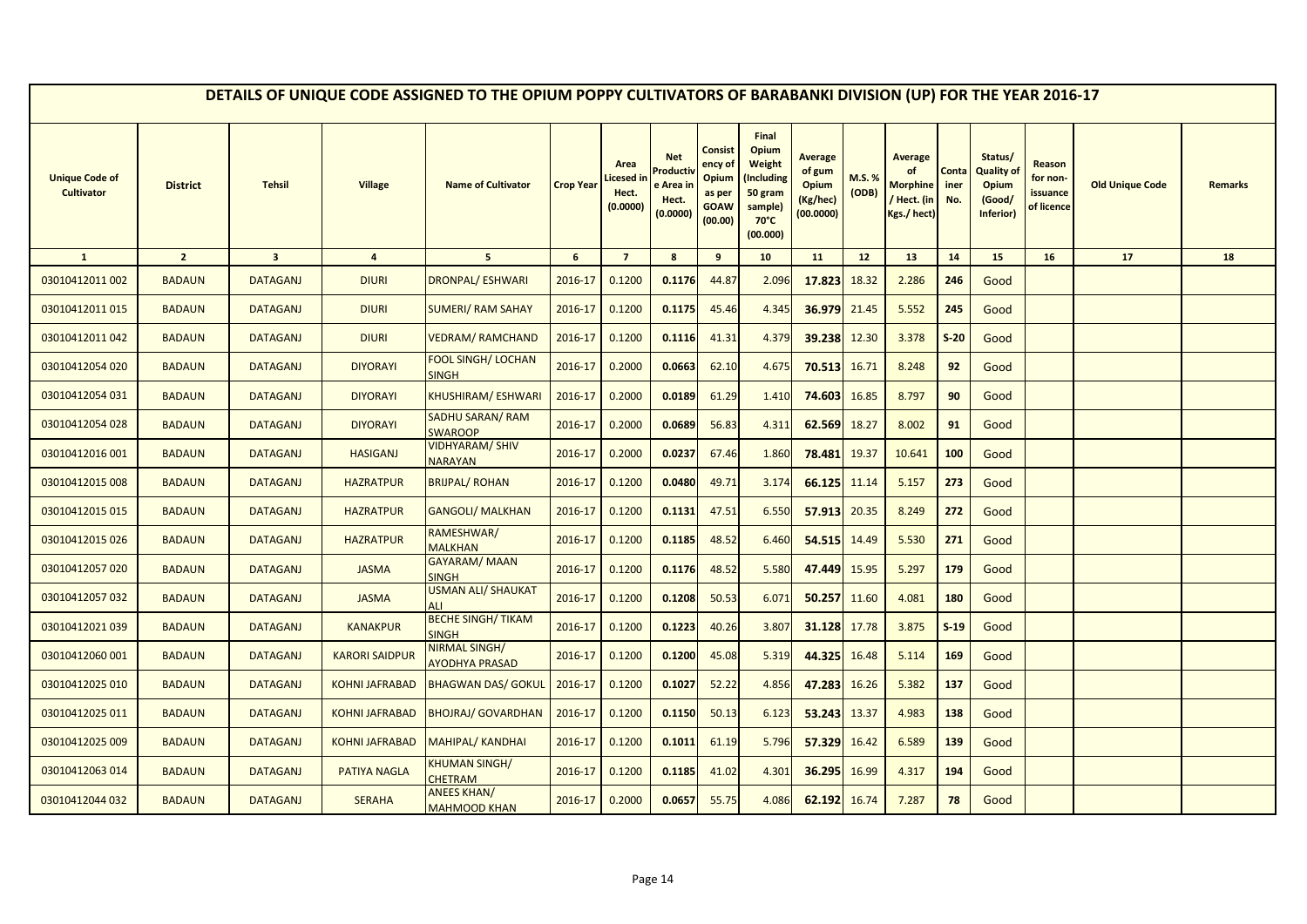|                                            |                 |                         |                       | DETAILS OF UNIQUE CODE ASSIGNED TO THE OPIUM POPPY CULTIVATORS OF BARABANKI DIVISION (UP) FOR THE YEAR 2016-17 |                  |                                        |                                                         |                                                                 |                                                                                                   |                                                                   |                 |                                                                |                      |                                                                     |                                              |                        |                |
|--------------------------------------------|-----------------|-------------------------|-----------------------|----------------------------------------------------------------------------------------------------------------|------------------|----------------------------------------|---------------------------------------------------------|-----------------------------------------------------------------|---------------------------------------------------------------------------------------------------|-------------------------------------------------------------------|-----------------|----------------------------------------------------------------|----------------------|---------------------------------------------------------------------|----------------------------------------------|------------------------|----------------|
| <b>Unique Code of</b><br><b>Cultivator</b> | <b>District</b> | <b>Tehsil</b>           | <b>Village</b>        | <b>Name of Cultivator</b>                                                                                      | <b>Crop Year</b> | Area<br>icesed in<br>Hect.<br>(0.0000) | <b>Net</b><br>Product<br>e Area ir<br>Hect.<br>(0.0000) | Consist<br>ency of<br>Opium<br>as per<br><b>GOAW</b><br>(00.00) | Final<br>Opium<br><b>Weight</b><br>Including)<br>50 gram<br>sample)<br>$70^{\circ}$ C<br>(00.000) | <b>Average</b><br>of gum<br><b>Opium</b><br>(Kg/hec)<br>(00.0000) | M.S. %<br>(ODB) | <b>Average</b><br><b>Morphine</b><br>/ Hect. (in<br>Kgs./hect) | Conta<br>iner<br>No. | Status/<br><b>Quality of</b><br><b>Opium</b><br>(Good/<br>Inferior) | Reason<br>for non-<br>issuance<br>of licence | <b>Old Unique Code</b> | <b>Remarks</b> |
| $\mathbf{1}$                               | $\overline{2}$  | $\overline{\mathbf{3}}$ | $\overline{4}$        | 5 <sup>5</sup>                                                                                                 | $6\phantom{1}$   | $\overline{7}$                         | 8                                                       | 9                                                               | 10                                                                                                | 11                                                                | 12 <sup>2</sup> | 13                                                             | 14                   | 15                                                                  | 16                                           | 17                     | 18             |
| 03010412011 002                            | <b>BADAUN</b>   | <b>DATAGANJ</b>         | <b>DIURI</b>          | <b>DRONPAL/ ESHWARI</b>                                                                                        | 2016-17          | 0.1200                                 | 0.1176                                                  | 44.87                                                           | 2.096                                                                                             | 17.823                                                            | 18.32           | 2.286                                                          | 246                  | Good                                                                |                                              |                        |                |
| 03010412011 015                            | <b>BADAUN</b>   | <b>DATAGANJ</b>         | <b>DIURI</b>          | <b>SUMERI/ RAM SAHAY</b>                                                                                       | 2016-17          | 0.1200                                 | 0.1175                                                  | 45.46                                                           | 4.345                                                                                             | 36.979                                                            | 21.45           | 5.552                                                          | 245                  | Good                                                                |                                              |                        |                |
| 03010412011 042                            | <b>BADAUN</b>   | <b>DATAGANJ</b>         | <b>DIURI</b>          | <b>VEDRAM/ RAMCHAND</b>                                                                                        | 2016-17          | 0.1200                                 | 0.1116                                                  | 41.31                                                           | 4.379                                                                                             | 39.238                                                            | 12.30           | 3.378                                                          | $S-20$               | Good                                                                |                                              |                        |                |
| 03010412054 020                            | <b>BADAUN</b>   | <b>DATAGANJ</b>         | <b>DIYORAYI</b>       | <b>FOOL SINGH/ LOCHAN</b><br><b>SINGH</b>                                                                      | 2016-17          | 0.2000                                 | 0.0663                                                  | 62.10                                                           | 4.675                                                                                             | 70.513                                                            | 16.71           | 8.248                                                          | 92                   | Good                                                                |                                              |                        |                |
| 03010412054 031                            | <b>BADAUN</b>   | <b>DATAGANJ</b>         | <b>DIYORAYI</b>       | KHUSHIRAM/ESHWARI                                                                                              | 2016-17          | 0.2000                                 | 0.0189                                                  | 61.29                                                           | 1.410                                                                                             | 74.603                                                            | 16.85           | 8.797                                                          | 90                   | Good                                                                |                                              |                        |                |
| 03010412054 028                            | <b>BADAUN</b>   | <b>DATAGANJ</b>         | <b>DIYORAYI</b>       | <b>SADHU SARAN/ RAM</b><br><b>SWAROOP</b>                                                                      | 2016-17          | 0.2000                                 | 0.0689                                                  | 56.83                                                           | 4.311                                                                                             | 62.569                                                            | 18.27           | 8.002                                                          | 91                   | Good                                                                |                                              |                        |                |
| 03010412016 001                            | <b>BADAUN</b>   | <b>DATAGANJ</b>         | <b>HASIGANJ</b>       | <b>VIDHYARAM/SHIV</b><br><b>NARAYAN</b>                                                                        | 2016-17          | 0.2000                                 | 0.0237                                                  | 67.46                                                           | 1.860                                                                                             | 78.481                                                            | 19.37           | 10.641                                                         | 100                  | Good                                                                |                                              |                        |                |
| 03010412015 008                            | <b>BADAUN</b>   | <b>DATAGANJ</b>         | <b>HAZRATPUR</b>      | <b>BRIJPAL/ ROHAN</b>                                                                                          | 2016-17          | 0.1200                                 | 0.0480                                                  | 49.71                                                           | 3.174                                                                                             | 66.125                                                            | 11.14           | 5.157                                                          | 273                  | Good                                                                |                                              |                        |                |
| 03010412015 015                            | <b>BADAUN</b>   | <b>DATAGANJ</b>         | <b>HAZRATPUR</b>      | <b>GANGOLI/ MALKHAN</b>                                                                                        | 2016-17          | 0.1200                                 | 0.1131                                                  | 47.51                                                           | 6.550                                                                                             | 57.913                                                            | 20.35           | 8.249                                                          | 272                  | Good                                                                |                                              |                        |                |
| 03010412015 026                            | <b>BADAUN</b>   | <b>DATAGANJ</b>         | <b>HAZRATPUR</b>      | RAMESHWAR/<br><b>MALKHAN</b>                                                                                   | 2016-17          | 0.1200                                 | 0.1185                                                  | 48.52                                                           | 6.460                                                                                             | 54.515                                                            | 14.49           | 5.530                                                          | 271                  | Good                                                                |                                              |                        |                |
| 03010412057 020                            | <b>BADAUN</b>   | <b>DATAGANJ</b>         | <b>JASMA</b>          | GAYARAM/MAAN<br><b>SINGH</b>                                                                                   | 2016-17          | 0.1200                                 | 0.1176                                                  | 48.52                                                           | 5.580                                                                                             | 47.449                                                            | 15.95           | 5.297                                                          | 179                  | Good                                                                |                                              |                        |                |
| 03010412057 032                            | <b>BADAUN</b>   | <b>DATAGANJ</b>         | <b>JASMA</b>          | <b>USMAN ALI/ SHAUKAT</b><br><b>ALI</b>                                                                        | 2016-17          | 0.1200                                 | 0.1208                                                  | 50.53                                                           | 6.071                                                                                             | 50.257                                                            | 11.60           | 4.081                                                          | 180                  | Good                                                                |                                              |                        |                |
| 03010412021 039                            | <b>BADAUN</b>   | <b>DATAGANJ</b>         | <b>KANAKPUR</b>       | <b>BECHE SINGH/ TIKAM</b><br><b>SINGH</b>                                                                      | 2016-17          | 0.1200                                 | 0.1223                                                  | 40.26                                                           | 3.807                                                                                             | 31.128                                                            | 17.78           | 3.875                                                          | $S-19$               | Good                                                                |                                              |                        |                |
| 03010412060 001                            | <b>BADAUN</b>   | <b>DATAGANJ</b>         | <b>KARORI SAIDPUR</b> | NIRMAL SINGH/<br>AYODHYA PRASAD                                                                                | 2016-17          | 0.1200                                 | 0.1200                                                  | 45.08                                                           | 5.319                                                                                             | 44.325                                                            | 16.48           | 5.114                                                          | 169                  | Good                                                                |                                              |                        |                |
| 03010412025 010                            | <b>BADAUN</b>   | <b>DATAGANJ</b>         | <b>KOHNI JAFRABAD</b> | <b>BHAGWAN DAS/ GOKUL</b>                                                                                      | 2016-17          | 0.1200                                 | 0.1027                                                  | 52.22                                                           | 4.856                                                                                             | 47.283                                                            | 16.26           | 5.382                                                          | 137                  | Good                                                                |                                              |                        |                |
| 03010412025 011                            | <b>BADAUN</b>   | <b>DATAGANJ</b>         | <b>KOHNI JAFRABAD</b> | <b>BHOJRAJ/ GOVARDHAN</b>                                                                                      | 2016-17          | 0.1200                                 | 0.1150                                                  | 50.13                                                           | 6.123                                                                                             | 53.243                                                            | 13.37           | 4.983                                                          | 138                  | Good                                                                |                                              |                        |                |
| 03010412025 009                            | <b>BADAUN</b>   | <b>DATAGANJ</b>         | <b>KOHNI JAFRABAD</b> | <b>MAHIPAL/ KANDHAI</b>                                                                                        | 2016-17          | 0.1200                                 | 0.1011                                                  | 61.19                                                           | 5.796                                                                                             | 57.329                                                            | 16.42           | 6.589                                                          | 139                  | Good                                                                |                                              |                        |                |
| 03010412063 014                            | <b>BADAUN</b>   | <b>DATAGANJ</b>         | <b>PATIYA NAGLA</b>   | <b>KHUMAN SINGH/</b><br><b>CHETRAM</b>                                                                         | 2016-17          | 0.1200                                 | 0.1185                                                  | 41.02                                                           | 4.301                                                                                             | 36.295                                                            | 16.99           | 4.317                                                          | 194                  | Good                                                                |                                              |                        |                |
| 03010412044 032                            | <b>BADAUN</b>   | <b>DATAGANJ</b>         | <b>SERAHA</b>         | <b>ANEES KHAN/</b><br><b>MAHMOOD KHAN</b>                                                                      | 2016-17          | 0.2000                                 | 0.0657                                                  | 55.75                                                           | 4.086                                                                                             | 62.192 16.74                                                      |                 | 7.287                                                          | 78                   | Good                                                                |                                              |                        |                |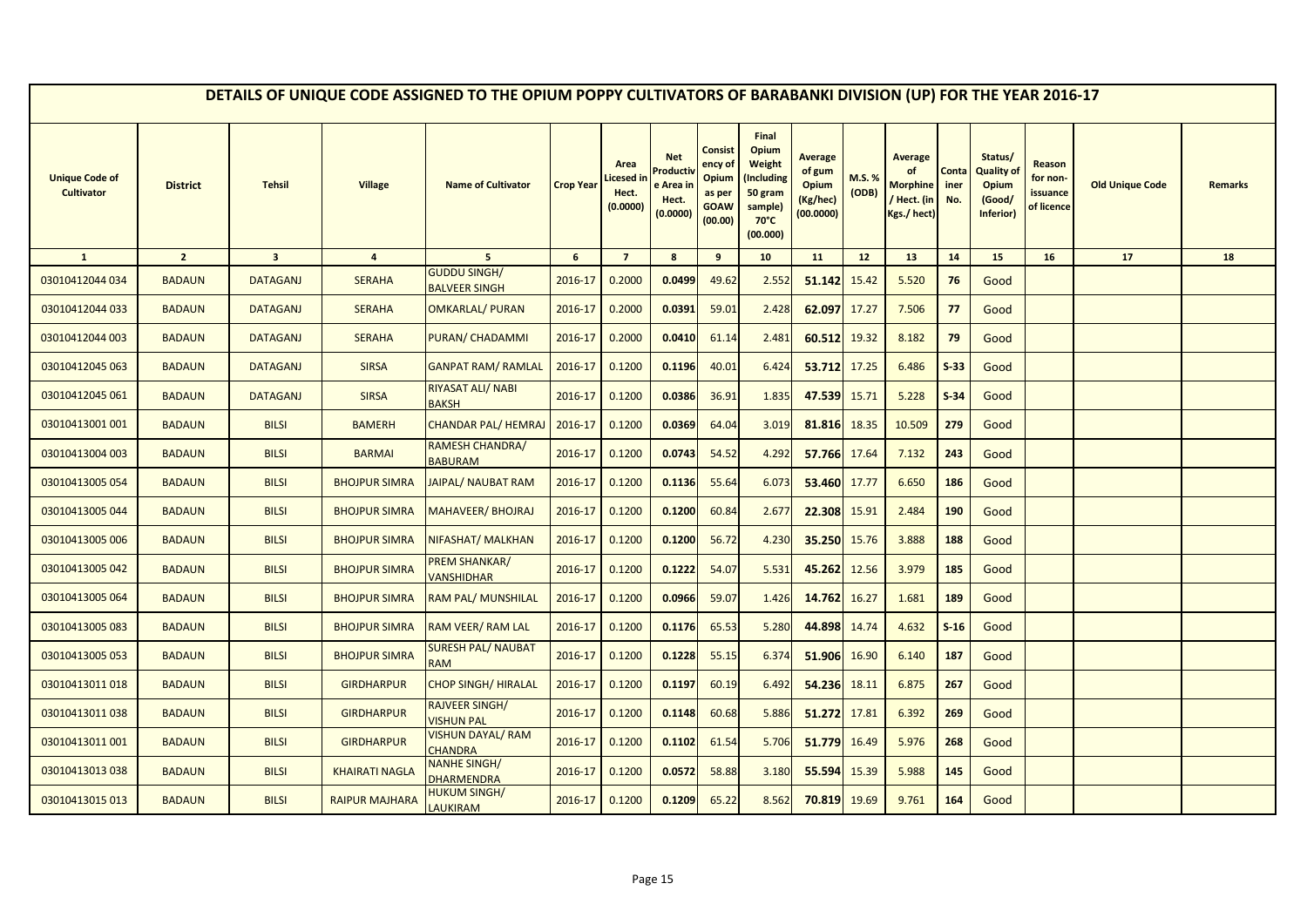|                                            |                 |                         |                       | DETAILS OF UNIQUE CODE ASSIGNED TO THE OPIUM POPPY CULTIVATORS OF BARABANKI DIVISION (UP) FOR THE YEAR 2016-17 |                  |                                        |                                                                     |                                                                 |                                                                                            |                                                                   |                       |                                                                       |                      |                                                                     |                                              |                        |                |
|--------------------------------------------|-----------------|-------------------------|-----------------------|----------------------------------------------------------------------------------------------------------------|------------------|----------------------------------------|---------------------------------------------------------------------|-----------------------------------------------------------------|--------------------------------------------------------------------------------------------|-------------------------------------------------------------------|-----------------------|-----------------------------------------------------------------------|----------------------|---------------------------------------------------------------------|----------------------------------------------|------------------------|----------------|
| <b>Unique Code of</b><br><b>Cultivator</b> | <b>District</b> | <b>Tehsil</b>           | <b>Village</b>        | <b>Name of Cultivator</b>                                                                                      | <b>Crop Year</b> | Area<br>icesed in<br>Hect.<br>(0.0000) | <b>Net</b><br>roduct <sup>,</sup><br>e Area ir<br>Hect.<br>(0.0000) | Consist<br>ency of<br>Opium<br>as per<br><b>GOAW</b><br>(00.00) | Final<br>Opium<br>Weight<br>(Including<br>50 gram<br>sample)<br>$70^{\circ}$ C<br>(00.000) | <b>Average</b><br>of gum<br><b>Opium</b><br>(Kg/hec)<br>(00.0000) | <b>M.S.%</b><br>(ODB) | <b>Average</b><br>of<br><b>Morphine</b><br>/ Hect. (in<br>Kgs./ hect) | Conta<br>iner<br>No. | Status/<br><b>Quality of</b><br><b>Opium</b><br>(Good/<br>Inferior) | Reason<br>for non-<br>issuance<br>of licence | <b>Old Unique Code</b> | <b>Remarks</b> |
| $\mathbf{1}$                               | $\overline{2}$  | $\overline{\mathbf{3}}$ | $\overline{4}$        | 5 <sup>5</sup>                                                                                                 | $6\phantom{1}$   | $\overline{7}$                         | 8                                                                   | 9                                                               | 10                                                                                         | 11                                                                | 12 <sup>2</sup>       | 13                                                                    | 14                   | 15                                                                  | 16                                           | 17                     | 18             |
| 03010412044 034                            | <b>BADAUN</b>   | <b>DATAGANJ</b>         | <b>SERAHA</b>         | <b>GUDDU SINGH/</b><br><b>BALVEER SINGH</b>                                                                    | 2016-17          | 0.2000                                 | 0.0499                                                              | 49.62                                                           | 2.552                                                                                      | 51.142                                                            | 15.42                 | 5.520                                                                 | 76                   | Good                                                                |                                              |                        |                |
| 03010412044 033                            | <b>BADAUN</b>   | <b>DATAGANJ</b>         | <b>SERAHA</b>         | <b>OMKARLAL/ PURAN</b>                                                                                         | 2016-17          | 0.2000                                 | 0.0391                                                              | 59.01                                                           | 2.428                                                                                      | 62.097                                                            | 17.27                 | 7.506                                                                 | 77                   | Good                                                                |                                              |                        |                |
| 03010412044 003                            | <b>BADAUN</b>   | <b>DATAGANJ</b>         | <b>SERAHA</b>         | PURAN/ CHADAMMI                                                                                                | 2016-17          | 0.2000                                 | 0.0410                                                              | 61.14                                                           | 2.481                                                                                      | 60.512                                                            | 19.32                 | 8.182                                                                 | 79                   | Good                                                                |                                              |                        |                |
| 03010412045 063                            | <b>BADAUN</b>   | <b>DATAGANJ</b>         | <b>SIRSA</b>          | <b>GANPAT RAM/ RAMLAL</b>                                                                                      | 2016-17          | 0.1200                                 | 0.1196                                                              | 40.01                                                           | 6.424                                                                                      | 53.712 17.25                                                      |                       | 6.486                                                                 | $S-33$               | Good                                                                |                                              |                        |                |
| 03010412045 061                            | <b>BADAUN</b>   | <b>DATAGANJ</b>         | <b>SIRSA</b>          | RIYASAT ALI/ NABI<br><b>BAKSH</b>                                                                              | 2016-17          | 0.1200                                 | 0.0386                                                              | 36.91                                                           | 1.835                                                                                      | 47.539                                                            | 15.71                 | 5.228                                                                 | $S-34$               | Good                                                                |                                              |                        |                |
| 03010413001 001                            | <b>BADAUN</b>   | <b>BILSI</b>            | <b>BAMERH</b>         | <b>CHANDAR PAL/ HEMRAJ</b>                                                                                     | 2016-17          | 0.1200                                 | 0.0369                                                              | 64.04                                                           | 3.019                                                                                      | 81.816                                                            | 18.35                 | 10.509                                                                | 279                  | Good                                                                |                                              |                        |                |
| 03010413004 003                            | <b>BADAUN</b>   | <b>BILSI</b>            | <b>BARMAI</b>         | <b>RAMESH CHANDRA/</b><br><b>BABURAM</b>                                                                       | 2016-17          | 0.1200                                 | 0.0743                                                              | 54.52                                                           | 4.292                                                                                      | 57.766 17.64                                                      |                       | 7.132                                                                 | 243                  | Good                                                                |                                              |                        |                |
| 03010413005 054                            | <b>BADAUN</b>   | <b>BILSI</b>            | <b>BHOJPUR SIMRA</b>  | <b>JAIPAL/ NAUBAT RAM</b>                                                                                      | 2016-17          | 0.1200                                 | 0.1136                                                              | 55.64                                                           | 6.073                                                                                      | 53.460 17.77                                                      |                       | 6.650                                                                 | 186                  | Good                                                                |                                              |                        |                |
| 03010413005 044                            | <b>BADAUN</b>   | <b>BILSI</b>            | <b>BHOJPUR SIMRA</b>  | <b>MAHAVEER/ BHOJRAJ</b>                                                                                       | 2016-17          | 0.1200                                 | 0.1200                                                              | 60.84                                                           | 2.677                                                                                      | 22.308                                                            | 15.91                 | 2.484                                                                 | <b>190</b>           | Good                                                                |                                              |                        |                |
| 03010413005 006                            | <b>BADAUN</b>   | <b>BILSI</b>            | <b>BHOJPUR SIMRA</b>  | <b>NIFASHAT/ MALKHAN</b>                                                                                       | 2016-17          | 0.1200                                 | 0.1200                                                              | 56.72                                                           | 4.230                                                                                      | 35.250                                                            | 15.76                 | 3.888                                                                 | 188                  | Good                                                                |                                              |                        |                |
| 03010413005 042                            | <b>BADAUN</b>   | <b>BILSI</b>            | <b>BHOJPUR SIMRA</b>  | PREM SHANKAR/<br><b>VANSHIDHAR</b>                                                                             | 2016-17          | 0.1200                                 | 0.1222                                                              | 54.07                                                           | 5.531                                                                                      | 45.262                                                            | 12.56                 | 3.979                                                                 | 185                  | Good                                                                |                                              |                        |                |
| 03010413005 064                            | <b>BADAUN</b>   | <b>BILSI</b>            | <b>BHOJPUR SIMRA</b>  | RAM PAL/ MUNSHILAL                                                                                             | 2016-17          | 0.1200                                 | 0.0966                                                              | 59.07                                                           | 1.426                                                                                      | 14.762                                                            | 16.27                 | 1.681                                                                 | 189                  | Good                                                                |                                              |                        |                |
| 03010413005 083                            | <b>BADAUN</b>   | <b>BILSI</b>            | <b>BHOJPUR SIMRA</b>  | RAM VEER/ RAM LAL                                                                                              | 2016-17          | 0.1200                                 | 0.1176                                                              | 65.53                                                           | 5.280                                                                                      | 44.898 14.74                                                      |                       | 4.632                                                                 | $S-16$               | Good                                                                |                                              |                        |                |
| 03010413005 053                            | <b>BADAUN</b>   | <b>BILSI</b>            | <b>BHOJPUR SIMRA</b>  | <b>SURESH PAL/ NAUBAT</b><br><b>RAM</b>                                                                        | 2016-17          | 0.1200                                 | 0.1228                                                              | 55.15                                                           | 6.374                                                                                      | 51.906                                                            | 16.90                 | 6.140                                                                 | 187                  | Good                                                                |                                              |                        |                |
| 03010413011018                             | <b>BADAUN</b>   | <b>BILSI</b>            | <b>GIRDHARPUR</b>     | <b>CHOP SINGH/ HIRALAL</b>                                                                                     | 2016-17          | 0.1200                                 | 0.1197                                                              | 60.19                                                           | 6.492                                                                                      | 54.236                                                            | 18.11                 | 6.875                                                                 | 267                  | Good                                                                |                                              |                        |                |
| 03010413011038                             | <b>BADAUN</b>   | <b>BILSI</b>            | <b>GIRDHARPUR</b>     | <b>RAJVEER SINGH/</b><br><b>VISHUN PAL</b>                                                                     | 2016-17          | 0.1200                                 | 0.1148                                                              | 60.68                                                           | 5.886                                                                                      | 51.272                                                            | 17.81                 | 6.392                                                                 | 269                  | Good                                                                |                                              |                        |                |
| 03010413011 001                            | <b>BADAUN</b>   | <b>BILSI</b>            | <b>GIRDHARPUR</b>     | <b>VISHUN DAYAL/ RAM</b><br><b>CHANDRA</b>                                                                     | 2016-17          | 0.1200                                 | 0.1102                                                              | 61.54                                                           | 5.706                                                                                      | 51.779                                                            | 16.49                 | 5.976                                                                 | 268                  | Good                                                                |                                              |                        |                |
| 03010413013038                             | <b>BADAUN</b>   | <b>BILSI</b>            | <b>KHAIRATI NAGLA</b> | <b>NANHE SINGH/</b><br><b>DHARMENDRA</b>                                                                       | 2016-17          | 0.1200                                 | 0.0572                                                              | 58.88                                                           | 3.180                                                                                      | 55.594                                                            | 15.39                 | 5.988                                                                 | 145                  | Good                                                                |                                              |                        |                |
| 03010413015 013                            | <b>BADAUN</b>   | <b>BILSI</b>            | <b>RAIPUR MAJHARA</b> | HUKUM SINGH/<br><b>LAUKIRAM</b>                                                                                | 2016-17          | 0.1200                                 | 0.1209                                                              | 65.22                                                           | 8.562                                                                                      | 70.819                                                            | 19.69                 | 9.761                                                                 | 164                  | Good                                                                |                                              |                        |                |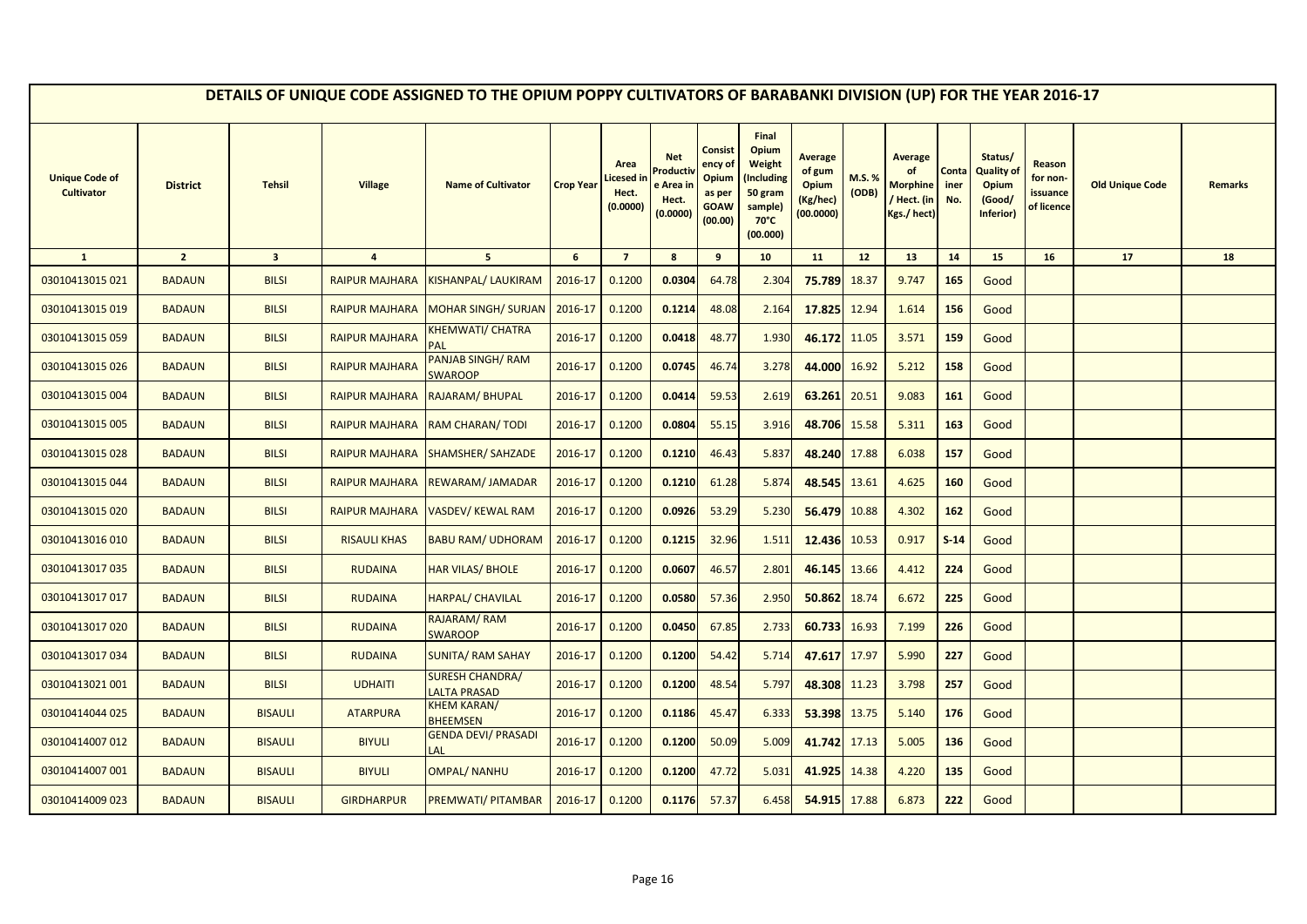|                                            |                 |                         |                       | DETAILS OF UNIQUE CODE ASSIGNED TO THE OPIUM POPPY CULTIVATORS OF BARABANKI DIVISION (UP) FOR THE YEAR 2016-17 |                  |                                        |                                                         |                                                                 |                                                                                            |                                                                   |                |                                                                |                      |                                                              |                                              |                        |                |
|--------------------------------------------|-----------------|-------------------------|-----------------------|----------------------------------------------------------------------------------------------------------------|------------------|----------------------------------------|---------------------------------------------------------|-----------------------------------------------------------------|--------------------------------------------------------------------------------------------|-------------------------------------------------------------------|----------------|----------------------------------------------------------------|----------------------|--------------------------------------------------------------|----------------------------------------------|------------------------|----------------|
| <b>Unique Code of</b><br><b>Cultivator</b> | <b>District</b> | <b>Tehsil</b>           | <b>Village</b>        | <b>Name of Cultivator</b>                                                                                      | <b>Crop Year</b> | Area<br>icesed in<br>Hect.<br>(0.0000) | <b>Net</b><br>Product<br>e Area ir<br>Hect.<br>(0.0000) | Consist<br>ency of<br>Opium<br>as per<br><b>GOAW</b><br>(00.00) | Final<br>Opium<br>Weight<br>Including)<br>50 gram<br>sample)<br>$70^{\circ}$ C<br>(00.000) | <b>Average</b><br>of gum<br><b>Opium</b><br>(Kg/hec)<br>(00.0000) | M.S.%<br>(ODB) | <b>Average</b><br><b>Morphine</b><br>/ Hect. (in<br>Kgs./hect) | Conta<br>iner<br>No. | Status/<br><b>Quality of</b><br>Opium<br>(Good/<br>Inferior) | Reason<br>for non-<br>issuance<br>of licence | <b>Old Unique Code</b> | <b>Remarks</b> |
| $\mathbf{1}$                               | $\overline{2}$  | $\overline{\mathbf{3}}$ | $\overline{4}$        | 5 <sub>5</sub>                                                                                                 | 6                | $\overline{7}$                         | 8                                                       | 9                                                               | 10                                                                                         | 11                                                                | 12             | 13                                                             | 14                   | 15                                                           | 16                                           | 17                     | 18             |
| 03010413015 021                            | <b>BADAUN</b>   | <b>BILSI</b>            | <b>RAIPUR MAJHARA</b> | <b>KISHANPAL/ LAUKIRAM</b>                                                                                     | 2016-17          | 0.1200                                 | 0.0304                                                  | 64.78                                                           | 2.304                                                                                      | 75.789                                                            | 18.37          | 9.747                                                          | 165                  | Good                                                         |                                              |                        |                |
| 03010413015 019                            | <b>BADAUN</b>   | <b>BILSI</b>            | <b>RAIPUR MAJHARA</b> | <b>MOHAR SINGH/ SURJAN</b>                                                                                     | 2016-17          | 0.1200                                 | 0.1214                                                  | 48.08                                                           | 2.164                                                                                      | 17.825                                                            | 12.94          | 1.614                                                          | 156                  | Good                                                         |                                              |                        |                |
| 03010413015 059                            | <b>BADAUN</b>   | <b>BILSI</b>            | <b>RAIPUR MAJHARA</b> | <u>KHEMWATI/ CHATRA</u><br>PAL                                                                                 | 2016-17          | 0.1200                                 | 0.0418                                                  | 48.77                                                           | 1.930                                                                                      | 46.172                                                            | 11.05          | 3.571                                                          | 159                  | Good                                                         |                                              |                        |                |
| 03010413015026                             | <b>BADAUN</b>   | <b>BILSI</b>            | <b>RAIPUR MAJHARA</b> | <b>PANJAB SINGH/ RAM</b><br><b>SWAROOP</b>                                                                     | 2016-17          | 0.1200                                 | 0.0745                                                  | 46.74                                                           | 3.278                                                                                      | 44.000                                                            | 16.92          | 5.212                                                          | 158                  | Good                                                         |                                              |                        |                |
| 03010413015 004                            | <b>BADAUN</b>   | <b>BILSI</b>            | <b>RAIPUR MAJHARA</b> | RAJARAM/ BHUPAL                                                                                                | 2016-17          | 0.1200                                 | 0.0414                                                  | 59.53                                                           | 2.619                                                                                      | 63.261                                                            | 20.51          | 9.083                                                          | 161                  | Good                                                         |                                              |                        |                |
| 03010413015 005                            | <b>BADAUN</b>   | <b>BILSI</b>            | <b>RAIPUR MAJHARA</b> | <b>RAM CHARAN/TODI</b>                                                                                         | 2016-17          | 0.1200                                 | 0.0804                                                  | 55.15                                                           | 3.916                                                                                      | 48.706                                                            | 15.58          | 5.311                                                          | 163                  | Good                                                         |                                              |                        |                |
| 03010413015028                             | <b>BADAUN</b>   | <b>BILSI</b>            | <b>RAIPUR MAJHARA</b> | <b>SHAMSHER/ SAHZADE</b>                                                                                       | 2016-17          | 0.1200                                 | 0.1210                                                  | 46.43                                                           | 5.837                                                                                      | 48.240 17.88                                                      |                | 6.038                                                          | 157                  | Good                                                         |                                              |                        |                |
| 03010413015044                             | <b>BADAUN</b>   | <b>BILSI</b>            | <b>RAIPUR MAJHARA</b> | <b>REWARAM/JAMADAR</b>                                                                                         | 2016-17          | 0.1200                                 | 0.1210                                                  | 61.28                                                           | 5.874                                                                                      | 48.545                                                            | 13.61          | 4.625                                                          | 160                  | Good                                                         |                                              |                        |                |
| 03010413015 020                            | <b>BADAUN</b>   | <b>BILSI</b>            | <b>RAIPUR MAJHARA</b> | <b>VASDEV/ KEWAL RAM</b>                                                                                       | 2016-17          | 0.1200                                 | 0.0926                                                  | 53.29                                                           | 5.230                                                                                      | 56.479                                                            | 10.88          | 4.302                                                          | 162                  | Good                                                         |                                              |                        |                |
| 03010413016010                             | <b>BADAUN</b>   | <b>BILSI</b>            | <b>RISAULI KHAS</b>   | <b>BABU RAM/ UDHORAM</b>                                                                                       | 2016-17          | 0.1200                                 | 0.1215                                                  | 32.96                                                           | 1.511                                                                                      | 12.436                                                            | 10.53          | 0.917                                                          | $S-14$               | Good                                                         |                                              |                        |                |
| 03010413017 035                            | <b>BADAUN</b>   | <b>BILSI</b>            | <b>RUDAINA</b>        | <b>HAR VILAS/ BHOLE</b>                                                                                        | 2016-17          | 0.1200                                 | 0.0607                                                  | 46.57                                                           | 2.801                                                                                      | 46.145                                                            | 13.66          | 4.412                                                          | 224                  | Good                                                         |                                              |                        |                |
| 03010413017017                             | <b>BADAUN</b>   | <b>BILSI</b>            | <b>RUDAINA</b>        | HARPAL/ CHAVILAL                                                                                               | 2016-17          | 0.1200                                 | 0.0580                                                  | 57.36                                                           | 2.950                                                                                      | 50.862                                                            | 18.74          | 6.672                                                          | 225                  | Good                                                         |                                              |                        |                |
| 03010413017020                             | <b>BADAUN</b>   | <b>BILSI</b>            | <b>RUDAINA</b>        | RAJARAM/RAM<br><b>SWAROOP</b>                                                                                  | 2016-17          | 0.1200                                 | 0.0450                                                  | 67.85                                                           | 2.733                                                                                      | 60.733                                                            | 16.93          | 7.199                                                          | 226                  | Good                                                         |                                              |                        |                |
| 03010413017034                             | <b>BADAUN</b>   | <b>BILSI</b>            | <b>RUDAINA</b>        | <b>SUNITA/ RAM SAHAY</b>                                                                                       | 2016-17          | 0.1200                                 | 0.1200                                                  | 54.42                                                           | 5.714                                                                                      | 47.617                                                            | 17.97          | 5.990                                                          | 227                  | Good                                                         |                                              |                        |                |
| 03010413021 001                            | <b>BADAUN</b>   | <b>BILSI</b>            | <b>UDHAITI</b>        | <b>SURESH CHANDRA/</b><br><b>LALTA PRASAD</b>                                                                  | 2016-17          | 0.1200                                 | 0.1200                                                  | 48.54                                                           | 5.797                                                                                      | 48.308 11.23                                                      |                | 3.798                                                          | 257                  | Good                                                         |                                              |                        |                |
| 03010414044 025                            | <b>BADAUN</b>   | <b>BISAULI</b>          | <b>ATARPURA</b>       | <b>KHEM KARAN/</b><br><b>BHEEMSEN</b>                                                                          | 2016-17          | 0.1200                                 | 0.1186                                                  | 45.47                                                           | 6.333                                                                                      | 53.398                                                            | 13.75          | 5.140                                                          | 176                  | Good                                                         |                                              |                        |                |
| 03010414007 012                            | <b>BADAUN</b>   | <b>BISAULI</b>          | <b>BIYULI</b>         | <b>GENDA DEVI/ PRASADI</b><br>LAL                                                                              | 2016-17          | 0.1200                                 | 0.1200                                                  | 50.09                                                           | 5.009                                                                                      | 41.742 17.13                                                      |                | 5.005                                                          | 136                  | Good                                                         |                                              |                        |                |
| 03010414007 001                            | <b>BADAUN</b>   | <b>BISAULI</b>          | <b>BIYULI</b>         | <b>OMPAL/ NANHU</b>                                                                                            | 2016-17          | 0.1200                                 | 0.1200                                                  | 47.72                                                           | 5.031                                                                                      | 41.925                                                            | 14.38          | 4.220                                                          | 135                  | Good                                                         |                                              |                        |                |
| 03010414009 023                            | <b>BADAUN</b>   | <b>BISAULI</b>          | <b>GIRDHARPUR</b>     | PREMWATI/ PITAMBAR                                                                                             | 2016-17          | 0.1200                                 | 0.1176                                                  | 57.37                                                           | 6.458                                                                                      | 54.915                                                            | 17.88          | 6.873                                                          | 222                  | Good                                                         |                                              |                        |                |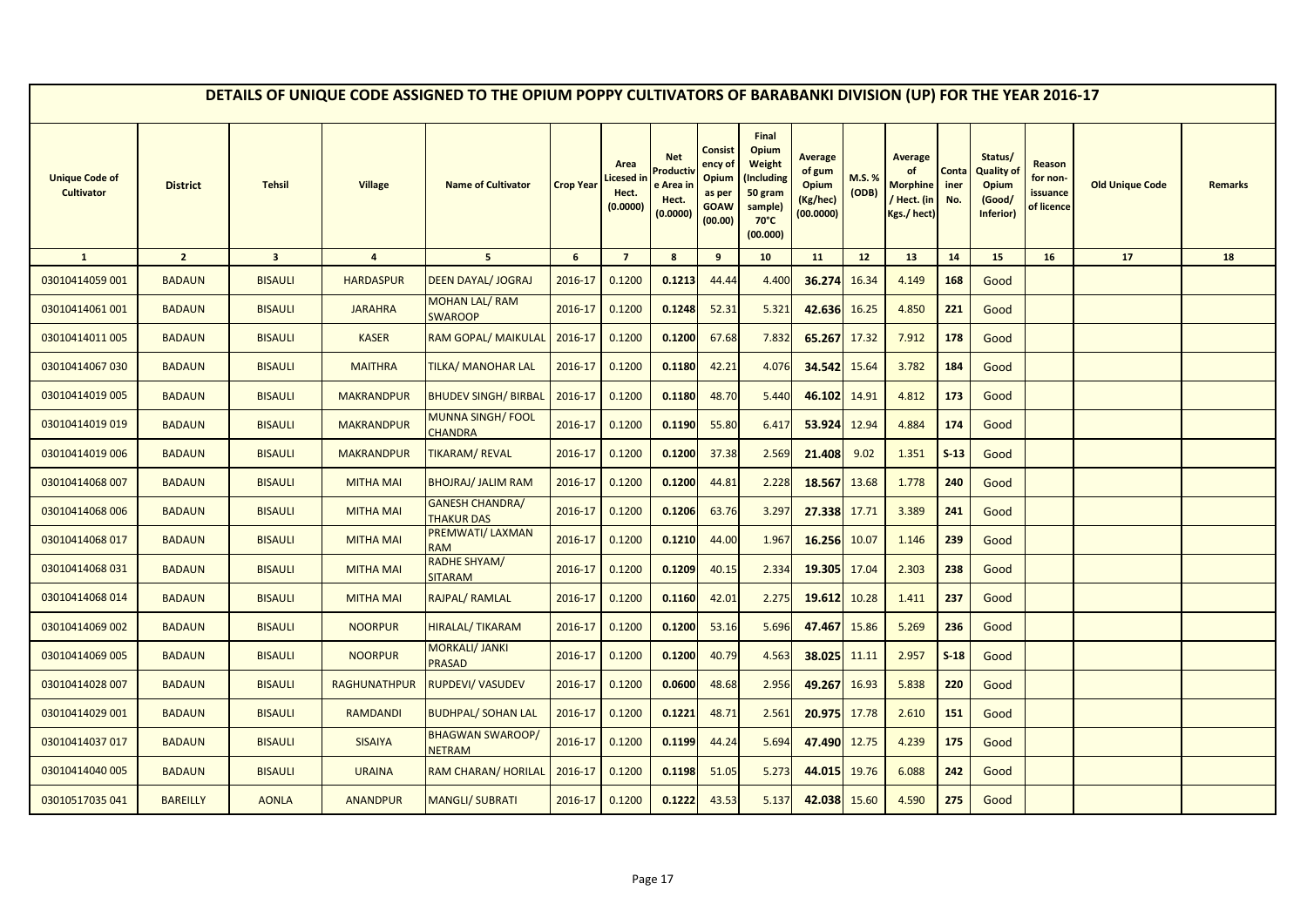|                                            |                 |                         |                     | DETAILS OF UNIQUE CODE ASSIGNED TO THE OPIUM POPPY CULTIVATORS OF BARABANKI DIVISION (UP) FOR THE YEAR 2016-17 |                  |                                        |                                                         |                                                                 |                                                                                                   |                                                                   |                |                                                                |                      |                                                                     |                                                     |                        |                |
|--------------------------------------------|-----------------|-------------------------|---------------------|----------------------------------------------------------------------------------------------------------------|------------------|----------------------------------------|---------------------------------------------------------|-----------------------------------------------------------------|---------------------------------------------------------------------------------------------------|-------------------------------------------------------------------|----------------|----------------------------------------------------------------|----------------------|---------------------------------------------------------------------|-----------------------------------------------------|------------------------|----------------|
| <b>Unique Code of</b><br><b>Cultivator</b> | <b>District</b> | <b>Tehsil</b>           | <b>Village</b>      | <b>Name of Cultivator</b>                                                                                      | <b>Crop Year</b> | Area<br>icesed in<br>Hect.<br>(0.0000) | <b>Net</b><br>Product<br>e Area ir<br>Hect.<br>(0.0000) | Consist<br>ency of<br>Opium<br>as per<br><b>GOAW</b><br>(00.00) | Final<br>Opium<br><b>Weight</b><br>Including)<br>50 gram<br>sample)<br>$70^{\circ}$ C<br>(00.000) | <b>Average</b><br>of gum<br><b>Opium</b><br>(Kg/hec)<br>(00.0000) | M.S.%<br>(ODB) | <b>Average</b><br><b>Morphine</b><br>/ Hect. (in<br>Kgs./hect) | Conta<br>iner<br>No. | Status/<br><b>Quality of</b><br><b>Opium</b><br>(Good/<br>Inferior) | Reason<br>for non-<br><i>issuance</i><br>of licence | <b>Old Unique Code</b> | <b>Remarks</b> |
| $\mathbf{1}$                               | $\overline{2}$  | $\overline{\mathbf{3}}$ | $\overline{4}$      | $5\overline{5}$                                                                                                | 6                | $\overline{7}$                         | 8                                                       | 9                                                               | 10                                                                                                | 11                                                                | 12             | 13                                                             | 14                   | 15                                                                  | 16                                                  | 17                     | 18             |
| 03010414059 001                            | <b>BADAUN</b>   | <b>BISAULI</b>          | <b>HARDASPUR</b>    | <b>DEEN DAYAL/ JOGRAJ</b>                                                                                      | 2016-17          | 0.1200                                 | 0.1213                                                  | 44.44                                                           | 4.400                                                                                             | 36.274                                                            | 16.34          | 4.149                                                          | 168                  | Good                                                                |                                                     |                        |                |
| 03010414061 001                            | <b>BADAUN</b>   | <b>BISAULI</b>          | <b>JARAHRA</b>      | <b>MOHAN LAL/RAM</b><br><b>SWAROOP</b>                                                                         | 2016-17          | 0.1200                                 | 0.1248                                                  | 52.31                                                           | 5.321                                                                                             | 42.636                                                            | 16.25          | 4.850                                                          | 221                  | Good                                                                |                                                     |                        |                |
| 03010414011 005                            | <b>BADAUN</b>   | <b>BISAULI</b>          | <b>KASER</b>        | RAM GOPAL/ MAIKULAL                                                                                            | 2016-17          | 0.1200                                 | 0.1200                                                  | 67.68                                                           | 7.832                                                                                             | 65.267                                                            | 17.32          | 7.912                                                          | 178                  | Good                                                                |                                                     |                        |                |
| 03010414067 030                            | <b>BADAUN</b>   | <b>BISAULI</b>          | <b>MAITHRA</b>      | TILKA/ MANOHAR LAL                                                                                             | 2016-17          | 0.1200                                 | 0.1180                                                  | 42.21                                                           | 4.076                                                                                             | 34.542                                                            | 15.64          | 3.782                                                          | 184                  | Good                                                                |                                                     |                        |                |
| 03010414019 005                            | <b>BADAUN</b>   | <b>BISAULI</b>          | <b>MAKRANDPUR</b>   | <b>BHUDEV SINGH/ BIRBAL</b>                                                                                    | 2016-17          | 0.1200                                 | 0.1180                                                  | 48.70                                                           | 5.440                                                                                             | 46.102                                                            | 14.91          | 4.812                                                          | 173                  | Good                                                                |                                                     |                        |                |
| 03010414019019                             | <b>BADAUN</b>   | <b>BISAULI</b>          | <b>MAKRANDPUR</b>   | MUNNA SINGH/ FOOL<br>CHANDRA                                                                                   | 2016-17          | 0.1200                                 | 0.1190                                                  | 55.80                                                           | 6.417                                                                                             | 53.924 12.94                                                      |                | 4.884                                                          | 174                  | Good                                                                |                                                     |                        |                |
| 03010414019 006                            | <b>BADAUN</b>   | <b>BISAULI</b>          | <b>MAKRANDPUR</b>   | <b>TIKARAM/REVAL</b>                                                                                           | 2016-17          | 0.1200                                 | 0.1200                                                  | 37.38                                                           | 2.569                                                                                             | 21.408                                                            | 9.02           | 1.351                                                          | $S-13$               | Good                                                                |                                                     |                        |                |
| 03010414068 007                            | <b>BADAUN</b>   | <b>BISAULI</b>          | <b>MITHA MAI</b>    | <b>BHOJRAJ/ JALIM RAM</b>                                                                                      | 2016-17          | 0.1200                                 | 0.1200                                                  | 44.81                                                           | 2.228                                                                                             | 18.567                                                            | 13.68          | 1.778                                                          | 240                  | Good                                                                |                                                     |                        |                |
| 03010414068 006                            | <b>BADAUN</b>   | <b>BISAULI</b>          | <b>MITHA MAI</b>    | <b>GANESH CHANDRA/</b><br><b>THAKUR DAS</b>                                                                    | 2016-17          | 0.1200                                 | 0.1206                                                  | 63.76                                                           | 3.297                                                                                             | 27.338                                                            | 17.71          | 3.389                                                          | 241                  | Good                                                                |                                                     |                        |                |
| 03010414068 017                            | <b>BADAUN</b>   | <b>BISAULI</b>          | <b>MITHA MAI</b>    | PREMWATI/ LAXMAN<br><b>RAM</b>                                                                                 | 2016-17          | 0.1200                                 | 0.1210                                                  | 44.00                                                           | 1.967                                                                                             | 16.256                                                            | 10.07          | 1.146                                                          | 239                  | Good                                                                |                                                     |                        |                |
| 03010414068 031                            | <b>BADAUN</b>   | <b>BISAULI</b>          | <b>MITHA MAI</b>    | RADHE SHYAM/<br><b>SITARAM</b>                                                                                 | 2016-17          | 0.1200                                 | 0.1209                                                  | 40.15                                                           | 2.334                                                                                             | 19.305                                                            | 17.04          | 2.303                                                          | 238                  | Good                                                                |                                                     |                        |                |
| 03010414068 014                            | <b>BADAUN</b>   | <b>BISAULI</b>          | <b>MITHA MAI</b>    | RAJPAL/RAMLAL                                                                                                  | 2016-17          | 0.1200                                 | 0.1160                                                  | 42.01                                                           | 2.275                                                                                             | 19.612                                                            | 10.28          | 1.411                                                          | 237                  | Good                                                                |                                                     |                        |                |
| 03010414069 002                            | <b>BADAUN</b>   | <b>BISAULI</b>          | <b>NOORPUR</b>      | <b>HIRALAL/ TIKARAM</b>                                                                                        | 2016-17          | 0.1200                                 | 0.1200                                                  | 53.16                                                           | 5.696                                                                                             | 47.467                                                            | 15.86          | 5.269                                                          | 236                  | Good                                                                |                                                     |                        |                |
| 03010414069 005                            | <b>BADAUN</b>   | <b>BISAULI</b>          | <b>NOORPUR</b>      | <b>MORKALI/ JANKI</b><br><b>PRASAD</b>                                                                         | 2016-17          | 0.1200                                 | 0.1200                                                  | 40.79                                                           | 4.563                                                                                             | 38.025                                                            | 11.11          | 2.957                                                          | $S-18$               | Good                                                                |                                                     |                        |                |
| 03010414028 007                            | <b>BADAUN</b>   | <b>BISAULI</b>          | <b>RAGHUNATHPUR</b> | <b>RUPDEVI/ VASUDEV</b>                                                                                        | 2016-17          | 0.1200                                 | 0.0600                                                  | 48.68                                                           | 2.956                                                                                             | 49.267                                                            | 16.93          | 5.838                                                          | 220                  | Good                                                                |                                                     |                        |                |
| 03010414029 001                            | <b>BADAUN</b>   | <b>BISAULI</b>          | <b>RAMDANDI</b>     | <b>BUDHPAL/ SOHAN LAL</b>                                                                                      | 2016-17          | 0.1200                                 | 0.1221                                                  | 48.71                                                           | 2.561                                                                                             | 20.975                                                            | 17.78          | 2.610                                                          | 151                  | Good                                                                |                                                     |                        |                |
| 03010414037 017                            | <b>BADAUN</b>   | <b>BISAULI</b>          | <b>SISAIYA</b>      | <b>BHAGWAN SWAROOP/</b><br><b>NETRAM</b>                                                                       | 2016-17          | 0.1200                                 | 0.1199                                                  | 44.24                                                           | 5.694                                                                                             | 47.490 12.75                                                      |                | 4.239                                                          | 175                  | Good                                                                |                                                     |                        |                |
| 03010414040 005                            | <b>BADAUN</b>   | <b>BISAULI</b>          | <b>URAINA</b>       | RAM CHARAN/ HORILAL                                                                                            | 2016-17          | 0.1200                                 | 0.1198                                                  | 51.05                                                           | 5.273                                                                                             | 44.015                                                            | 19.76          | 6.088                                                          | 242                  | Good                                                                |                                                     |                        |                |
| 03010517035041                             | <b>BAREILLY</b> | <b>AONLA</b>            | <b>ANANDPUR</b>     | <b>MANGLI/ SUBRATI</b>                                                                                         | 2016-17          | 0.1200                                 | 0.1222                                                  | 43.53                                                           | 5.137                                                                                             | 42.038 15.60                                                      |                | 4.590                                                          | 275                  | Good                                                                |                                                     |                        |                |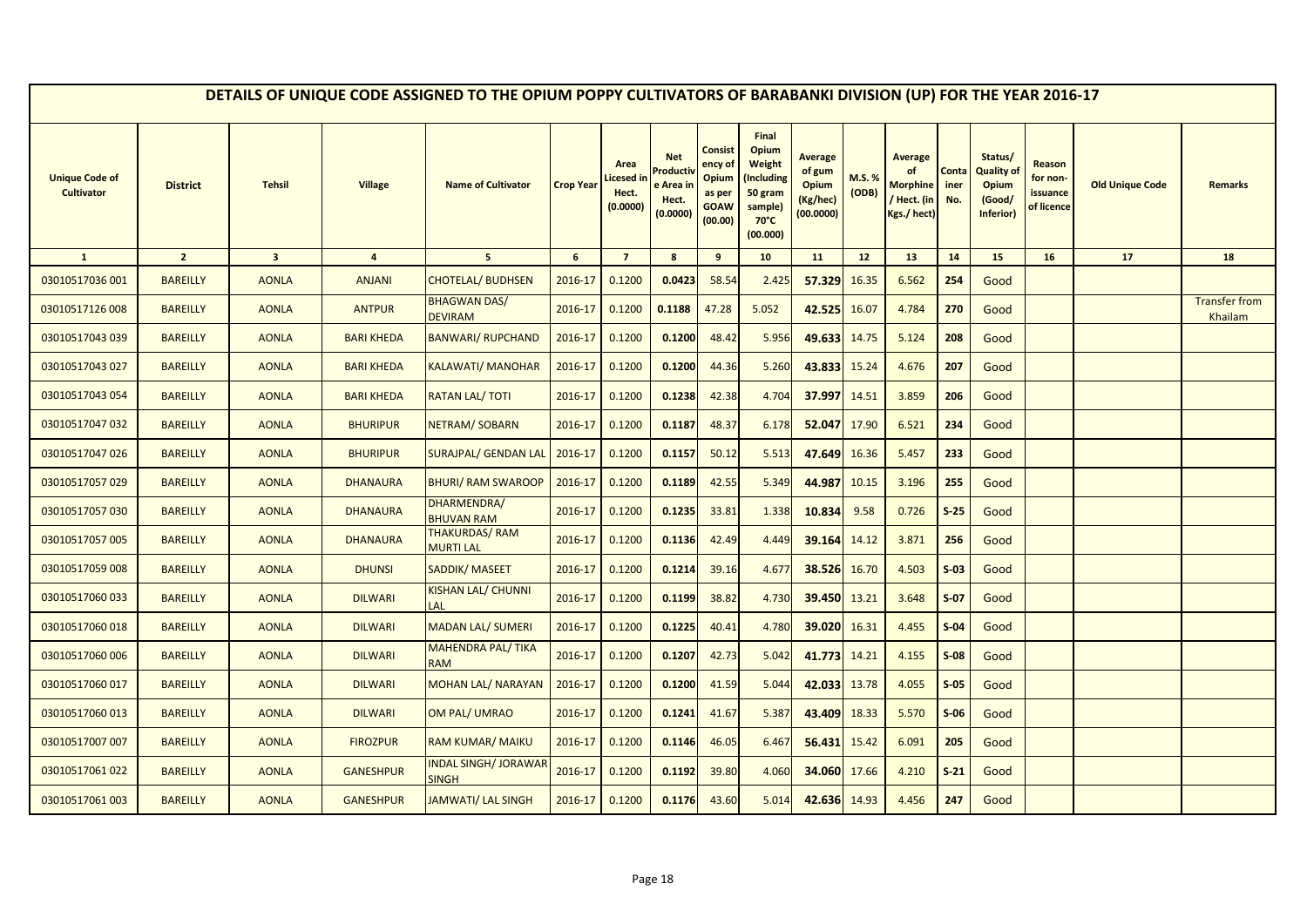|                                            |                 |                         |                   | DETAILS OF UNIQUE CODE ASSIGNED TO THE OPIUM POPPY CULTIVATORS OF BARABANKI DIVISION (UP) FOR THE YEAR 2016-17 |                  |                                        |                                                         |                                                                 |                                                                                                   |                                                                   |                |                                                                |                      |                                                                     |                                                     |                        |                                 |
|--------------------------------------------|-----------------|-------------------------|-------------------|----------------------------------------------------------------------------------------------------------------|------------------|----------------------------------------|---------------------------------------------------------|-----------------------------------------------------------------|---------------------------------------------------------------------------------------------------|-------------------------------------------------------------------|----------------|----------------------------------------------------------------|----------------------|---------------------------------------------------------------------|-----------------------------------------------------|------------------------|---------------------------------|
| <b>Unique Code of</b><br><b>Cultivator</b> | <b>District</b> | <b>Tehsil</b>           | <b>Village</b>    | <b>Name of Cultivator</b>                                                                                      | <b>Crop Year</b> | Area<br>icesed in<br>Hect.<br>(0.0000) | <b>Net</b><br>Product<br>e Area ir<br>Hect.<br>(0.0000) | Consist<br>ency of<br>Opium<br>as per<br><b>GOAW</b><br>(00.00) | Final<br>Opium<br><b>Weight</b><br>Including)<br>50 gram<br>sample)<br>$70^{\circ}$ C<br>(00.000) | <b>Average</b><br>of gum<br><b>Opium</b><br>(Kg/hec)<br>(00.0000) | M.S.%<br>(ODB) | <b>Average</b><br><b>Morphine</b><br>/ Hect. (in<br>Kgs./hect) | Conta<br>iner<br>No. | Status/<br><b>Quality of</b><br><b>Opium</b><br>(Good/<br>Inferior) | Reason<br>for non-<br><i>issuance</i><br>of licence | <b>Old Unique Code</b> | Remarks                         |
| $\mathbf{1}$                               | $\overline{2}$  | $\overline{\mathbf{3}}$ | $\overline{4}$    | $5\overline{5}$                                                                                                | 6                | $\overline{7}$                         | 8                                                       | 9                                                               | 10                                                                                                | 11                                                                | 12             | 13                                                             | 14                   | 15                                                                  | 16                                                  | 17                     | 18                              |
| 03010517036 001                            | <b>BAREILLY</b> | <b>AONLA</b>            | <b>ANJANI</b>     | <b>CHOTELAL/ BUDHSEN</b>                                                                                       | 2016-17          | 0.1200                                 | 0.0423                                                  | 58.54                                                           | 2.425                                                                                             | 57.329                                                            | 16.35          | 6.562                                                          | 254                  | Good                                                                |                                                     |                        |                                 |
| 03010517126 008                            | <b>BAREILLY</b> | <b>AONLA</b>            | <b>ANTPUR</b>     | <b>BHAGWAN DAS/</b><br><b>DEVIRAM</b>                                                                          | 2016-17          | 0.1200                                 | 0.1188                                                  | 47.28                                                           | 5.052                                                                                             | 42.525                                                            | 16.07          | 4.784                                                          | 270                  | Good                                                                |                                                     |                        | <b>Transfer from</b><br>Khailam |
| 03010517043 039                            | <b>BAREILLY</b> | <b>AONLA</b>            | <b>BARI KHEDA</b> | <b>BANWARI/ RUPCHAND</b>                                                                                       | 2016-17          | 0.1200                                 | 0.1200                                                  | 48.42                                                           | 5.956                                                                                             | 49.633                                                            | 14.75          | 5.124                                                          | 208                  | Good                                                                |                                                     |                        |                                 |
| 03010517043 027                            | <b>BAREILLY</b> | <b>AONLA</b>            | <b>BARI KHEDA</b> | <b>KALAWATI/ MANOHAR</b>                                                                                       | 2016-17          | 0.1200                                 | 0.1200                                                  | 44.36                                                           | 5.260                                                                                             | 43.833                                                            | 15.24          | 4.676                                                          | 207                  | Good                                                                |                                                     |                        |                                 |
| 03010517043 054                            | <b>BAREILLY</b> | <b>AONLA</b>            | <b>BARI KHEDA</b> | <b>RATAN LAL/TOTI</b>                                                                                          | 2016-17          | 0.1200                                 | 0.1238                                                  | 42.38                                                           | 4.704                                                                                             | 37.997                                                            | 14.51          | 3.859                                                          | 206                  | Good                                                                |                                                     |                        |                                 |
| 03010517047 032                            | <b>BAREILLY</b> | <b>AONLA</b>            | <b>BHURIPUR</b>   | NETRAM/SOBARN                                                                                                  | 2016-17          | 0.1200                                 | 0.1187                                                  | 48.37                                                           | 6.178                                                                                             | 52.047                                                            | 17.90          | 6.521                                                          | 234                  | Good                                                                |                                                     |                        |                                 |
| 03010517047 026                            | <b>BAREILLY</b> | <b>AONLA</b>            | <b>BHURIPUR</b>   | <b>SURAJPAL/ GENDAN LAL</b>                                                                                    | 2016-17          | 0.1200                                 | 0.1157                                                  | 50.12                                                           | 5.513                                                                                             | 47.649                                                            | 16.36          | 5.457                                                          | 233                  | Good                                                                |                                                     |                        |                                 |
| 03010517057029                             | <b>BAREILLY</b> | <b>AONLA</b>            | <b>DHANAURA</b>   | <b>BHURI/ RAM SWAROOP</b>                                                                                      | 2016-17          | 0.1200                                 | 0.1189                                                  | 42.55                                                           | 5.349                                                                                             | 44.987                                                            | 10.15          | 3.196                                                          | 255                  | Good                                                                |                                                     |                        |                                 |
| 03010517057 030                            | <b>BAREILLY</b> | <b>AONLA</b>            | <b>DHANAURA</b>   | DHARMENDRA/<br><b>BHUVAN RAM</b>                                                                               | 2016-17          | 0.1200                                 | 0.1235                                                  | 33.81                                                           | 1.338                                                                                             | 10.834                                                            | 9.58           | 0.726                                                          | $S-25$               | Good                                                                |                                                     |                        |                                 |
| 03010517057 005                            | <b>BAREILLY</b> | <b>AONLA</b>            | <b>DHANAURA</b>   | <b>THAKURDAS/RAM</b><br><b>MURTI LAL</b>                                                                       | 2016-17          | 0.1200                                 | 0.1136                                                  | 42.49                                                           | 4.449                                                                                             | 39.164                                                            | 14.12          | 3.871                                                          | 256                  | Good                                                                |                                                     |                        |                                 |
| 03010517059 008                            | <b>BAREILLY</b> | <b>AONLA</b>            | <b>DHUNSI</b>     | <b>SADDIK/ MASEET</b>                                                                                          | 2016-17          | 0.1200                                 | 0.1214                                                  | 39.16                                                           | 4.677                                                                                             | 38.526                                                            | 16.70          | 4.503                                                          | $S-03$               | Good                                                                |                                                     |                        |                                 |
| 03010517060033                             | <b>BAREILLY</b> | <b>AONLA</b>            | <b>DILWARI</b>    | KISHAN LAL/ CHUNNI<br>LAL                                                                                      | 2016-17          | 0.1200                                 | 0.1199                                                  | 38.82                                                           | 4.730                                                                                             | 39.450                                                            | 13.21          | 3.648                                                          | $S-07$               | Good                                                                |                                                     |                        |                                 |
| 03010517060018                             | <b>BAREILLY</b> | <b>AONLA</b>            | <b>DILWARI</b>    | <b>MADAN LAL/ SUMERI</b>                                                                                       | 2016-17          | 0.1200                                 | 0.1225                                                  | 40.41                                                           | 4.780                                                                                             | 39.020                                                            | 16.31          | 4.455                                                          | $S-04$               | Good                                                                |                                                     |                        |                                 |
| 03010517060 006                            | <b>BAREILLY</b> | <b>AONLA</b>            | <b>DILWARI</b>    | <b>MAHENDRA PAL/ TIKA</b><br><b>RAM</b>                                                                        | 2016-17          | 0.1200                                 | 0.1207                                                  | 42.73                                                           | 5.042                                                                                             | 41.773                                                            | 14.21          | 4.155                                                          | $S-08$               | Good                                                                |                                                     |                        |                                 |
| 03010517060 017                            | <b>BAREILLY</b> | <b>AONLA</b>            | <b>DILWARI</b>    | <b>MOHAN LAL/ NARAYAN</b>                                                                                      | 2016-17          | 0.1200                                 | 0.1200                                                  | 41.59                                                           | 5.044                                                                                             | 42.033                                                            | 13.78          | 4.055                                                          | $S-05$               | Good                                                                |                                                     |                        |                                 |
| 03010517060 013                            | <b>BAREILLY</b> | <b>AONLA</b>            | <b>DILWARI</b>    | OM PAL/ UMRAO                                                                                                  | 2016-17          | 0.1200                                 | 0.1241                                                  | 41.67                                                           | 5.387                                                                                             | 43.409                                                            | 18.33          | 5.570                                                          | $S-06$               | Good                                                                |                                                     |                        |                                 |
| 03010517007 007                            | <b>BAREILLY</b> | <b>AONLA</b>            | <b>FIROZPUR</b>   | <b>RAM KUMAR/ MAIKU</b>                                                                                        | 2016-17          | 0.1200                                 | 0.1146                                                  | 46.05                                                           | 6.467                                                                                             | 56.431                                                            | 15.42          | 6.091                                                          | 205                  | Good                                                                |                                                     |                        |                                 |
| 03010517061022                             | <b>BAREILLY</b> | <b>AONLA</b>            | <b>GANESHPUR</b>  | <b>NDAL SINGH/JORAWAR</b><br><b>SINGH</b>                                                                      | 2016-17          | 0.1200                                 | 0.1192                                                  | 39.80                                                           | 4.060                                                                                             | 34.060                                                            | 17.66          | 4.210                                                          | $S-21$               | Good                                                                |                                                     |                        |                                 |
| 03010517061 003                            | <b>BAREILLY</b> | <b>AONLA</b>            | <b>GANESHPUR</b>  | <b>JAMWATI/ LAL SINGH</b>                                                                                      | 2016-17          | 0.1200                                 | 0.1176                                                  | 43.60                                                           | 5.014                                                                                             | 42.636 14.93                                                      |                | 4.456                                                          | 247                  | Good                                                                |                                                     |                        |                                 |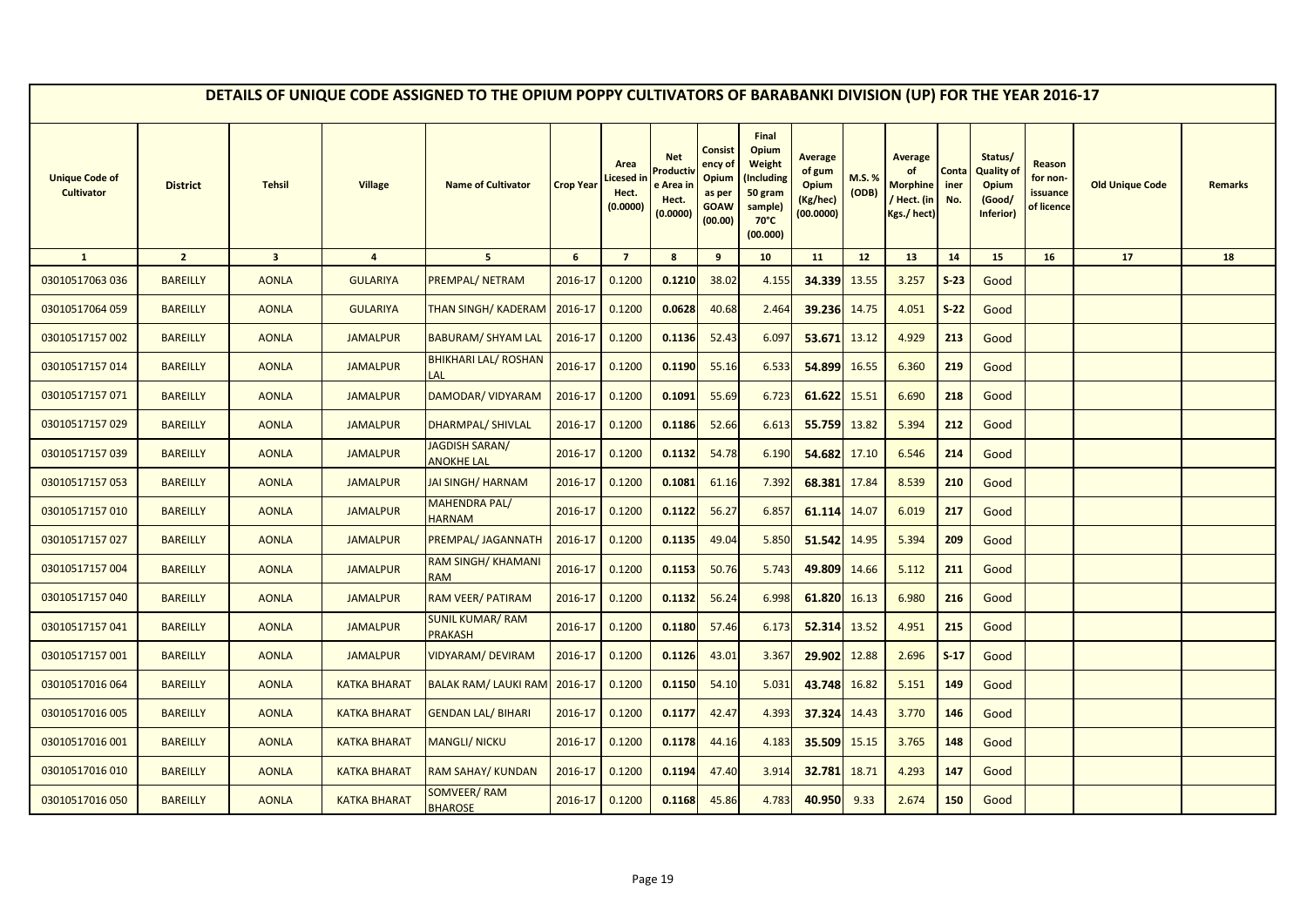|                                            |                 |                         |                     | DETAILS OF UNIQUE CODE ASSIGNED TO THE OPIUM POPPY CULTIVATORS OF BARABANKI DIVISION (UP) FOR THE YEAR 2016-17 |                  |                                        |                                                                     |                                                                 |                                                                                            |                                                                   |                 |                                                                       |                      |                                                                     |                                              |                        |                |
|--------------------------------------------|-----------------|-------------------------|---------------------|----------------------------------------------------------------------------------------------------------------|------------------|----------------------------------------|---------------------------------------------------------------------|-----------------------------------------------------------------|--------------------------------------------------------------------------------------------|-------------------------------------------------------------------|-----------------|-----------------------------------------------------------------------|----------------------|---------------------------------------------------------------------|----------------------------------------------|------------------------|----------------|
| <b>Unique Code of</b><br><b>Cultivator</b> | <b>District</b> | <b>Tehsil</b>           | <b>Village</b>      | <b>Name of Cultivator</b>                                                                                      | <b>Crop Year</b> | Area<br>icesed in<br>Hect.<br>(0.0000) | <b>Net</b><br>roduct <sup>,</sup><br>e Area ir<br>Hect.<br>(0.0000) | Consist<br>ency of<br>Opium<br>as per<br><b>GOAW</b><br>(00.00) | Final<br>Opium<br>Weight<br>(Including<br>50 gram<br>sample)<br>$70^{\circ}$ C<br>(00.000) | <b>Average</b><br>of gum<br><b>Opium</b><br>(Kg/hec)<br>(00.0000) | M.S.%<br>(ODB)  | <b>Average</b><br>of<br><b>Morphine</b><br>/ Hect. (in<br>Kgs./ hect) | Conta<br>iner<br>No. | Status/<br><b>Quality of</b><br><b>Opium</b><br>(Good/<br>Inferior) | Reason<br>for non-<br>issuance<br>of licence | <b>Old Unique Code</b> | <b>Remarks</b> |
| $\mathbf{1}$                               | $\overline{2}$  | $\overline{\mathbf{3}}$ | $\overline{4}$      | $5\overline{5}$                                                                                                | $6\phantom{1}$   | $\overline{7}$                         | 8                                                                   | 9                                                               | 10                                                                                         | 11                                                                | 12 <sup>2</sup> | 13                                                                    | 14                   | 15                                                                  | 16                                           | 17                     | 18             |
| 03010517063 036                            | <b>BAREILLY</b> | <b>AONLA</b>            | <b>GULARIYA</b>     | <b>PREMPAL/ NETRAM</b>                                                                                         | 2016-17          | 0.1200                                 | 0.1210                                                              | 38.02                                                           | 4.155                                                                                      | 34.339                                                            | 13.55           | 3.257                                                                 | $S-23$               | Good                                                                |                                              |                        |                |
| 03010517064 059                            | <b>BAREILLY</b> | <b>AONLA</b>            | <b>GULARIYA</b>     | <b>THAN SINGH/ KADERAM</b>                                                                                     | 2016-17          | 0.1200                                 | 0.0628                                                              | 40.68                                                           | 2.464                                                                                      | 39.236                                                            | 14.75           | 4.051                                                                 | $S-22$               | Good                                                                |                                              |                        |                |
| 03010517157002                             | <b>BAREILLY</b> | <b>AONLA</b>            | <b>JAMALPUR</b>     | <b>BABURAM/ SHYAM LAL</b>                                                                                      | 2016-17          | 0.1200                                 | 0.1136                                                              | 52.43                                                           | 6.097                                                                                      | 53.671 13.12                                                      |                 | 4.929                                                                 | 213                  | Good                                                                |                                              |                        |                |
| 03010517157014                             | <b>BAREILLY</b> | <b>AONLA</b>            | <b>JAMALPUR</b>     | <b>BHIKHARI LAL/ ROSHAN</b><br>LAL                                                                             | 2016-17          | 0.1200                                 | 0.1190                                                              | 55.16                                                           | 6.533                                                                                      | 54.899                                                            | 16.55           | 6.360                                                                 | 219                  | Good                                                                |                                              |                        |                |
| 03010517157071                             | <b>BAREILLY</b> | <b>AONLA</b>            | <b>JAMALPUR</b>     | DAMODAR/ VIDYARAM                                                                                              | 2016-17          | 0.1200                                 | 0.1091                                                              | 55.69                                                           | 6.723                                                                                      | 61.622                                                            | 15.51           | 6.690                                                                 | 218                  | Good                                                                |                                              |                        |                |
| 03010517157029                             | <b>BAREILLY</b> | <b>AONLA</b>            | <b>JAMALPUR</b>     | <b>DHARMPAL/ SHIVLAL</b>                                                                                       | 2016-17          | 0.1200                                 | 0.1186                                                              | 52.66                                                           | 6.613                                                                                      | 55.759                                                            | 13.82           | 5.394                                                                 | 212                  | Good                                                                |                                              |                        |                |
| 03010517157039                             | <b>BAREILLY</b> | <b>AONLA</b>            | <b>JAMALPUR</b>     | JAGDISH SARAN/<br><b>ANOKHE LAL</b>                                                                            | 2016-17          | 0.1200                                 | 0.1132                                                              | 54.78                                                           | 6.190                                                                                      | 54.682                                                            | 17.10           | 6.546                                                                 | 214                  | Good                                                                |                                              |                        |                |
| 03010517157053                             | <b>BAREILLY</b> | <b>AONLA</b>            | <b>JAMALPUR</b>     | <b>JAI SINGH/ HARNAM</b>                                                                                       | 2016-17          | 0.1200                                 | 0.1081                                                              | 61.16                                                           | 7.392                                                                                      | 68.381                                                            | 17.84           | 8.539                                                                 | 210                  | Good                                                                |                                              |                        |                |
| 03010517157010                             | <b>BAREILLY</b> | <b>AONLA</b>            | <b>JAMALPUR</b>     | MAHENDRA PAL/<br><b>HARNAM</b>                                                                                 | 2016-17          | 0.1200                                 | 0.1122                                                              | 56.27                                                           | 6.857                                                                                      | 61.114                                                            | 14.07           | 6.019                                                                 | 217                  | Good                                                                |                                              |                        |                |
| 03010517157027                             | <b>BAREILLY</b> | <b>AONLA</b>            | <b>JAMALPUR</b>     | PREMPAL/ JAGANNATH                                                                                             | 2016-17          | 0.1200                                 | 0.1135                                                              | 49.04                                                           | 5.850                                                                                      | 51.542                                                            | 14.95           | 5.394                                                                 | 209                  | Good                                                                |                                              |                        |                |
| 03010517157004                             | <b>BAREILLY</b> | <b>AONLA</b>            | <b>JAMALPUR</b>     | RAM SINGH/ KHAMANI<br><b>RAM</b>                                                                               | 2016-17          | 0.1200                                 | 0.1153                                                              | 50.76                                                           | 5.743                                                                                      | 49.809                                                            | 14.66           | 5.112                                                                 | 211                  | Good                                                                |                                              |                        |                |
| 03010517157040                             | <b>BAREILLY</b> | <b>AONLA</b>            | <b>JAMALPUR</b>     | RAM VEER/ PATIRAM                                                                                              | 2016-17          | 0.1200                                 | 0.1132                                                              | 56.24                                                           | 6.998                                                                                      | 61.820                                                            | 16.13           | 6.980                                                                 | 216                  | Good                                                                |                                              |                        |                |
| 03010517157041                             | <b>BAREILLY</b> | <b>AONLA</b>            | <b>JAMALPUR</b>     | <b>SUNIL KUMAR/ RAM</b><br><b>PRAKASH</b>                                                                      | 2016-17          | 0.1200                                 | 0.1180                                                              | 57.46                                                           | 6.173                                                                                      | 52.314                                                            | 13.52           | 4.951                                                                 | 215                  | Good                                                                |                                              |                        |                |
| 03010517157001                             | <b>BAREILLY</b> | <b>AONLA</b>            | <b>JAMALPUR</b>     | VIDYARAM/DEVIRAM                                                                                               | 2016-17          | 0.1200                                 | 0.1126                                                              | 43.01                                                           | 3.367                                                                                      | 29.902                                                            | 12.88           | 2.696                                                                 | $S-17$               | Good                                                                |                                              |                        |                |
| 03010517016064                             | <b>BAREILLY</b> | <b>AONLA</b>            | <b>KATKA BHARAT</b> | <b>BALAK RAM/ LAUKI RAM</b>                                                                                    | 2016-17          | 0.1200                                 | 0.1150                                                              | 54.10                                                           | 5.031                                                                                      | 43.748                                                            | 16.82           | 5.151                                                                 | 149                  | Good                                                                |                                              |                        |                |
| 03010517016 005                            | <b>BAREILLY</b> | <b>AONLA</b>            | <b>KATKA BHARAT</b> | <b>GENDAN LAL/ BIHARI</b>                                                                                      | 2016-17          | 0.1200                                 | 0.1177                                                              | 42.47                                                           | 4.393                                                                                      | 37.324                                                            | 14.43           | 3.770                                                                 | 146                  | Good                                                                |                                              |                        |                |
| 03010517016 001                            | <b>BAREILLY</b> | <b>AONLA</b>            | <b>KATKA BHARAT</b> | <b>MANGLI/ NICKU</b>                                                                                           | 2016-17          | 0.1200                                 | 0.1178                                                              | 44.16                                                           | 4.183                                                                                      | 35.509                                                            | 15.15           | 3.765                                                                 | 148                  | Good                                                                |                                              |                        |                |
| 03010517016010                             | <b>BAREILLY</b> | <b>AONLA</b>            | <b>KATKA BHARAT</b> | <b>RAM SAHAY/ KUNDAN</b>                                                                                       | 2016-17          | 0.1200                                 | 0.1194                                                              | 47.40                                                           | 3.914                                                                                      | 32.781                                                            | 18.71           | 4.293                                                                 | 147                  | Good                                                                |                                              |                        |                |
| 03010517016050                             | <b>BAREILLY</b> | <b>AONLA</b>            | <b>KATKA BHARAT</b> | SOMVEER/ RAM<br><b>BHAROSE</b>                                                                                 | 2016-17          | 0.1200                                 | 0.1168                                                              | 45.86                                                           | 4.783                                                                                      | 40.950                                                            | 9.33            | 2.674                                                                 | 150                  | Good                                                                |                                              |                        |                |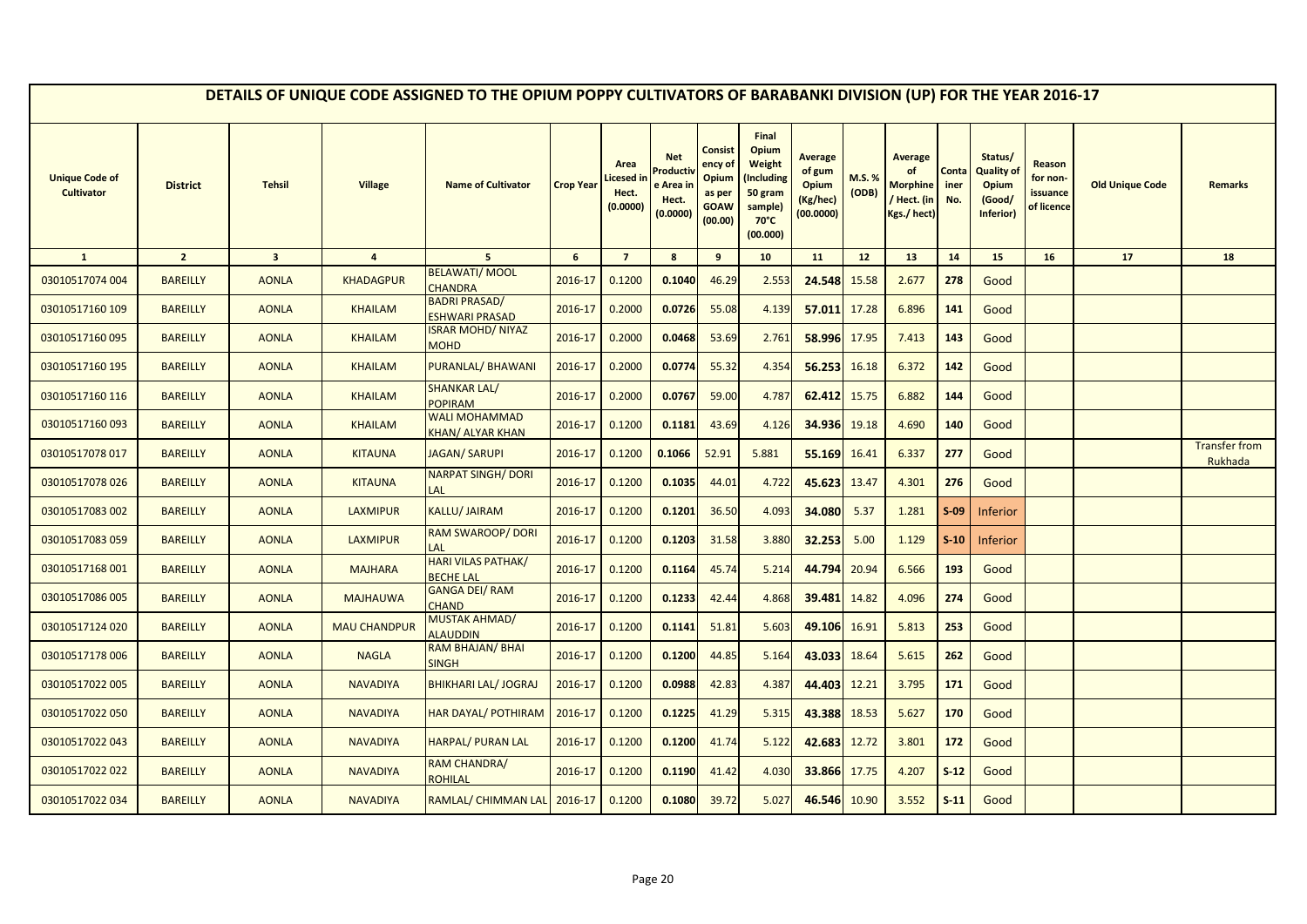|                                            |                 |                         |                     | DETAILS OF UNIQUE CODE ASSIGNED TO THE OPIUM POPPY CULTIVATORS OF BARABANKI DIVISION (UP) FOR THE YEAR 2016-17 |                  |                                        |                                                        |                                                                        |                                                                                            |                                                                   |                |                                                               |                      |                                                       |                                              |                        |                                 |
|--------------------------------------------|-----------------|-------------------------|---------------------|----------------------------------------------------------------------------------------------------------------|------------------|----------------------------------------|--------------------------------------------------------|------------------------------------------------------------------------|--------------------------------------------------------------------------------------------|-------------------------------------------------------------------|----------------|---------------------------------------------------------------|----------------------|-------------------------------------------------------|----------------------------------------------|------------------------|---------------------------------|
| <b>Unique Code of</b><br><b>Cultivator</b> | <b>District</b> | <b>Tehsil</b>           | <b>Village</b>      | <b>Name of Cultivator</b>                                                                                      | <b>Crop Year</b> | Area<br>icesed in<br>Hect.<br>(0.0000) | <b>Net</b><br>Product<br>e Area i<br>Hect.<br>(0.0000) | <b>Consist</b><br>ency of<br>Opium<br>as per<br><b>GOAW</b><br>(00.00) | Final<br>Opium<br>Weight<br>(Including<br>50 gram<br>sample)<br>$70^{\circ}$ C<br>(00.000) | <b>Average</b><br>of gum<br><b>Opium</b><br>(Kg/hec)<br>(00.0000) | M.S.%<br>(ODB) | <b>Average</b><br>of<br>Morphine<br>/ Hect. (in<br>Kgs./hect) | Conta<br>iner<br>No. | Status/<br>Quality of<br>Opium<br>(Good/<br>Inferior) | Reason<br>for non-<br>issuance<br>of licence | <b>Old Unique Code</b> | <b>Remarks</b>                  |
| $\mathbf{1}$                               | $\overline{2}$  | $\overline{\mathbf{3}}$ | $\overline{4}$      | 5 <sup>5</sup>                                                                                                 | 6                | $\overline{7}$                         | 8                                                      | 9                                                                      | 10                                                                                         | 11                                                                | 12             | 13                                                            | 14                   | 15                                                    | 16                                           | 17                     | 18                              |
| 03010517074 004                            | <b>BAREILLY</b> | <b>AONLA</b>            | <b>KHADAGPUR</b>    | <b>BELAWATI/MOOL</b><br>CHANDRA                                                                                | 2016-17          | 0.1200                                 | 0.1040                                                 | 46.29                                                                  | 2.553                                                                                      | 24.548                                                            | 15.58          | 2.677                                                         | 278                  | Good                                                  |                                              |                        |                                 |
| 03010517160 109                            | <b>BAREILLY</b> | <b>AONLA</b>            | <b>KHAILAM</b>      | <b>BADRI PRASAD/</b><br><b>ESHWARI PRASAD</b>                                                                  | 2016-17          | 0.2000                                 | 0.0726                                                 | 55.08                                                                  | 4.139                                                                                      | 57.011                                                            | 17.28          | 6.896                                                         | 141                  | Good                                                  |                                              |                        |                                 |
| 03010517160095                             | <b>BAREILLY</b> | <b>AONLA</b>            | <b>KHAILAM</b>      | <b>ISRAR MOHD/ NIYAZ</b><br><b>MOHD</b>                                                                        | 2016-17          | 0.2000                                 | 0.0468                                                 | 53.69                                                                  | 2.761                                                                                      | 58.996                                                            | 17.95          | 7.413                                                         | 143                  | Good                                                  |                                              |                        |                                 |
| 03010517160 195                            | <b>BAREILLY</b> | <b>AONLA</b>            | <b>KHAILAM</b>      | PURANLAL/BHAWANI                                                                                               | 2016-17          | 0.2000                                 | 0.0774                                                 | 55.32                                                                  | 4.354                                                                                      | 56.253                                                            | 16.18          | 6.372                                                         | 142                  | Good                                                  |                                              |                        |                                 |
| 03010517160 116                            | <b>BAREILLY</b> | <b>AONLA</b>            | <b>KHAILAM</b>      | <b>SHANKAR LAL/</b><br><b>POPIRAM</b>                                                                          | 2016-17          | 0.2000                                 | 0.0767                                                 | 59.00                                                                  | 4.787                                                                                      | 62.412                                                            | 15.75          | 6.882                                                         | 144                  | Good                                                  |                                              |                        |                                 |
| 03010517160093                             | <b>BAREILLY</b> | <b>AONLA</b>            | <b>KHAILAM</b>      | <b>WALI MOHAMMAD</b><br><b>KHAN/ ALYAR KHAN</b>                                                                | 2016-17          | 0.1200                                 | 0.1181                                                 | 43.69                                                                  | 4.126                                                                                      | 34.936                                                            | 19.18          | 4.690                                                         | 140                  | Good                                                  |                                              |                        |                                 |
| 03010517078 017                            | <b>BAREILLY</b> | <b>AONLA</b>            | <b>KITAUNA</b>      | <b>JAGAN/ SARUPI</b>                                                                                           | 2016-17          | 0.1200                                 | 0.1066                                                 | 52.91                                                                  | 5.881                                                                                      | 55.169 16.41                                                      |                | 6.337                                                         | 277                  | Good                                                  |                                              |                        | <b>Transfer from</b><br>Rukhada |
| 03010517078026                             | <b>BAREILLY</b> | <b>AONLA</b>            | <b>KITAUNA</b>      | <b>NARPAT SINGH/ DORI</b><br>AL                                                                                | 2016-17          | 0.1200                                 | 0.1035                                                 | 44.01                                                                  | 4.722                                                                                      | 45.623 13.47                                                      |                | 4.301                                                         | 276                  | Good                                                  |                                              |                        |                                 |
| 03010517083 002                            | <b>BAREILLY</b> | <b>AONLA</b>            | <b>LAXMIPUR</b>     | KALLU/ JAIRAM                                                                                                  | 2016-17          | 0.1200                                 | 0.1201                                                 | 36.50                                                                  | 4.093                                                                                      | 34.080                                                            | 5.37           | 1.281                                                         | $S-09$               | Inferior                                              |                                              |                        |                                 |
| 03010517083059                             | <b>BAREILLY</b> | <b>AONLA</b>            | <b>LAXMIPUR</b>     | <b>RAM SWAROOP/DORI</b><br>LAL                                                                                 | 2016-17          | 0.1200                                 | 0.1203                                                 | 31.58                                                                  | 3.880                                                                                      | 32.253                                                            | 5.00           | 1.129                                                         | $S-10$               | Inferior                                              |                                              |                        |                                 |
| 03010517168 001                            | <b>BAREILLY</b> | <b>AONLA</b>            | <b>MAJHARA</b>      | HARI VILAS PATHAK/<br><b>BECHE LAL</b>                                                                         | 2016-17          | 0.1200                                 | 0.1164                                                 | 45.74                                                                  | 5.214                                                                                      | 44.794                                                            | 20.94          | 6.566                                                         | 193                  | Good                                                  |                                              |                        |                                 |
| 03010517086 005                            | <b>BAREILLY</b> | <b>AONLA</b>            | <b>MAJHAUWA</b>     | <b>GANGA DEI/RAM</b><br><b>CHAND</b>                                                                           | 2016-17          | 0.1200                                 | 0.1233                                                 | 42.44                                                                  | 4.868                                                                                      | 39.481                                                            | 14.82          | 4.096                                                         | 274                  | Good                                                  |                                              |                        |                                 |
| 03010517124 020                            | <b>BAREILLY</b> | <b>AONLA</b>            | <b>MAU CHANDPUR</b> | <b>MUSTAK AHMAD/</b><br><b>ALAUDDIN</b>                                                                        | 2016-17          | 0.1200                                 | 0.1141                                                 | 51.81                                                                  | 5.603                                                                                      | 49.106                                                            | 16.91          | 5.813                                                         | 253                  | Good                                                  |                                              |                        |                                 |
| 03010517178006                             | <b>BAREILLY</b> | <b>AONLA</b>            | <b>NAGLA</b>        | RAM BHAJAN/ BHAI<br><b>SINGH</b>                                                                               | 2016-17          | 0.1200                                 | 0.1200                                                 | 44.85                                                                  | 5.164                                                                                      | 43.033                                                            | 18.64          | 5.615                                                         | 262                  | Good                                                  |                                              |                        |                                 |
| 03010517022 005                            | <b>BAREILLY</b> | <b>AONLA</b>            | <b>NAVADIYA</b>     | <b>BHIKHARI LAL/ JOGRAJ</b>                                                                                    | 2016-17          | 0.1200                                 | 0.0988                                                 | 42.83                                                                  | 4.387                                                                                      | 44.403                                                            | 12.21          | 3.795                                                         | 171                  | Good                                                  |                                              |                        |                                 |
| 03010517022 050                            | <b>BAREILLY</b> | <b>AONLA</b>            | <b>NAVADIYA</b>     | HAR DAYAL/ POTHIRAM                                                                                            | 2016-17          | 0.1200                                 | 0.1225                                                 | 41.29                                                                  | 5.315                                                                                      | 43.388                                                            | 18.53          | 5.627                                                         | 170                  | Good                                                  |                                              |                        |                                 |
| 03010517022 043                            | <b>BAREILLY</b> | <b>AONLA</b>            | <b>NAVADIYA</b>     | HARPAL/ PURAN LAL                                                                                              | 2016-17          | 0.1200                                 | 0.1200                                                 | 41.74                                                                  | 5.122                                                                                      | 42.683                                                            | 12.72          | 3.801                                                         | 172                  | Good                                                  |                                              |                        |                                 |
| 03010517022 022                            | <b>BAREILLY</b> | <b>AONLA</b>            | <b>NAVADIYA</b>     | RAM CHANDRA/<br>ROHILAL                                                                                        | 2016-17          | 0.1200                                 | 0.1190                                                 | 41.42                                                                  | 4.030                                                                                      | 33.866 17.75                                                      |                | 4.207                                                         | $S-12$               | Good                                                  |                                              |                        |                                 |
| 03010517022 034                            | <b>BAREILLY</b> | <b>AONLA</b>            | <b>NAVADIYA</b>     | RAMLAL/ CHIMMAN LAL 2016-17                                                                                    |                  | 0.1200                                 | 0.1080                                                 | 39.72                                                                  | 5.027                                                                                      | 46.546                                                            | 10.90          | 3.552                                                         | $S-11$               | Good                                                  |                                              |                        |                                 |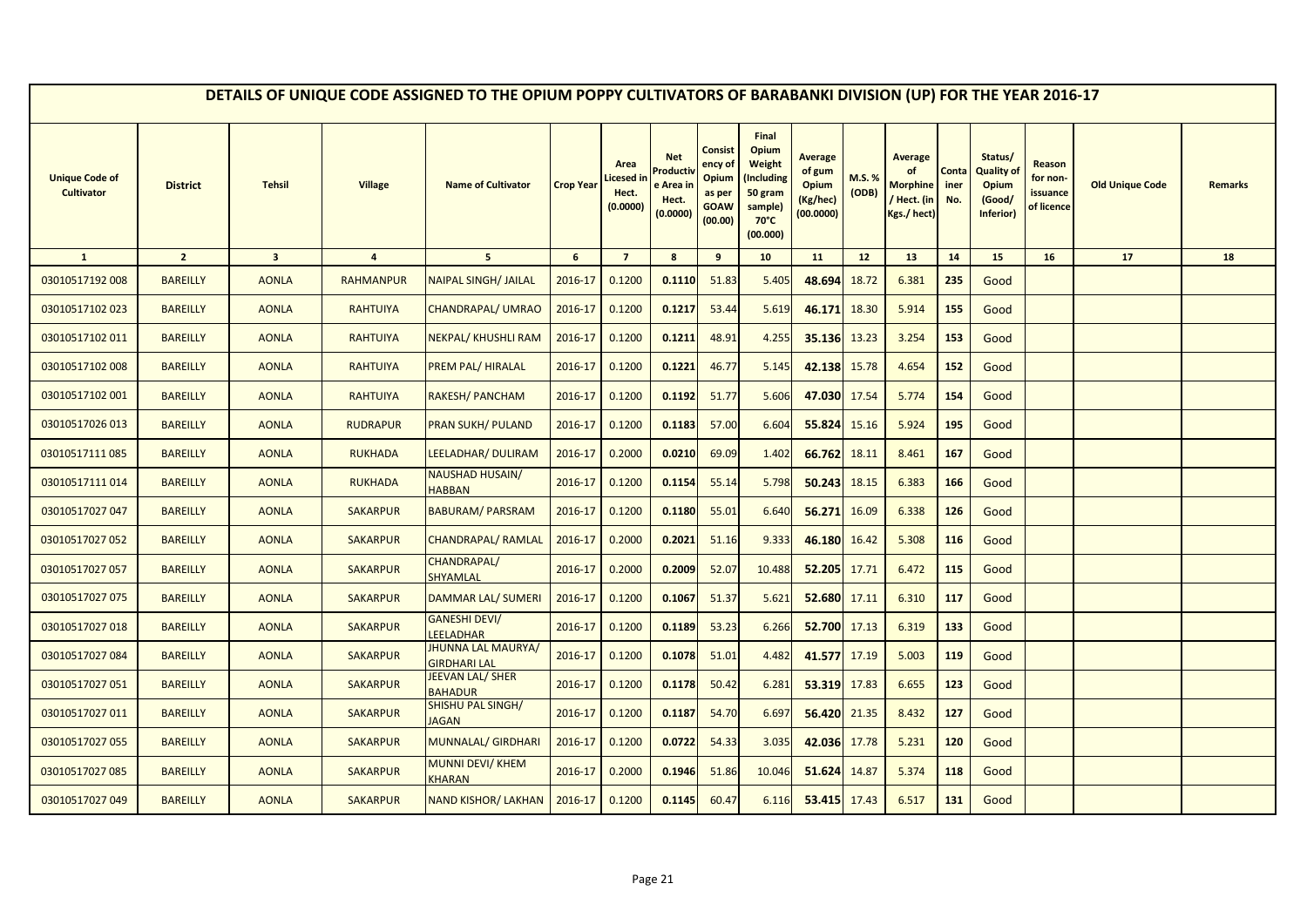|                                            |                 |                         |                  | DETAILS OF UNIQUE CODE ASSIGNED TO THE OPIUM POPPY CULTIVATORS OF BARABANKI DIVISION (UP) FOR THE YEAR 2016-17 |                  |                                        |                                                         |                                                                 |                                                                                            |                                                                   |                |                                                                |                      |                                                              |                                              |                        |                |
|--------------------------------------------|-----------------|-------------------------|------------------|----------------------------------------------------------------------------------------------------------------|------------------|----------------------------------------|---------------------------------------------------------|-----------------------------------------------------------------|--------------------------------------------------------------------------------------------|-------------------------------------------------------------------|----------------|----------------------------------------------------------------|----------------------|--------------------------------------------------------------|----------------------------------------------|------------------------|----------------|
| <b>Unique Code of</b><br><b>Cultivator</b> | <b>District</b> | <b>Tehsil</b>           | <b>Village</b>   | <b>Name of Cultivator</b>                                                                                      | <b>Crop Year</b> | Area<br>icesed in<br>Hect.<br>(0.0000) | <b>Net</b><br>Product<br>e Area ir<br>Hect.<br>(0.0000) | Consist<br>ency of<br>Opium<br>as per<br><b>GOAW</b><br>(00.00) | Final<br>Opium<br>Weight<br>Including)<br>50 gram<br>sample)<br>$70^{\circ}$ C<br>(00.000) | <b>Average</b><br>of gum<br><b>Opium</b><br>(Kg/hec)<br>(00.0000) | M.S.%<br>(ODB) | <b>Average</b><br><b>Morphine</b><br>/ Hect. (in<br>Kgs./hect) | Conta<br>iner<br>No. | Status/<br><b>Quality of</b><br>Opium<br>(Good/<br>Inferior) | Reason<br>for non-<br>issuance<br>of licence | <b>Old Unique Code</b> | <b>Remarks</b> |
| $\mathbf{1}$                               | $\overline{2}$  | $\overline{\mathbf{3}}$ | $\overline{4}$   | 5 <sub>5</sub>                                                                                                 | 6                | $\overline{7}$                         | 8                                                       | 9                                                               | 10                                                                                         | 11                                                                | 12             | 13                                                             | 14                   | 15                                                           | 16                                           | 17                     | 18             |
| 03010517192 008                            | <b>BAREILLY</b> | <b>AONLA</b>            | <b>RAHMANPUR</b> | <b>NAIPAL SINGH/ JAILAL</b>                                                                                    | 2016-17          | 0.1200                                 | 0.1110                                                  | 51.83                                                           | 5.405                                                                                      | 48.694                                                            | 18.72          | 6.381                                                          | 235                  | Good                                                         |                                              |                        |                |
| 03010517102 023                            | <b>BAREILLY</b> | <b>AONLA</b>            | <b>RAHTUIYA</b>  | <b>CHANDRAPAL/ UMRAO</b>                                                                                       | 2016-17          | 0.1200                                 | 0.1217                                                  | 53.44                                                           | 5.619                                                                                      | 46.171                                                            | 18.30          | 5.914                                                          | 155                  | Good                                                         |                                              |                        |                |
| 03010517102 011                            | <b>BAREILLY</b> | <b>AONLA</b>            | <b>RAHTUIYA</b>  | NEKPAL/KHUSHLI RAM                                                                                             | 2016-17          | 0.1200                                 | 0.1211                                                  | 48.91                                                           | 4.255                                                                                      | 35.136                                                            | 13.23          | 3.254                                                          | 153                  | Good                                                         |                                              |                        |                |
| 03010517102 008                            | <b>BAREILLY</b> | <b>AONLA</b>            | <b>RAHTUIYA</b>  | PREM PAL/HIRALAL                                                                                               | 2016-17          | 0.1200                                 | 0.1221                                                  | 46.77                                                           | 5.145                                                                                      | 42.138                                                            | 15.78          | 4.654                                                          | 152                  | Good                                                         |                                              |                        |                |
| 03010517102 001                            | <b>BAREILLY</b> | <b>AONLA</b>            | <b>RAHTUIYA</b>  | RAKESH/ PANCHAM                                                                                                | 2016-17          | 0.1200                                 | 0.1192                                                  | 51.77                                                           | 5.606                                                                                      | 47.030 17.54                                                      |                | 5.774                                                          | 154                  | Good                                                         |                                              |                        |                |
| 03010517026 013                            | <b>BAREILLY</b> | <b>AONLA</b>            | <b>RUDRAPUR</b>  | <b>PRAN SUKH/ PULAND</b>                                                                                       | 2016-17          | 0.1200                                 | 0.1183                                                  | 57.00                                                           | 6.604                                                                                      | 55.824 15.16                                                      |                | 5.924                                                          | 195                  | Good                                                         |                                              |                        |                |
| 03010517111 085                            | <b>BAREILLY</b> | <b>AONLA</b>            | <b>RUKHADA</b>   | LEELADHAR/ DULIRAM                                                                                             | 2016-17          | 0.2000                                 | 0.0210                                                  | 69.09                                                           | 1.402                                                                                      | 66.762 18.11                                                      |                | 8.461                                                          | 167                  | Good                                                         |                                              |                        |                |
| 03010517111 014                            | <b>BAREILLY</b> | <b>AONLA</b>            | <b>RUKHADA</b>   | <b>NAUSHAD HUSAIN/</b><br><b>HABBAN</b>                                                                        | 2016-17          | 0.1200                                 | 0.1154                                                  | 55.14                                                           | 5.798                                                                                      | 50.243                                                            | 18.15          | 6.383                                                          | 166                  | Good                                                         |                                              |                        |                |
| 03010517027 047                            | <b>BAREILLY</b> | <b>AONLA</b>            | <b>SAKARPUR</b>  | <b>BABURAM/ PARSRAM</b>                                                                                        | 2016-17          | 0.1200                                 | 0.1180                                                  | 55.01                                                           | 6.640                                                                                      | 56.271                                                            | 16.09          | 6.338                                                          | 126                  | Good                                                         |                                              |                        |                |
| 03010517027 052                            | <b>BAREILLY</b> | <b>AONLA</b>            | <b>SAKARPUR</b>  | <b>CHANDRAPAL/ RAMLAL</b>                                                                                      | 2016-17          | 0.2000                                 | 0.2021                                                  | 51.16                                                           | 9.333                                                                                      | 46.180                                                            | 16.42          | 5.308                                                          | 116                  | Good                                                         |                                              |                        |                |
| 03010517027 057                            | <b>BAREILLY</b> | <b>AONLA</b>            | <b>SAKARPUR</b>  | CHANDRAPAL/<br>SHYAMLAL                                                                                        | 2016-17          | 0.2000                                 | 0.2009                                                  | 52.07                                                           | 10.488                                                                                     | 52.205                                                            | 17.71          | 6.472                                                          | 115                  | Good                                                         |                                              |                        |                |
| 03010517027 075                            | <b>BAREILLY</b> | <b>AONLA</b>            | <b>SAKARPUR</b>  | <b>DAMMAR LAL/ SUMERI</b>                                                                                      | 2016-17          | 0.1200                                 | 0.1067                                                  | 51.37                                                           | 5.621                                                                                      | 52.680                                                            | 17.11          | 6.310                                                          | 117                  | Good                                                         |                                              |                        |                |
| 03010517027 018                            | <b>BAREILLY</b> | <b>AONLA</b>            | <b>SAKARPUR</b>  | GANESHI DEVI/<br>LEELADHAR                                                                                     | 2016-17          | 0.1200                                 | 0.1189                                                  | 53.23                                                           | 6.266                                                                                      | 52.700                                                            | 17.13          | 6.319                                                          | 133                  | Good                                                         |                                              |                        |                |
| 03010517027 084                            | <b>BAREILLY</b> | <b>AONLA</b>            | <b>SAKARPUR</b>  | <b>JHUNNA LAL MAURYA/</b><br><b>GIRDHARI LAL</b>                                                               | 2016-17          | 0.1200                                 | 0.1078                                                  | 51.01                                                           | 4.482                                                                                      | 41.577                                                            | 17.19          | 5.003                                                          | 119                  | Good                                                         |                                              |                        |                |
| 03010517027 051                            | <b>BAREILLY</b> | <b>AONLA</b>            | <b>SAKARPUR</b>  | JEEVAN LAL/ SHER<br><b>BAHADUR</b>                                                                             | 2016-17          | 0.1200                                 | 0.1178                                                  | 50.42                                                           | 6.281                                                                                      | 53.319                                                            | 17.83          | 6.655                                                          | 123                  | Good                                                         |                                              |                        |                |
| 03010517027 011                            | <b>BAREILLY</b> | <b>AONLA</b>            | <b>SAKARPUR</b>  | <b>SHISHU PAL SINGH/</b><br><b>JAGAN</b>                                                                       | 2016-17          | 0.1200                                 | 0.1187                                                  | 54.70                                                           | 6.697                                                                                      | 56.420 21.35                                                      |                | 8.432                                                          | 127                  | Good                                                         |                                              |                        |                |
| 03010517027 055                            | <b>BAREILLY</b> | <b>AONLA</b>            | <b>SAKARPUR</b>  | <b>MUNNALAL/ GIRDHARI</b>                                                                                      | 2016-17          | 0.1200                                 | 0.0722                                                  | 54.33                                                           | 3.035                                                                                      | 42.036 17.78                                                      |                | 5.231                                                          | 120                  | Good                                                         |                                              |                        |                |
| 03010517027 085                            | <b>BAREILLY</b> | <b>AONLA</b>            | <b>SAKARPUR</b>  | <b>MUNNI DEVI/ KHEM</b><br><b>KHARAN</b>                                                                       | 2016-17          | 0.2000                                 | 0.1946                                                  | 51.86                                                           | 10.046                                                                                     | 51.624                                                            | 14.87          | 5.374                                                          | 118                  | Good                                                         |                                              |                        |                |
| 03010517027 049                            | <b>BAREILLY</b> | <b>AONLA</b>            | <b>SAKARPUR</b>  | NAND KISHOR/ LAKHAN                                                                                            | 2016-17          | 0.1200                                 | 0.1145                                                  | 60.47                                                           | 6.116                                                                                      | 53.415 17.43                                                      |                | 6.517                                                          | 131                  | Good                                                         |                                              |                        |                |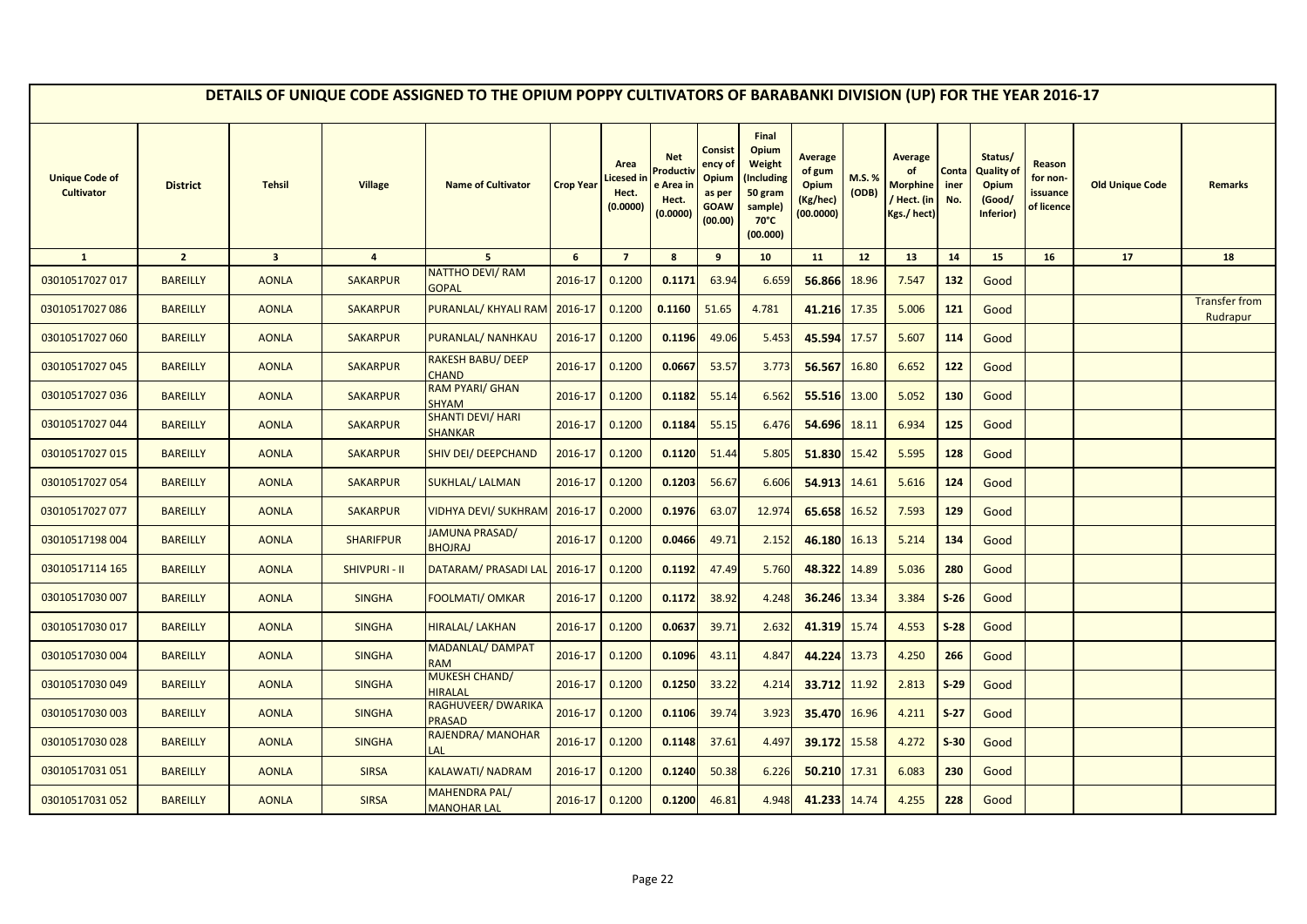|                                            |                 |                         |                      | DETAILS OF UNIQUE CODE ASSIGNED TO THE OPIUM POPPY CULTIVATORS OF BARABANKI DIVISION (UP) FOR THE YEAR 2016-17 |                  |                                        |                                                                     |                                                                 |                                                                                                   |                                                                   |                 |                                                                       |                      |                                                                     |                                              |                        |                                  |
|--------------------------------------------|-----------------|-------------------------|----------------------|----------------------------------------------------------------------------------------------------------------|------------------|----------------------------------------|---------------------------------------------------------------------|-----------------------------------------------------------------|---------------------------------------------------------------------------------------------------|-------------------------------------------------------------------|-----------------|-----------------------------------------------------------------------|----------------------|---------------------------------------------------------------------|----------------------------------------------|------------------------|----------------------------------|
| <b>Unique Code of</b><br><b>Cultivator</b> | <b>District</b> | <b>Tehsil</b>           | <b>Village</b>       | <b>Name of Cultivator</b>                                                                                      | <b>Crop Year</b> | Area<br>icesed in<br>Hect.<br>(0.0000) | <b>Net</b><br>roduct <sup>,</sup><br>e Area ir<br>Hect.<br>(0.0000) | Consist<br>ency of<br>Opium<br>as per<br><b>GOAW</b><br>(00.00) | Final<br>Opium<br><b>Weight</b><br>(Including<br>50 gram<br>sample)<br>$70^{\circ}$ C<br>(00.000) | <b>Average</b><br>of gum<br><b>Opium</b><br>(Kg/hec)<br>(00.0000) | M.S. %<br>(ODB) | <b>Average</b><br>of<br><b>Morphine</b><br>/ Hect. (in<br>Kgs./ hect) | Conta<br>iner<br>No. | Status/<br><b>Quality of</b><br><b>Opium</b><br>(Good/<br>Inferior) | Reason<br>for non-<br>issuance<br>of licence | <b>Old Unique Code</b> | <b>Remarks</b>                   |
| $\mathbf{1}$                               | $\overline{2}$  | $\overline{\mathbf{3}}$ | $\overline{4}$       | 5 <sup>5</sup>                                                                                                 | 6                | $\overline{7}$                         | 8                                                                   | 9                                                               | 10                                                                                                | 11                                                                | 12 <sup>2</sup> | 13                                                                    | 14                   | 15                                                                  | 16                                           | 17                     | 18                               |
| 03010517027 017                            | <b>BAREILLY</b> | <b>AONLA</b>            | <b>SAKARPUR</b>      | <b>NATTHO DEVI/ RAM</b><br><b>GOPAL</b>                                                                        | 2016-17          | 0.1200                                 | 0.1171                                                              | 63.94                                                           | 6.659                                                                                             | 56.866                                                            | 18.96           | 7.547                                                                 | 132                  | Good                                                                |                                              |                        |                                  |
| 03010517027 086                            | <b>BAREILLY</b> | <b>AONLA</b>            | <b>SAKARPUR</b>      | PURANLAL/ KHYALI RAM                                                                                           | 2016-17          | 0.1200                                 | 0.1160                                                              | 51.65                                                           | 4.781                                                                                             | 41.216 17.35                                                      |                 | 5.006                                                                 | 121                  | Good                                                                |                                              |                        | <b>Transfer from</b><br>Rudrapur |
| 03010517027 060                            | <b>BAREILLY</b> | <b>AONLA</b>            | <b>SAKARPUR</b>      | PURANLAL/ NANHKAU                                                                                              | 2016-17          | 0.1200                                 | 0.1196                                                              | 49.06                                                           | 5.453                                                                                             | 45.594 17.57                                                      |                 | 5.607                                                                 | 114                  | Good                                                                |                                              |                        |                                  |
| 03010517027 045                            | <b>BAREILLY</b> | <b>AONLA</b>            | <b>SAKARPUR</b>      | RAKESH BABU/ DEEP<br><b>CHAND</b>                                                                              | 2016-17          | 0.1200                                 | 0.0667                                                              | 53.57                                                           | 3.773                                                                                             | 56.567                                                            | 16.80           | 6.652                                                                 | 122                  | Good                                                                |                                              |                        |                                  |
| 03010517027 036                            | <b>BAREILLY</b> | <b>AONLA</b>            | <b>SAKARPUR</b>      | <b>RAM PYARI/ GHAN</b><br><b>SHYAM</b>                                                                         | 2016-17          | 0.1200                                 | 0.1182                                                              | 55.14                                                           | 6.562                                                                                             | 55.516                                                            | 13.00           | 5.052                                                                 | 130                  | Good                                                                |                                              |                        |                                  |
| 03010517027 044                            | <b>BAREILLY</b> | <b>AONLA</b>            | <b>SAKARPUR</b>      | <b>SHANTI DEVI/ HARI</b><br><b>SHANKAR</b>                                                                     | 2016-17          | 0.1200                                 | 0.1184                                                              | 55.15                                                           | 6.476                                                                                             | 54.696 18.11                                                      |                 | 6.934                                                                 | 125                  | Good                                                                |                                              |                        |                                  |
| 03010517027 015                            | <b>BAREILLY</b> | <b>AONLA</b>            | <b>SAKARPUR</b>      | <b>SHIV DEI/ DEEPCHAND</b>                                                                                     | 2016-17          | 0.1200                                 | 0.1120                                                              | 51.44                                                           | 5.805                                                                                             | 51.830                                                            | 15.42           | 5.595                                                                 | 128                  | Good                                                                |                                              |                        |                                  |
| 03010517027 054                            | <b>BAREILLY</b> | <b>AONLA</b>            | <b>SAKARPUR</b>      | <b>SUKHLAL/ LALMAN</b>                                                                                         | 2016-17          | 0.1200                                 | 0.1203                                                              | 56.67                                                           | 6.606                                                                                             | 54.913                                                            | 14.61           | 5.616                                                                 | 124                  | Good                                                                |                                              |                        |                                  |
| 03010517027 077                            | <b>BAREILLY</b> | <b>AONLA</b>            | <b>SAKARPUR</b>      | <b>VIDHYA DEVI/ SUKHRAM</b>                                                                                    | 2016-17          | 0.2000                                 | 0.1976                                                              | 63.07                                                           | 12.974                                                                                            | 65.658                                                            | 16.52           | 7.593                                                                 | 129                  | Good                                                                |                                              |                        |                                  |
| 03010517198 004                            | <b>BAREILLY</b> | <b>AONLA</b>            | <b>SHARIFPUR</b>     | <b>JAMUNA PRASAD/</b><br><b>BHOJRAJ</b>                                                                        | 2016-17          | 0.1200                                 | 0.0466                                                              | 49.71                                                           | 2.152                                                                                             | 46.180                                                            | 16.13           | 5.214                                                                 | 134                  | Good                                                                |                                              |                        |                                  |
| 03010517114 165                            | <b>BAREILLY</b> | <b>AONLA</b>            | <b>SHIVPURI - II</b> | <b>DATARAM/ PRASADI LAL</b>                                                                                    | 2016-17          | 0.1200                                 | 0.1192                                                              | 47.49                                                           | 5.760                                                                                             | 48.322                                                            | 14.89           | 5.036                                                                 | 280                  | Good                                                                |                                              |                        |                                  |
| 03010517030 007                            | <b>BAREILLY</b> | <b>AONLA</b>            | <b>SINGHA</b>        | FOOLMATI/ OMKAR                                                                                                | 2016-17          | 0.1200                                 | 0.1172                                                              | 38.92                                                           | 4.248                                                                                             | 36.246                                                            | 13.34           | 3.384                                                                 | $S-26$               | Good                                                                |                                              |                        |                                  |
| 03010517030 017                            | <b>BAREILLY</b> | <b>AONLA</b>            | <b>SINGHA</b>        | <b>HIRALAL/ LAKHAN</b>                                                                                         | 2016-17          | 0.1200                                 | 0.0637                                                              | 39.71                                                           | 2.632                                                                                             | 41.319                                                            | 15.74           | 4.553                                                                 | $S-28$               | Good                                                                |                                              |                        |                                  |
| 03010517030 004                            | <b>BAREILLY</b> | <b>AONLA</b>            | <b>SINGHA</b>        | <b>MADANLAL/ DAMPAT</b><br><b>RAM</b>                                                                          | 2016-17          | 0.1200                                 | 0.1096                                                              | 43.11                                                           | 4.847                                                                                             | 44.224                                                            | 13.73           | 4.250                                                                 | 266                  | Good                                                                |                                              |                        |                                  |
| 03010517030049                             | <b>BAREILLY</b> | <b>AONLA</b>            | <b>SINGHA</b>        | <b>MUKESH CHAND/</b><br><b>HIRALAL</b>                                                                         | 2016-17          | 0.1200                                 | 0.1250                                                              | 33.22                                                           | 4.214                                                                                             | 33.712                                                            | 11.92           | 2.813                                                                 | $S-29$               | Good                                                                |                                              |                        |                                  |
| 03010517030 003                            | <b>BAREILLY</b> | <b>AONLA</b>            | <b>SINGHA</b>        | RAGHUVEER/ DWARIKA<br><b>PRASAD</b>                                                                            | 2016-17          | 0.1200                                 | 0.1106                                                              | 39.74                                                           | 3.923                                                                                             | 35.470                                                            | 16.96           | 4.211                                                                 | $S-27$               | Good                                                                |                                              |                        |                                  |
| 03010517030028                             | <b>BAREILLY</b> | <b>AONLA</b>            | <b>SINGHA</b>        | RAJENDRA/ MANOHAR<br>LAL                                                                                       | 2016-17          | 0.1200                                 | 0.1148                                                              | 37.61                                                           | 4.497                                                                                             | 39.172                                                            | 15.58           | 4.272                                                                 | $S-30$               | Good                                                                |                                              |                        |                                  |
| 03010517031051                             | <b>BAREILLY</b> | <b>AONLA</b>            | <b>SIRSA</b>         | KALAWATI/NADRAM                                                                                                | 2016-17          | 0.1200                                 | 0.1240                                                              | 50.38                                                           | 6.226                                                                                             | 50.210 17.31                                                      |                 | 6.083                                                                 | 230                  | Good                                                                |                                              |                        |                                  |
| 03010517031052                             | <b>BAREILLY</b> | <b>AONLA</b>            | <b>SIRSA</b>         | <b>MAHENDRA PAL/</b><br><b>MANOHAR LAL</b>                                                                     | 2016-17          | 0.1200                                 | 0.1200                                                              | 46.81                                                           | 4.948                                                                                             | 41.233 14.74                                                      |                 | 4.255                                                                 | 228                  | Good                                                                |                                              |                        |                                  |